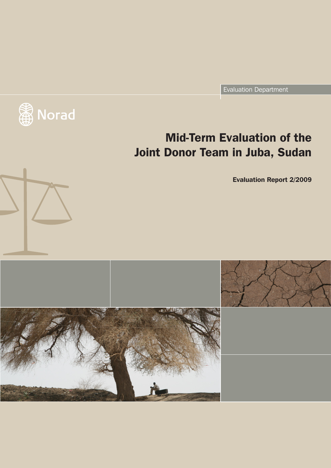Evaluation Department



# Mid-Term Evaluation of the Joint Donor Team in Juba, Sudan

Evaluation Report 2/2009

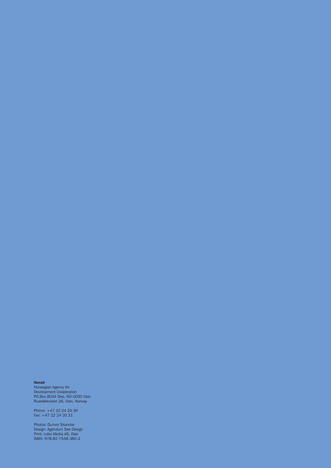#### Norad

Norwegian Agency for Development Cooperation P.O.Box 8034 Dep, NO-0030 Oslo Ruseløkkveien 26, Oslo, Norway

Phone: +47 22 24 20 30 Fax: +47 22 24 20 31

Photos: Gunvor Skancke Design: Agendum See Design Print: Lobo Media AS, Oslo ISBN: 978-82-7548-380-3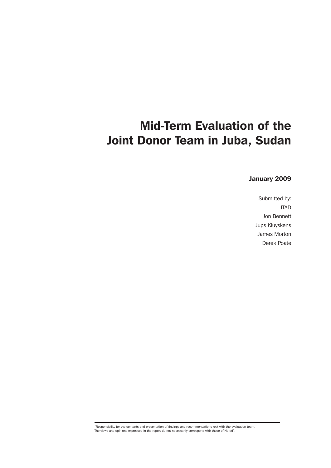# Mid-Term Evaluation of the Joint Donor Team in Juba, Sudan

# January 2009

Submitted by: ITAD Jon Bennett Jups Kluyskens James Morton Derek Poate

"Responsibility for the contents and presentation of findings and recommendations rest with the evaluation team. The views and opinions expressed in the report do not necessarily correspond with those of Norad".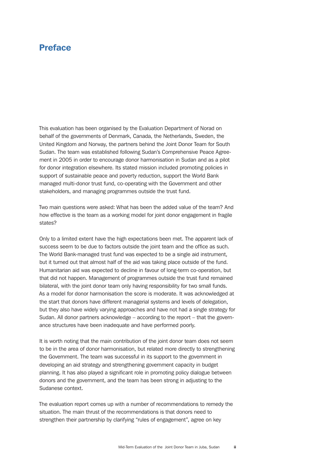# Preface

This evaluation has been organised by the Evaluation Department of Norad on behalf of the governments of Denmark, Canada, the Netherlands, Sweden, the United Kingdom and Norway, the partners behind the Joint Donor Team for South Sudan. The team was established following Sudan's Comprehensive Peace Agreement in 2005 in order to encourage donor harmonisation in Sudan and as a pilot for donor integration elsewhere. Its stated mission included promoting policies in support of sustainable peace and poverty reduction, support the World Bank managed multi-donor trust fund, co-operating with the Government and other stakeholders, and managing programmes outside the trust fund.

Two main questions were asked: What has been the added value of the team? And how effective is the team as a working model for joint donor engagement in fragile states?

Only to a limited extent have the high expectations been met. The apparent lack of success seem to be due to factors outside the joint team and the office as such. The World Bank-managed trust fund was expected to be a single aid instrument, but it turned out that almost half of the aid was taking place outside of the fund. Humanitarian aid was expected to decline in favour of long-term co-operation, but that did not happen. Management of programmes outside the trust fund remained bilateral, with the joint donor team only having responsibility for two small funds. As a model for donor harmonisation the score is moderate. It was acknowledged at the start that donors have different managerial systems and levels of delegation, but they also have widely varying approaches and have not had a single strategy for Sudan. All donor partners acknowledge – according to the report – that the governance structures have been inadequate and have performed poorly.

It is worth noting that the main contribution of the joint donor team does not seem to be in the area of donor harmonisation, but related more directly to strengthening the Government. The team was successful in its support to the government in developing an aid strategy and strengthening government capacity in budget planning. It has also played a significant role in promoting policy dialogue between donors and the government, and the team has been strong in adjusting to the Sudanese context.

The evaluation report comes up with a number of recommendations to remedy the situation. The main thrust of the recommendations is that donors need to strengthen their partnership by clarifying "rules of engagement", agree on key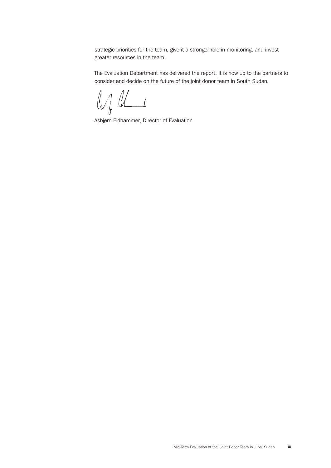<span id="page-4-0"></span>strategic priorities for the team, give it a stronger role in monitoring, and invest greater resources in the team.

The Evaluation Department has delivered the report. It is now up to the partners to consider and decide on the future of the joint donor team in South Sudan.

 $\omega_{l}$  as

Asbjørn Eidhammer, Director of Evaluation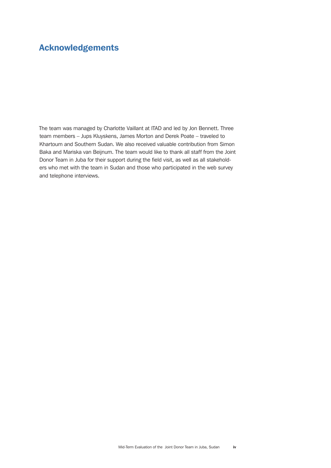# <span id="page-5-0"></span>Acknowledgements

The team was managed by Charlotte Vaillant at ITAD and led by Jon Bennett. Three team members – Jups Kluyskens, James Morton and Derek Poate – traveled to Khartoum and Southern Sudan. We also received valuable contribution from Simon Baka and Mariska van Beijnum. The team would like to thank all staff from the Joint Donor Team in Juba for their support during the field visit, as well as all stakeholders who met with the team in Sudan and those who participated in the web survey and telephone interviews.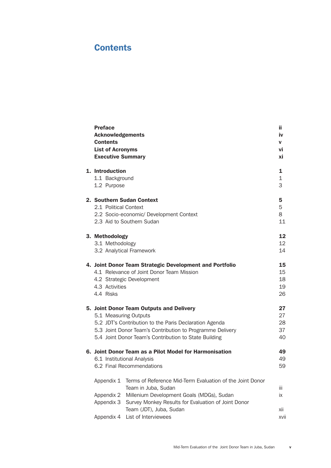# **Contents**

| <b>Preface</b><br><b>Acknowledgements</b><br><b>Contents</b><br><b>List of Acronyms</b><br><b>Executive Summary</b> |                                                                                                                                                                                                                                                   | ii<br>iv<br>v<br>vi<br>хi  |
|---------------------------------------------------------------------------------------------------------------------|---------------------------------------------------------------------------------------------------------------------------------------------------------------------------------------------------------------------------------------------------|----------------------------|
| 1. Introduction<br>1.1 Background<br>1.2 Purpose                                                                    |                                                                                                                                                                                                                                                   | 1<br>$\mathbf{1}$<br>3     |
| 2.1 Political Context                                                                                               | 2. Southern Sudan Context<br>2.2 Socio-economic/ Development Context<br>2.3 Aid to Southern Sudan                                                                                                                                                 | 5<br>5<br>8<br>11          |
| 3. Methodology<br>3.1 Methodology                                                                                   | 3.2 Analytical Framework                                                                                                                                                                                                                          | 12<br>12<br>14             |
| 4.3 Activities<br>4.4 Risks                                                                                         | 4. Joint Donor Team Strategic Development and Portfolio<br>4.1 Relevance of Joint Donor Team Mission<br>4.2 Strategic Development                                                                                                                 | 15<br>15<br>18<br>19<br>26 |
|                                                                                                                     | 5. Joint Donor Team Outputs and Delivery<br>5.1 Measuring Outputs<br>5.2 JDT's Contribution to the Paris Declaration Agenda<br>5.3 Joint Donor Team's Contribution to Programme Delivery<br>5.4 Joint Donor Team's Contribution to State Building | 27<br>27<br>28<br>37<br>40 |
|                                                                                                                     | 6. Joint Donor Team as a Pilot Model for Harmonisation<br>6.1 Institutional Analysis<br>6.2 Final Recommendations                                                                                                                                 | 49<br>49<br>59             |
| Appendix 1<br>Appendix 2<br>Appendix 3<br>Appendix 4                                                                | Terms of Reference Mid-Term Evaluation of the Joint Donor<br>Team in Juba, Sudan<br>Millenium Development Goals (MDGs), Sudan<br>Survey Monkey Results for Evaluation of Joint Donor<br>Team (JDT), Juba, Sudan<br>List of Interviewees           | iii<br>iх<br>Xİİ<br>XVII   |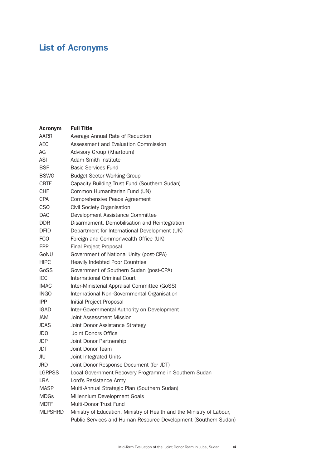# <span id="page-7-0"></span>List of Acronyms

| <b>Acronym</b> | <b>Full Title</b>                                                     |
|----------------|-----------------------------------------------------------------------|
| AARR           | Average Annual Rate of Reduction                                      |
| <b>AEC</b>     | Assessment and Evaluation Commission                                  |
| AG             | Advisory Group (Khartoum)                                             |
| ASI            | Adam Smith Institute                                                  |
| <b>BSF</b>     | <b>Basic Services Fund</b>                                            |
| <b>BSWG</b>    | <b>Budget Sector Working Group</b>                                    |
| <b>CBTF</b>    | Capacity Building Trust Fund (Southern Sudan)                         |
| <b>CHF</b>     | Common Humanitarian Fund (UN)                                         |
| <b>CPA</b>     | Comprehensive Peace Agreement                                         |
| <b>CSO</b>     | Civil Society Organisation                                            |
| <b>DAC</b>     | Development Assistance Committee                                      |
| <b>DDR</b>     | Disarmament, Demobilisation and Reintegration                         |
| <b>DFID</b>    | Department for International Development (UK)                         |
| <b>FCO</b>     | Foreign and Commonwealth Office (UK)                                  |
| <b>FPP</b>     | Final Project Proposal                                                |
| GoNU           | Government of National Unity (post-CPA)                               |
| <b>HIPC</b>    | <b>Heavily Indebted Poor Countries</b>                                |
| GoSS           | Government of Southern Sudan (post-CPA)                               |
| ICC            | International Criminal Court                                          |
| <b>IMAC</b>    | Inter-Ministerial Appraisal Committee (GoSS)                          |
| <b>INGO</b>    | International Non-Governmental Organisation                           |
| <b>IPP</b>     | Initial Project Proposal                                              |
| IGAD           | Inter-Governmental Authority on Development                           |
| <b>JAM</b>     | Joint Assessment Mission                                              |
| <b>JDAS</b>    | Joint Donor Assistance Strategy                                       |
| JDO            | Joint Donors Office                                                   |
| <b>JDP</b>     | Joint Donor Partnership                                               |
| JDT.           | Joint Donor Team                                                      |
| JIU            | Joint Integrated Units                                                |
| JRD            | Joint Donor Response Document (for JDT)                               |
| <b>LGRPSS</b>  | Local Government Recovery Programme in Southern Sudan                 |
| LRA            | Lord's Resistance Army                                                |
| <b>MASP</b>    | Multi-Annual Strategic Plan (Southern Sudan)                          |
| <b>MDGs</b>    | Millennium Development Goals                                          |
| <b>MDTF</b>    | Multi-Donor Trust Fund                                                |
| <b>MLPSHRD</b> | Ministry of Education, Ministry of Health and the Ministry of Labour, |
|                | Public Services and Human Resource Development (Southern Sudan)       |
|                |                                                                       |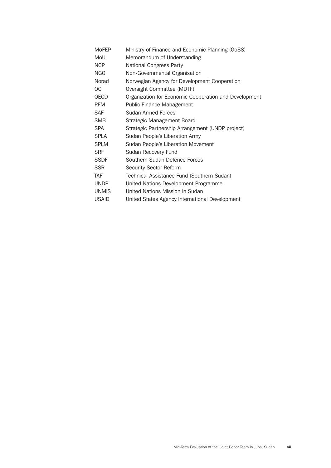| Ministry of Finance and Economic Planning (GoSS)      |
|-------------------------------------------------------|
| Memorandum of Understanding                           |
| National Congress Party                               |
| Non-Governmental Organisation                         |
| Norwegian Agency for Development Cooperation          |
| Oversight Committee (MDTF)                            |
| Organization for Economic Cooperation and Development |
| Public Finance Management                             |
| Sudan Armed Forces                                    |
| Strategic Management Board                            |
| Strategic Partnership Arrangement (UNDP project)      |
| Sudan People's Liberation Army                        |
| Sudan People's Liberation Movement                    |
| Sudan Recovery Fund                                   |
| Southern Sudan Defence Forces                         |
| Security Sector Reform                                |
| Technical Assistance Fund (Southern Sudan)            |
| United Nations Development Programme                  |
| United Nations Mission in Sudan                       |
| United States Agency International Development        |
|                                                       |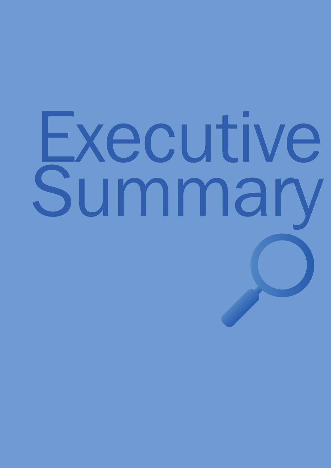# Executive<br>Summary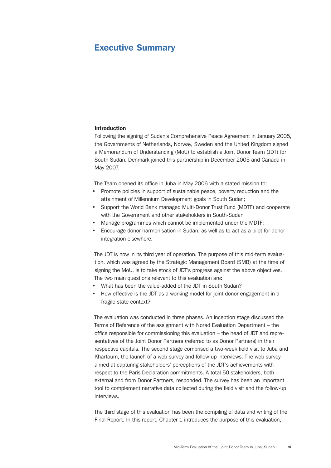# <span id="page-12-0"></span>Executive Summary

#### Introduction

Following the signing of Sudan's Comprehensive Peace Agreement in January 2005, the Governments of Netherlands, Norway, Sweden and the United Kingdom signed a Memorandum of Understanding (MoU) to establish a Joint Donor Team (JDT) for South Sudan. Denmark joined this partnership in December 2005 and Canada in May 2007.

The Team opened its office in Juba in May 2006 with a stated mission to:

- Promote policies in support of sustainable peace, poverty reduction and the attainment of Millennium Development goals in South Sudan;
- Support the World Bank managed Multi-Donor Trust Fund (MDTF) and cooperate with the Government and other stakeholders in South-Sudan
- Manage programmes which cannot be implemented under the MDTF;
- Encourage donor harmonisation in Sudan, as well as to act as a pilot for donor integration elsewhere.

The JDT is now in its third year of operation. The purpose of this mid-term evaluation, which was agreed by the Strategic Management Board (SMB) at the time of signing the MoU, is to take stock of JDT's progress against the above objectives. The two main questions relevant to this evaluation are:

- What has been the value-added of the JDT in South Sudan?
- How effective is the JDT as a working-model for joint donor engagement in a fragile state context?

The evaluation was conducted in three phases. An inception stage discussed the Terms of Reference of the assignment with Norad Evaluation Department – the office responsible for commissioning this evaluation – the head of JDT and representatives of the Joint Donor Partners (referred to as Donor Partners) in their respective capitals. The second stage comprised a two-week field visit to Juba and Khartoum, the launch of a web survey and follow-up interviews. The web survey aimed at capturing stakeholders' perceptions of the JDT's achievements with respect to the Paris Declaration commitments. A total 50 stakeholders, both external and from Donor Partners, responded. The survey has been an important tool to complement narrative data collected during the field visit and the follow-up interviews.

The third stage of this evaluation has been the compiling of data and writing of the Final Report. In this report, Chapter 1 introduces the purpose of this evaluation,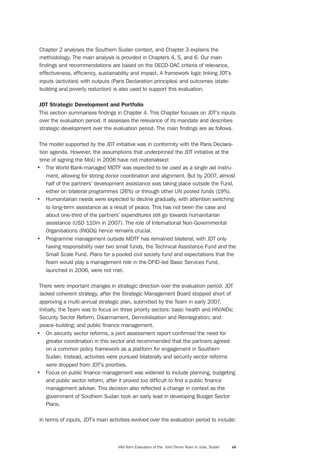Chapter 2 analyses the Southern Sudan context, and Chapter 3 explains the methodology. The main analysis is provided in Chapters 4, 5, and 6. Our main findings and recommendations are based on the OECD-DAC criteria of relevance, effectiveness, efficiency, sustainability and impact. A framework logic linking JDT's inputs (activities) with outputs (Paris Declaration principles) and outcomes (statebuilding and poverty reduction) is also used to support this evaluation.

### JDT Strategic Development and Portfolio

This section summarises findings in Chapter 4. This Chapter focuses on JDT's inputs over the evaluation period. It assesses the relevance of its mandate and describes strategic development over the evaluation period. The main findings are as follows.

The model supported by the JDT initiative was in conformity with the Paris Declaration agenda. However, the assumptions that underpinned the JDT initiative at the time of signing the MoU in 2006 have not materialised:

- The World Bank-managed MDTF was expected to be used as a single aid instrument, allowing for strong donor coordination and alignment. But by 2007, almost half of the partners' development assistance was taking place outside the Fund, either on bilateral programmes (26%) or through other UN pooled funds (19%).
- Humanitarian needs were expected to decline gradually, with attention switching to long-term assistance as a result of peace. This has not been the case and about one-third of the partners' expenditures still go towards humanitarian assistance (USD 110m in 2007). The role of International Non-Governmental Organisations (INGOs) hence remains crucial.
- Programme management outside MDTF has remained bilateral, with JDT only having responsibility over two small funds, the Technical Assistance Fund and the Small Scale Fund. Plans for a pooled civil society fund and expectations that the Team would play a management role in the DFID-led Basic Services Fund, launched in 2006, were not met.

There were important changes in strategic direction over the evaluation period. JDT lacked coherent strategy, after the Strategic Management Board stopped short of approving a multi-annual strategic plan, submitted by the Team in early 2007. Initially, the Team was to focus on three priority sectors: basic health and HIV/AIDs; Security Sector Reform, Disarmament, Demobilisation and Reintegration; and peace-building; and public finance management.

- On security sector reforms, a joint assessment report confirmed the need for greater coordination in this sector and recommended that the partners agreed on a common policy framework as a platform for engagement in Southern Sudan. Instead, activities were pursued bilaterally and security sector reforms were dropped from JDT's priorities.
- Focus on public finance management was widened to include planning, budgeting and public sector reform, after it proved too difficult to find a public finance management adviser. This decision also reflected a change in context as the government of Southern Sudan took an early lead in developing Budget Sector Plans.

In terms of inputs, JDT's main activities evolved over the evaluation period to include: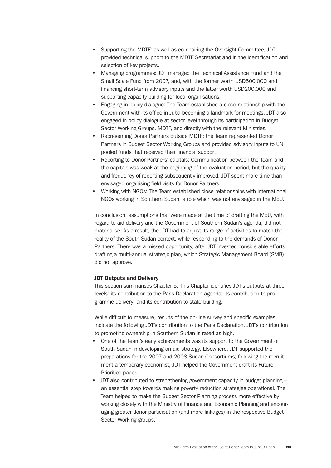- Supporting the MDTF: as well as co-chairing the Oversight Committee, JDT provided technical support to the MDTF Secretariat and in the identification and selection of key projects.
- Managing programmes: JDT managed the Technical Assistance Fund and the Small Scale Fund from 2007, and, with the former worth USD500,000 and financing short-term advisory inputs and the latter worth USD200,000 and supporting capacity building for local organisations.
- Engaging in policy dialogue: The Team established a close relationship with the Government with its office in Juba becoming a landmark for meetings. JDT also engaged in policy dialogue at sector level through its participation in Budget Sector Working Groups, MDTF, and directly with the relevant Ministries.
- Representing Donor Partners outside MDTF: the Team represented Donor Partners in Budget Sector Working Groups and provided advisory inputs to UN pooled funds that received their financial support.
- Reporting to Donor Partners' capitals: Communication between the Team and the capitals was weak at the beginning of the evaluation period, but the quality and frequency of reporting subsequently improved. JDT spent more time than envisaged organising field visits for Donor Partners.
- Working with NGOs: The Team established close relationships with international NGOs working in Southern Sudan, a role which was not envisaged in the MoU.

In conclusion, assumptions that were made at the time of drafting the MoU, with regard to aid delivery and the Government of Southern Sudan's agenda, did not materialise. As a result, the JDT had to adjust its range of activities to match the reality of the South Sudan context, while responding to the demands of Donor Partners. There was a missed opportunity, after JDT invested considerable efforts drafting a multi-annual strategic plan, which Strategic Management Board (SMB) did not approve.

# JDT Outputs and Delivery

This section summarises Chapter 5. This Chapter identifies JDT's outputs at three levels: its contribution to the Paris Declaration agenda; its contribution to programme delivery; and its contribution to state-building.

While difficult to measure, results of the on-line survey and specific examples indicate the following JDT's contribution to the Paris Declaration. JDT's contribution to promoting ownership in Southern Sudan is rated as high.

- One of the Team's early achievements was its support to the Government of South Sudan in developing an aid strategy. Elsewhere, JDT supported the preparations for the 2007 and 2008 Sudan Consortiums; following the recruitment a temporary economist, JDT helped the Government draft its Future Priorities paper.
- JDT also contributed to strengthening government capacity in budget planning an essential step towards making poverty reduction strategies operational. The Team helped to make the Budget Sector Planning process more effective by working closely with the Ministry of Finance and Economic Planning and encouraging greater donor participation (and more linkages) in the respective Budget Sector Working groups.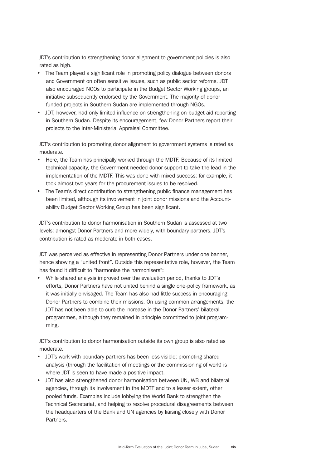JDT's contribution to strengthening donor alignment to government policies is also rated as high.

- The Team played a significant role in promoting policy dialogue between donors and Government on often sensitive issues, such as public sector reforms. JDT also encouraged NGOs to participate in the Budget Sector Working groups, an initiative subsequently endorsed by the Government. The majority of donorfunded projects in Southern Sudan are implemented through NGOs.
- JDT, however, had only limited influence on strengthening on-budget aid reporting in Southern Sudan. Despite its encouragement, few Donor Partners report their projects to the Inter-Ministerial Appraisal Committee.

JDT's contribution to promoting donor alignment to government systems is rated as moderate.

- Here, the Team has principally worked through the MDTF. Because of its limited technical capacity, the Government needed donor support to take the lead in the implementation of the MDTF. This was done with mixed success: for example, it took almost two years for the procurement issues to be resolved.
- The Team's direct contribution to strengthening public finance management has been limited, although its involvement in joint donor missions and the Accountability Budget Sector Working Group has been significant.

JDT's contribution to donor harmonisation in Southern Sudan is assessed at two levels: amongst Donor Partners and more widely, with boundary partners. JDT's contribution is rated as moderate in both cases.

JDT was perceived as effective in representing Donor Partners under one banner, hence showing a "united front". Outside this representative role, however, the Team has found it difficult to "harmonise the harmonisers":

• While shared analysis improved over the evaluation period, thanks to JDT's efforts, Donor Partners have not united behind a single one-policy framework, as it was initially envisaged. The Team has also had little success in encouraging Donor Partners to combine their missions. On using common arrangements, the JDT has not been able to curb the increase in the Donor Partners' bilateral programmes, although they remained in principle committed to joint programming.

JDT's contribution to donor harmonisation outside its own group is also rated as moderate.

- JDT's work with boundary partners has been less visible; promoting shared analysis (through the facilitation of meetings or the commissioning of work) is where JDT is seen to have made a positive impact.
- JDT has also strengthened donor harmonisation between UN, WB and bilateral agencies, through its involvement in the MDTF and to a lesser extent, other pooled funds. Examples include lobbying the World Bank to strengthen the Technical Secretariat, and helping to resolve procedural disagreements between the headquarters of the Bank and UN agencies by liaising closely with Donor Partners.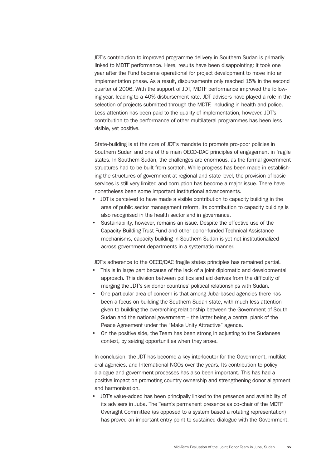JDT's contribution to improved programme delivery in Southern Sudan is primarily linked to MDTF performance. Here, results have been disappointing: it took one year after the Fund became operational for project development to move into an implementation phase. As a result, disbursements only reached 15% in the second quarter of 2006. With the support of JDT, MDTF performance improved the following year, leading to a 40% disbursement rate. JDT advisers have played a role in the selection of projects submitted through the MDTF, including in health and police. Less attention has been paid to the quality of implementation, however. JDT's contribution to the performance of other multilateral programmes has been less visible, yet positive.

State-building is at the core of JDT's mandate to promote pro-poor policies in Southern Sudan and one of the main OECD-DAC principles of engagement in fragile states. In Southern Sudan, the challenges are enormous, as the formal government structures had to be built from scratch. While progress has been made in establishing the structures of government at regional and state level, the provision of basic services is still very limited and corruption has become a major issue. There have nonetheless been some important institutional advancements.

- JDT is perceived to have made a visible contribution to capacity building in the area of public sector management reform. Its contribution to capacity building is also recognised in the health sector and in governance.
- Sustainability, however, remains an issue. Despite the effective use of the Capacity Building Trust Fund and other donor-funded Technical Assistance mechanisms, capacity building in Southern Sudan is yet not institutionalized across government departments in a systematic manner.

JDT's adherence to the OECD/DAC fragile states principles has remained partial.

- This is in large part because of the lack of a joint diplomatic and developmental approach. This division between politics and aid derives from the difficulty of merging the JDT's six donor countries' political relationships with Sudan.
- One particular area of concern is that among Juba-based agencies there has been a focus on building the Southern Sudan state, with much less attention given to building the overarching relationship between the Government of South Sudan and the national government – the latter being a central plank of the Peace Agreement under the "Make Unity Attractive" agenda.
- On the positive side, the Team has been strong in adjusting to the Sudanese context, by seizing opportunities when they arose.

In conclusion, the JDT has become a key interlocutor for the Government, multilateral agencies, and International NGOs over the years. Its contribution to policy dialogue and government processes has also been important. This has had a positive impact on promoting country ownership and strengthening donor alignment and harmonisation.

• JDT's value-added has been principally linked to the presence and availability of its advisers in Juba. The Team's permanent presence as co-chair of the MDTF Oversight Committee (as opposed to a system based a rotating representation) has proved an important entry point to sustained dialogue with the Government.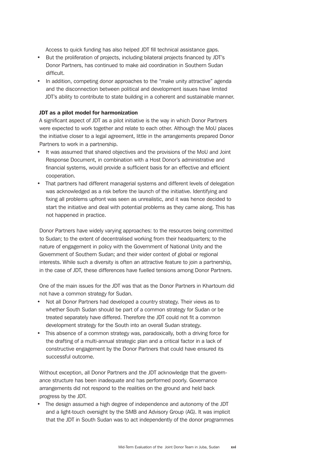Access to quick funding has also helped JDT fill technical assistance gaps.

- But the proliferation of projects, including bilateral projects financed by JDT's Donor Partners, has continued to make aid coordination in Southern Sudan difficult.
- In addition, competing donor approaches to the "make unity attractive" agenda and the disconnection between political and development issues have limited JDT's ability to contribute to state building in a coherent and sustainable manner.

#### JDT as a pilot model for harmonization

A significant aspect of JDT as a pilot initiative is the way in which Donor Partners were expected to work together and relate to each other. Although the MoU places the initiative closer to a legal agreement, little in the arrangements prepared Donor Partners to work in a partnership.

- It was assumed that shared objectives and the provisions of the MoU and Joint Response Document, in combination with a Host Donor's administrative and financial systems, would provide a sufficient basis for an effective and efficient cooperation.
- That partners had different managerial systems and different levels of delegation was acknowledged as a risk before the launch of the initiative. Identifying and fixing all problems upfront was seen as unrealistic, and it was hence decided to start the initiative and deal with potential problems as they came along. This has not happened in practice.

Donor Partners have widely varying approaches: to the resources being committed to Sudan; to the extent of decentralised working from their headquarters; to the nature of engagement in policy with the Government of National Unity and the Government of Southern Sudan; and their wider context of global or regional interests. While such a diversity is often an attractive feature to join a partnership, in the case of JDT, these differences have fuelled tensions among Donor Partners.

One of the main issues for the JDT was that as the Donor Partners in Khartoum did not have a common strategy for Sudan.

- Not all Donor Partners had developed a country strategy. Their views as to whether South Sudan should be part of a common strategy for Sudan or be treated separately have differed. Therefore the JDT could not fit a common development strategy for the South into an overall Sudan strategy.
- This absence of a common strategy was, paradoxically, both a driving force for the drafting of a multi-annual strategic plan and a critical factor in a lack of constructive engagement by the Donor Partners that could have ensured its successful outcome.

Without exception, all Donor Partners and the JDT acknowledge that the governance structure has been inadequate and has performed poorly. Governance arrangements did not respond to the realities on the ground and held back progress by the JDT.

• The design assumed a high degree of independence and autonomy of the JDT and a light-touch oversight by the SMB and Advisory Group (AG). It was implicit that the JDT in South Sudan was to act independently of the donor programmes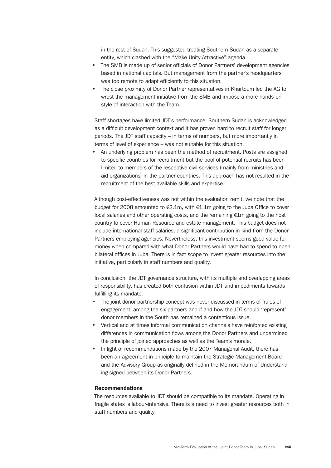in the rest of Sudan. This suggested treating Southern Sudan as a separate entity, which clashed with the "Make Unity Attractive" agenda.

- The SMB is made up of senior officials of Donor Partners' development agencies based in national capitals. But management from the partner's headquarters was too remote to adapt efficiently to this situation.
- The close proximity of Donor Partner representatives in Khartoum led the AG to wrest the management initiative from the SMB and impose a more hands-on style of interaction with the Team.

Staff shortages have limited JDT's performance. Southern Sudan is acknowledged as a difficult development context and it has proven hard to recruit staff for longer periods. The JDT staff capacity – in terms of numbers, but more importantly in terms of level of experience – was not suitable for this situation.

• An underlying problem has been the method of recruitment. Posts are assigned to specific countries for recruitment but the pool of potential recruits has been limited to members of the respective civil services (mainly from ministries and aid organizations) in the partner countries. This approach has not resulted in the recruitment of the best available skills and expertise.

Although cost-effectiveness was not within the evaluation remit, we note that the budget for 2008 amounted to €2.1m, with €1.1m going to the Juba Office to cover local salaries and other operating costs, and the remaining €1m going to the host country to cover Human Resource and estate management. This budget does not include international staff salaries, a significant contribution in kind from the Donor Partners employing agencies. Nevertheless, this investment seems good value for money when compared with what Donor Partners would have had to spend to open bilateral offices in Juba. There is in fact scope to invest greater resources into the initiative, particularly in staff numbers and quality.

In conclusion, the JDT governance structure, with its multiple and overlapping areas of responsibility, has created both confusion within JDT and impediments towards fulfilling its mandate.

- The joint donor partnership concept was never discussed in terms of 'rules of engagement' among the six partners and if and how the JDT should 'represent' donor members in the South has remained a contentious issue.
- Vertical and at times informal communication channels have reinforced existing differences in communication flows among the Donor Partners and undermined the principle of joined approaches as well as the Team's morale.
- In light of recommendations made by the 2007 Managerial Audit, there has been an agreement in principle to maintain the Strategic Management Board and the Advisory Group as originally defined in the Memorandum of Understanding signed between its Donor Partners.

#### Recommendations

The resources available to JDT should be compatible to its mandate. Operating in fragile states is labour-intensive. There is a need to invest greater resources both in staff numbers and quality.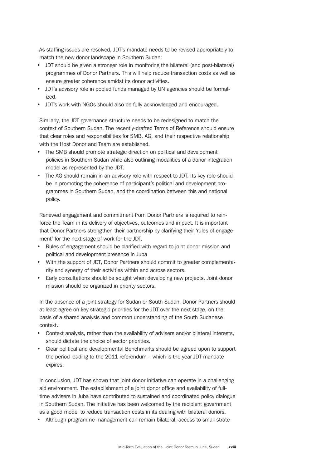As staffing issues are resolved, JDT's mandate needs to be revised appropriately to match the new donor landscape in Southern Sudan:

- JDT should be given a stronger role in monitoring the bilateral (and post-bilateral) programmes of Donor Partners. This will help reduce transaction costs as well as ensure greater coherence amidst its donor activities.
- JDT's advisory role in pooled funds managed by UN agencies should be formalized.
- JDT's work with NGOs should also be fully acknowledged and encouraged.

Similarly, the JDT governance structure needs to be redesigned to match the context of Southern Sudan. The recently-drafted Terms of Reference should ensure that clear roles and responsibilities for SMB, AG, and their respective relationship with the Host Donor and Team are established.

- The SMB should promote strategic direction on political and development policies in Southern Sudan while also outlining modalities of a donor integration model as represented by the JDT.
- The AG should remain in an advisory role with respect to JDT. Its key role should be in promoting the coherence of participant's political and development programmes in Southern Sudan, and the coordination between this and national policy.

Renewed engagement and commitment from Donor Partners is required to reinforce the Team in its delivery of objectives, outcomes and impact. It is important that Donor Partners strengthen their partnership by clarifying their 'rules of engagement' for the next stage of work for the JDT.

- Rules of engagement should be clarified with regard to joint donor mission and political and development presence in Juba
- With the support of JDT, Donor Partners should commit to greater complementarity and synergy of their activities within and across sectors.
- Early consultations should be sought when developing new projects. Joint donor mission should be organized in priority sectors.

In the absence of a joint strategy for Sudan or South Sudan, Donor Partners should at least agree on key strategic priorities for the JDT over the next stage, on the basis of a shared analysis and common understanding of the South Sudanese context.

- Context analysis, rather than the availability of advisers and/or bilateral interests, should dictate the choice of sector priorities.
- Clear political and developmental Benchmarks should be agreed upon to support the period leading to the 2011 referendum – which is the year JDT mandate expires.

In conclusion, JDT has shown that joint donor initiative can operate in a challenging aid environment. The establishment of a joint donor office and availability of fulltime advisers in Juba have contributed to sustained and coordinated policy dialogue in Southern Sudan. The initiative has been welcomed by the recipient government as a good model to reduce transaction costs in its dealing with bilateral donors.

• Although programme management can remain bilateral, access to small strate-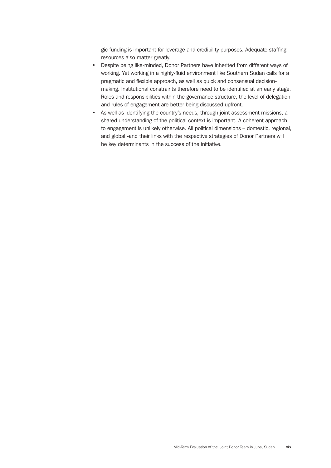gic funding is important for leverage and credibility purposes. Adequate staffing resources also matter greatly.

- Despite being like-minded, Donor Partners have inherited from different ways of working. Yet working in a highly-fluid environment like Southern Sudan calls for a pragmatic and flexible approach, as well as quick and consensual decisionmaking. Institutional constraints therefore need to be identified at an early stage. Roles and responsibilities within the governance structure, the level of delegation and rules of engagement are better being discussed upfront.
- As well as identifying the country's needs, through joint assessment missions, a shared understanding of the political context is important. A coherent approach to engagement is unlikely otherwise. All political dimensions – domestic, regional, and global -and their links with the respective strategies of Donor Partners will be key determinants in the success of the initiative.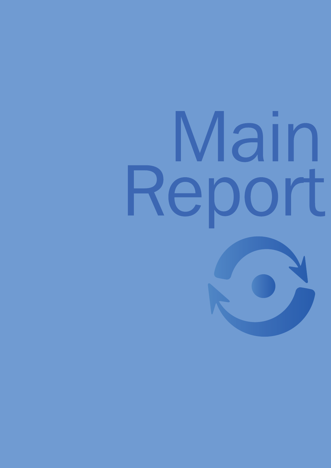# Main Report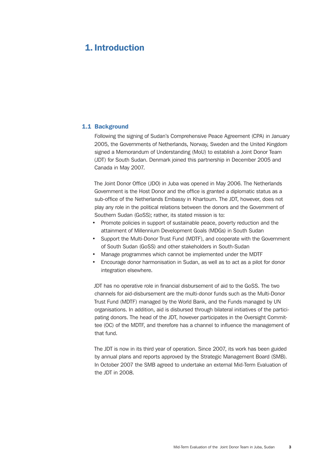# <span id="page-24-0"></span>1. Introduction

# 1.1 Background

Following the signing of Sudan's Comprehensive Peace Agreement (CPA) in January 2005, the Governments of Netherlands, Norway, Sweden and the United Kingdom signed a Memorandum of Understanding (MoU) to establish a Joint Donor Team (JDT) for South Sudan. Denmark joined this partnership in December 2005 and Canada in May 2007.

The Joint Donor Office (JDO) in Juba was opened in May 2006. The Netherlands Government is the Host Donor and the office is granted a diplomatic status as a sub-office of the Netherlands Embassy in Khartoum. The JDT, however, does not play any role in the political relations between the donors and the Government of Southern Sudan (GoSS); rather, its stated mission is to:

- Promote policies in support of sustainable peace, poverty reduction and the attainment of Millennium Development Goals (MDGs) in South Sudan
- Support the Multi-Donor Trust Fund (MDTF), and cooperate with the Government of South Sudan (GoSS) and other stakeholders in South-Sudan
- Manage programmes which cannot be implemented under the MDTF
- Encourage donor harmonisation in Sudan, as well as to act as a pilot for donor integration elsewhere.

JDT has no operative role in financial disbursement of aid to the GoSS. The two channels for aid-disbursement are the multi-donor funds such as the Multi-Donor Trust Fund (MDTF) managed by the World Bank, and the Funds managed by UN organisations. In addition, aid is disbursed through bilateral initiatives of the participating donors. The head of the JDT, however participates in the Oversight Committee (OC) of the MDTF, and therefore has a channel to influence the management of that fund.

The JDT is now in its third year of operation. Since 2007, its work has been guided by annual plans and reports approved by the Strategic Management Board (SMB). In October 2007 the SMB agreed to undertake an external Mid-Term Evaluation of the JDT in 2008.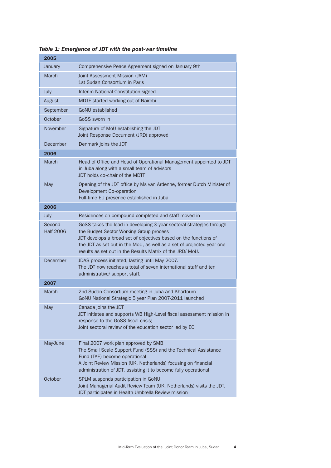| 2005                       |                                                                                                                                                                                                                                                                                                                          |
|----------------------------|--------------------------------------------------------------------------------------------------------------------------------------------------------------------------------------------------------------------------------------------------------------------------------------------------------------------------|
| January                    | Comprehensive Peace Agreement signed on January 9th                                                                                                                                                                                                                                                                      |
| March                      | Joint Assessment Mission (JAM)<br>1st Sudan Consortium in Paris                                                                                                                                                                                                                                                          |
| July                       | Interim National Constitution signed                                                                                                                                                                                                                                                                                     |
| August                     | MDTF started working out of Nairobi                                                                                                                                                                                                                                                                                      |
| September                  | <b>GoNU</b> established                                                                                                                                                                                                                                                                                                  |
| October                    | GoSS sworn in                                                                                                                                                                                                                                                                                                            |
| November                   | Signature of MoU establishing the JDT<br>Joint Response Document (JRD) approved                                                                                                                                                                                                                                          |
| December                   | Denmark joins the JDT                                                                                                                                                                                                                                                                                                    |
| 2006                       |                                                                                                                                                                                                                                                                                                                          |
| March                      | Head of Office and Head of Operational Management appointed to JDT<br>in Juba along with a small team of advisors<br>JDT holds co-chair of the MDTF                                                                                                                                                                      |
| May                        | Opening of the JDT office by Ms van Ardenne, former Dutch Minister of<br>Development Co-operation<br>Full-time EU presence established in Juba                                                                                                                                                                           |
| 2006                       |                                                                                                                                                                                                                                                                                                                          |
| July                       | Residences on compound completed and staff moved in                                                                                                                                                                                                                                                                      |
| Second<br><b>Half 2006</b> | GoSS takes the lead in developing 3-year sectoral strategies through<br>the Budget Sector Working Group process<br>JDT develops a broad set of objectives based on the functions of<br>the JDT as set out in the MoU, as well as a set of projected year one<br>results as set out in the Results Matrix of the JRD/MoU. |
| December                   | JDAS process initiated, lasting until May 2007.<br>The JDT now reaches a total of seven international staff and ten<br>administrative/ support staff.                                                                                                                                                                    |
| 2007                       |                                                                                                                                                                                                                                                                                                                          |
| March                      | 2nd Sudan Consortium meeting in Juba and Khartoum<br>GoNU National Strategic 5 year Plan 2007-2011 launched                                                                                                                                                                                                              |
| May                        | Canada joins the JDT<br>JDT initiates and supports WB High-Level fiscal assessment mission in<br>response to the GoSS fiscal crisis;<br>Joint sectoral review of the education sector led by EC                                                                                                                          |
| May/June                   | Final 2007 work plan approved by SMB<br>The Small Scale Support Fund (SSS) and the Technical Assistance<br>Fund (TAF) become operational<br>A Joint Review Mission (UK, Netherlands) focusing on financial<br>administration of JDT, assisting it to become fully operational                                            |
| October                    | SPLM suspends participation in GoNU<br>Joint Managerial Audit Review Team (UK, Netherlands) visits the JDT.<br>JDT participates in Health Umbrella Review mission                                                                                                                                                        |

*Table 1: Emergence of JDT with the post-war timeline*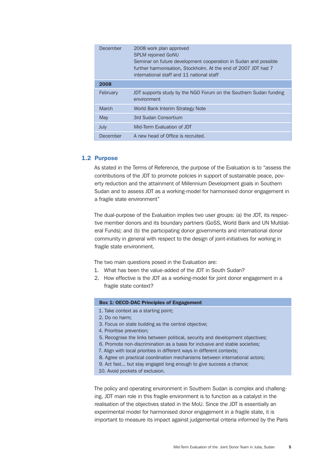<span id="page-26-0"></span>

| December | 2008 work plan approved<br><b>SPLM rejoined GoNU</b><br>Seminar on future development cooperation in Sudan and possible<br>further harmonisation, Stockholm. At the end of 2007 JDT had 7<br>international staff and 11 national staff |
|----------|----------------------------------------------------------------------------------------------------------------------------------------------------------------------------------------------------------------------------------------|
| 2008     |                                                                                                                                                                                                                                        |
| February | JDT supports study by the NGO Forum on the Southern Sudan funding<br>environment                                                                                                                                                       |
| March    | World Bank Interim Strategy Note                                                                                                                                                                                                       |
| May      | 3rd Sudan Consortium                                                                                                                                                                                                                   |
| July     | Mid-Term Evaluation of JDT                                                                                                                                                                                                             |
| December | A new head of Office is recruited.                                                                                                                                                                                                     |

# 1.2 Purpose

As stated in the Terms of Reference, the purpose of the Evaluation is to "assess the contributions of the JDT to promote policies in support of sustainable peace, poverty reduction and the attainment of Millennium Development goals in Southern Sudan and to assess JDT as a working-model for harmonised donor engagement in a fragile state environment"

The dual-purpose of the Evaluation implies two user groups: (a) the JDT, its respective member donors and its boundary partners (GoSS, World Bank and UN Multilateral Funds); and (b) the participating donor governments and international donor community in general with respect to the design of joint-initiatives for working in fragile state environment.

The two main questions posed in the Evaluation are:

- 1. What has been the value-added of the JDT in South Sudan?
- 2. How effective is the JDT as a working-model for joint donor engagement in a fragile state context?

#### Box 1: OECD-DAC Principles of Engagement

- 1. Take context as a starting point;
- 2. Do no harm;
- 3. Focus on state building as the central objective;
- 4. Prioritise prevention;
- 5. Recognise the links between political, security and development objectives;
- 6. Promote non-discrimination as a basis for inclusive and stable societies;
- 7. Align with local priorities in different ways in different contexts;
- 8. Agree on practical coordination mechanisms between international actors;
- 9. Act fast... but stay engaged long enough to give success a chance;
- 10. Avoid pockets of exclusion.

The policy and operating environment in Southern Sudan is complex and challenging. JDT main role in this fragile environment is to function as a catalyst in the realisation of the objectives stated in the MoU. Since the JDT is essentially an experimental model for harmonised donor engagement in a fragile state, it is important to measure its impact against judgemental criteria informed by the Paris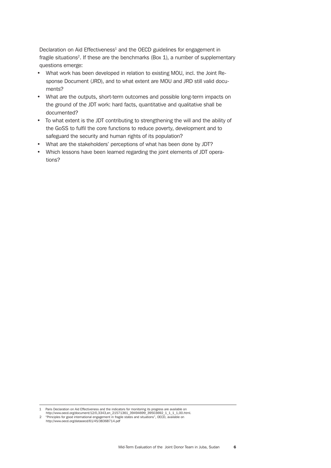Declaration on Aid Effectiveness<sup>1</sup> and the OECD guidelines for engagement in fragile situations2. If these are the benchmarks (Box 1), a number of supplementary questions emerge:

- What work has been developed in relation to existing MOU, incl. the Joint Response Document (JRD), and to what extent are MOU and JRD still valid documents?
- What are the outputs, short-term outcomes and possible long-term impacts on the ground of the JDT work: hard facts, quantitative and qualitative shall be documented?
- To what extent is the JDT contributing to strengthening the will and the ability of the GoSS to fulfil the core functions to reduce poverty, development and to safeguard the security and human rights of its population?
- What are the stakeholders' perceptions of what has been done by JDT?
- Which lessons have been learned regarding the joint elements of JDT operations?

1 Paris Declaration on Aid Effectiveness and the indicators for monitoring its progress are available on<br>http://www.oecd.org/document/12/0,3343,en\_21571361\_39494699\_39503692\_1\_1\_1\_1,00.html.<br>2 "Principles for good internat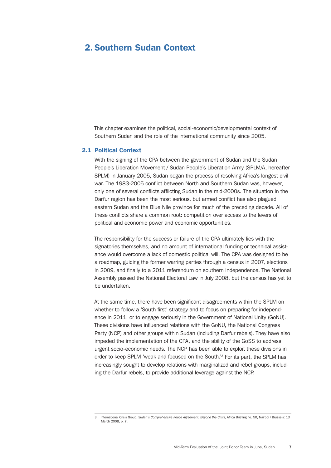# <span id="page-28-0"></span>2. Southern Sudan Context

This chapter examines the political, social-economic/developmental context of Southern Sudan and the role of the international community since 2005.

# 2.1 Political Context

With the signing of the CPA between the government of Sudan and the Sudan People's Liberation Movement / Sudan People's Liberation Army (SPLM/A, hereafter SPLM) in January 2005, Sudan began the process of resolving Africa's longest civil war. The 1983-2005 conflict between North and Southern Sudan was, however, only one of several conflicts afflicting Sudan in the mid-2000s. The situation in the Darfur region has been the most serious, but armed conflict has also plagued eastern Sudan and the Blue Nile province for much of the preceding decade. All of these conflicts share a common root: competition over access to the levers of political and economic power and economic opportunities.

The responsibility for the success or failure of the CPA ultimately lies with the signatories themselves, and no amount of international funding or technical assistance would overcome a lack of domestic political will. The CPA was designed to be a roadmap, guiding the former warring parties through a census in 2007, elections in 2009, and finally to a 2011 referendum on southern independence. The National Assembly passed the National Electoral Law in July 2008, but the census has yet to be undertaken.

At the same time, there have been significant disagreements within the SPLM on whether to follow a 'South first' strategy and to focus on preparing for independence in 2011, or to engage seriously in the Government of National Unity (GoNU). These divisions have influenced relations with the GoNU, the National Congress Party (NCP) and other groups within Sudan (including Darfur rebels). They have also impeded the implementation of the CPA, and the ability of the GoSS to address urgent socio-economic needs. The NCP has been able to exploit these divisions in order to keep SPLM 'weak and focused on the South.'3 For its part, the SPLM has increasingly sought to develop relations with marginalized and rebel groups, including the Darfur rebels, to provide additional leverage against the NCP.

<sup>3</sup> International Crisis Group, *Sudan's Comprehensive Peace Agreement: Beyond the Crisis,* Africa Briefing no. 50, Nairobi / Brussels: 13 March 2008, p. 7.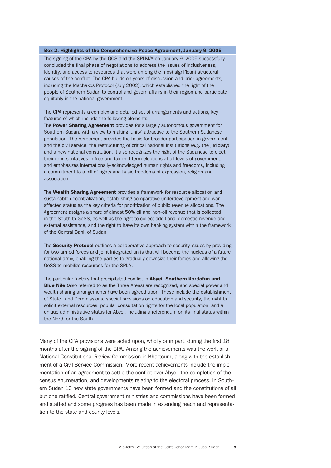#### Box 2. Highlights of the Comprehensive Peace Agreement, January 9, 2005

The signing of the CPA by the GOS and the SPLM/A on January 9, 2005 successfully concluded the final phase of negotiations to address the issues of inclusiveness, identity, and access to resources that were among the most significant structural causes of the conflict. The CPA builds on years of discussion and prior agreements, including the Machakos Protocol (July 2002), which established the right of the people of Southern Sudan to control and govern affairs in their region and participate equitably in the national government.

The CPA represents a complex and detailed set of arrangements and actions, key features of which include the following elements:

The **Power Sharing Agreement** provides for a largely autonomous government for Southern Sudan, with a view to making 'unity' attractive to the Southern Sudanese population. The Agreement provides the basis for broader participation in government and the civil service, the restructuring of critical national institutions (e.g. the judiciary), and a new national constitution. It also recognizes the right of the Sudanese to elect their representatives in free and fair mid-term elections at all levels of government, and emphasizes internationally-acknowledged human rights and freedoms, including a commitment to a bill of rights and basic freedoms of expression, religion and association.

The **Wealth Sharing Agreement** provides a framework for resource allocation and sustainable decentralization, establishing comparative underdevelopment and waraffected status as the key criteria for prioritization of public revenue allocations. The Agreement assigns a share of almost 50% oil and non-oil revenue that is collected in the South to GoSS, as well as the right to collect additional domestic revenue and external assistance, and the right to have its own banking system within the framework of the Central Bank of Sudan.

The Security Protocol outlines a collaborative approach to security issues by providing for two armed forces and joint integrated units that will become the nucleus of a future national army, enabling the parties to gradually downsize their forces and allowing the GoSS to mobilize resources for the SPLA.

The particular factors that precipitated conflict in Abyei, Southern Kordofan and **Blue Nile** (also referred to as the Three Areas) are recognized, and special power and wealth sharing arrangements have been agreed upon. These include the establishment of State Land Commissions, special provisions on education and security, the right to solicit external resources, popular consultation rights for the local population, and a unique administrative status for Abyei, including a referendum on its final status within the North or the South.

Many of the CPA provisions were acted upon, wholly or in part, during the first 18 months after the signing of the CPA. Among the achievements was the work of a National Constitutional Review Commission in Khartoum, along with the establishment of a Civil Service Commission. More recent achievements include the implementation of an agreement to settle the conflict over Abyei, the completion of the census enumeration, and developments relating to the electoral process. In Southern Sudan 10 new state governments have been formed and the constitutions of all but one ratified. Central government ministries and commissions have been formed and staffed and some progress has been made in extending reach and representation to the state and county levels.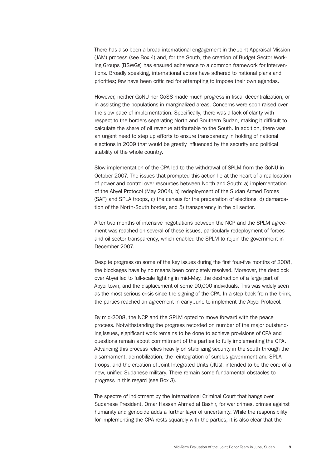There has also been a broad international engagement in the Joint Appraisal Mission (JAM) process (see Box 4) and, for the South, the creation of Budget Sector Working Groups (BSWGs) has ensured adherence to a common framework for interventions. Broadly speaking, international actors have adhered to national plans and priorities; few have been criticized for attempting to impose their own agendas.

However, neither GoNU nor GoSS made much progress in fiscal decentralization, or in assisting the populations in marginalized areas. Concerns were soon raised over the slow pace of implementation. Specifically, there was a lack of clarity with respect to the borders separating North and Southern Sudan, making it difficult to calculate the share of oil revenue attributable to the South. In addition, there was an urgent need to step up efforts to ensure transparency in holding of national elections in 2009 that would be greatly influenced by the security and political stability of the whole country.

Slow implementation of the CPA led to the withdrawal of SPLM from the GoNU in October 2007. The issues that prompted this action lie at the heart of a reallocation of power and control over resources between North and South: a) implementation of the Abyei Protocol (May 2004), b) redeployment of the Sudan Armed Forces (SAF) and SPLA troops, c) the census for the preparation of elections, d) demarcation of the North-South border, and 5) transparency in the oil sector.

After two months of intensive negotiations between the NCP and the SPLM agreement was reached on several of these issues, particularly redeployment of forces and oil sector transparency, which enabled the SPLM to rejoin the government in December 2007.

Despite progress on some of the key issues during the first four-five months of 2008, the blockages have by no means been completely resolved. Moreover, the deadlock over Abyei led to full-scale fighting in mid-May, the destruction of a large part of Abyei town, and the displacement of some 90,000 individuals. This was widely seen as the most serious crisis since the signing of the CPA. In a step back from the brink, the parties reached an agreement in early June to implement the Abyei Protocol.

By mid-2008, the NCP and the SPLM opted to move forward with the peace process. Notwithstanding the progress recorded on number of the major outstanding issues, significant work remains to be done to achieve provisions of CPA and questions remain about commitment of the parties to fully implementing the CPA. Advancing this process relies heavily on stabilizing security in the south through the disarmament, demobilization, the reintegration of surplus government and SPLA troops, and the creation of Joint Integrated Units (JIUs), intended to be the core of a new, unified Sudanese military. There remain some fundamental obstacles to progress in this regard (see Box 3).

The spectre of indictment by the International Criminal Court that hangs over Sudanese President, Omar Hassan Ahmad al Bashir, for war crimes, crimes against humanity and genocide adds a further layer of uncertainty. While the responsibility for implementing the CPA rests squarely with the parties, it is also clear that the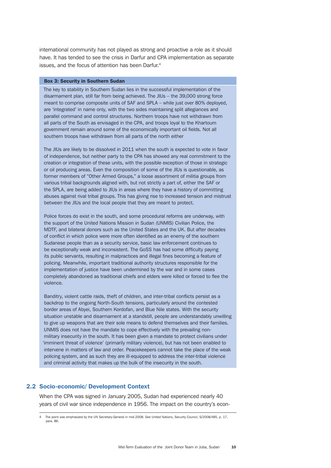<span id="page-31-0"></span>international community has not played as strong and proactive a role as it should have. It has tended to see the crisis in Darfur and CPA implementation as separate issues, and the focus of attention has been Darfur.4

#### Box 3: Security in Southern Sudan

The key to stability in Southern Sudan lies in the successful implementation of the disarmament plan, still far from being achieved. The JIUs – the 39,000 strong force meant to comprise composite units of SAF and SPLA – while just over 80% deployed, are 'integrated' in name only, with the two sides maintaining split allegiances and parallel command and control structures. Northern troops have not withdrawn from all parts of the South as envisaged in the CPA, and troops loyal to the Khartoum government remain around some of the economically important oil fields. Not all southern troops have withdrawn from all parts of the north either

The JIUs are likely to be dissolved in 2011 when the south is expected to vote in favor of independence, but neither party to the CPA has showed any real commitment to the creation or integration of these units, with the possible exception of those in strategic or oil producing areas. Even the composition of some of the JIUs is questionable, as former members of "Other Armed Groups," a loose assortment of militia groups from various tribal backgrounds aligned with, but not strictly a part of, either the SAF or the SPLA, are being added to JIUs in areas where they have a history of committing abuses against rival tribal groups. This has giving rise to increased tension and mistrust between the JIUs and the local people that they are meant to protect.

Police forces do exist in the south, and some procedural reforms are underway, with the support of the United Nations Mission in Sudan (UNMIS) Civilian Police, the MDTF, and bilateral donors such as the United States and the UK. But after decades of conflict in which police were more often identified as an enemy of the southern Sudanese people than as a security service, basic law enforcement continues to be exceptionally weak and inconsistent. The GoSS has had some difficulty paying its public servants, resulting in malpractices and illegal fines becoming a feature of policing. Meanwhile, important traditional authority structures responsible for the implementation of justice have been undermined by the war and in some cases completely abandoned as traditional chiefs and elders were killed or forced to flee the violence.

Banditry, violent cattle raids, theft of children, and inter-tribal conflicts persist as a backdrop to the ongoing North-South tensions, particularly around the contested border areas of Abyei, Southern Kordofan, and Blue Nile states. With the security situation unstable and disarmament at a standstill, people are understandably unwilling to give up weapons that are their sole means to defend themselves and their families. UNMIS does not have the mandate to cope effectively with the prevailing nonmilitary insecurity in the south. It has been given a mandate to protect civilians under 'imminent threat of violence' (primarily military violence), but has not been enabled to intervene in matters of law and order. Peacekeepers cannot take the place of the weak policing system, and as such they are ill-equipped to address the inter-tribal violence and criminal activity that makes up the bulk of the insecurity in the south.

# 2.2 Socio-economic/ Development Context

When the CPA was signed in January 2005, Sudan had experienced nearly 40 years of civil war since independence in 1956. The impact on the country's econ-

The point was emphasized by the UN Secretary-General in mid-2008. See United Nations, Security Council, S/2008/485, p. 17, para. 86.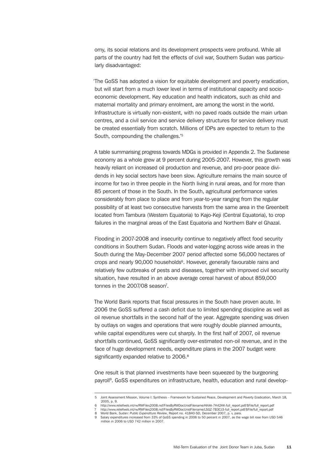omy, its social relations and its development prospects were profound. While all parts of the country had felt the effects of civil war, Southern Sudan was particularly disadvantaged:

'The GoSS has adopted a vision for equitable development and poverty eradication, but will start from a much lower level in terms of institutional capacity and socioeconomic development. Key education and health indicators, such as child and maternal mortality and primary enrolment, are among the worst in the world. Infrastructure is virtually non-existent, with no paved roads outside the main urban centres, and a civil service and service delivery structures for service delivery must be created essentially from scratch. Millions of IDPs are expected to return to the South, compounding the challenges.'5

A table summarising progress towards MDGs is provided in Appendix 2. The Sudanese economy as a whole grew at 9 percent during 2005-2007. However, this growth was heavily reliant on increased oil production and revenue, and pro-poor peace dividends in key social sectors have been slow. Agriculture remains the main source of income for two in three people in the North living in rural areas, and for more than 85 percent of those in the South. In the South, agricultural performance varies considerably from place to place and from year-to-year ranging from the regular possibility of at least two consecutive harvests from the same area in the Greenbelt located from Tambura (Western Equatoria) to Kajo-Keji (Central Equatoria), to crop failures in the marginal areas of the East Equatoria and Northern Bahr el Ghazal.

Flooding in 2007-2008 and insecurity continue to negatively affect food security conditions in Southern Sudan. Floods and water-logging across wide areas in the South during the May-December 2007 period affected some 56,000 hectares of crops and nearly 90,000 households<sup>6</sup>. However, generally favourable rains and relatively few outbreaks of pests and diseases, together with improved civil security situation, have resulted in an above average cereal harvest of about 859,000 tonnes in the 2007/08 season<sup>7</sup>.

The World Bank reports that fiscal pressures in the South have proven acute. In 2006 the GoSS suffered a cash deficit due to limited spending discipline as well as oil revenue shortfalls in the second half of the year. Aggregate spending was driven by outlays on wages and operations that were roughly double planned amounts, while capital expenditures were cut sharply. In the first half of 2007, oil revenue shortfalls continued, GoSS significantly over-estimated non-oil revenue, and in the face of huge development needs, expenditure plans in the 2007 budget were significantly expanded relative to 2006.<sup>8</sup>

One result is that planned investments have been squeezed by the burgeoning payroll<sup>9</sup>. GoSS expenditures on infrastructure, health, education and rural develop-

<sup>5</sup> Joint Assessment Mission, Volume I: Synthesis – Framework for Sustained Peace, Development and Poverty Eradication, March 18, 2005, p. 9. 6 http://www.reliefweb.int/rw/RWFiles2008.nsf/FilesByRWDocUnidFilename/KKAA-7K42KK-full\_report.pdf/\$File/full\_report.pdf

<sup>7</sup> http://www.reliefweb.int/rw/RWFiles2008.nsf/FilesByRWDocUnidFilename/LSGZ-7B3CJ3-full\_report.pdf/\$File/full\_report.pdf

<sup>8</sup> World Bank, *Sudan: Public Expenditure Review*, Report no. 41840-SD, December 2007, p. v, para.

<sup>9</sup> Salary expenditures increased from 33% of GoSS spending in 2006 to 50 percent in 2007, as the wage bill rose from USD 546 million in 2006 to USD 742 million in 2007.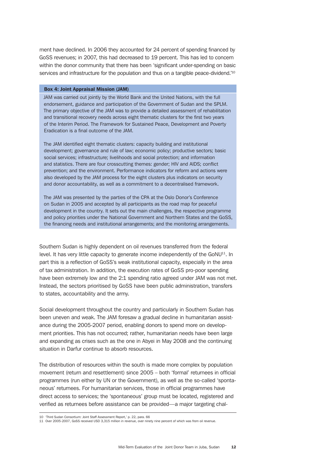ment have declined. In 2006 they accounted for 24 percent of spending financed by GoSS revenues; in 2007, this had decreased to 19 percent. This has led to concern within the donor community that there has been 'significant under-spending on basic services and infrastructure for the population and thus on a tangible peace-dividend.<sup>'10</sup>

#### Box 4: Joint Appraisal Mission (JAM)

JAM was carried out jointly by the World Bank and the United Nations, with the full endorsement, guidance and participation of the Government of Sudan and the SPLM. The primary objective of the JAM was to provide a detailed assessment of rehabilitation and transitional recovery needs across eight thematic clusters for the first two years of the Interim Period. The Framework for Sustained Peace, Development and Poverty Eradication is a final outcome of the JAM.

The JAM identified eight thematic clusters: capacity building and institutional development; governance and rule of law; economic policy; productive sectors; basic social services; infrastructure; livelihoods and social protection; and information and statistics. There are four crosscutting themes: gender; HIV and AIDS; conflict prevention; and the environment. Performance indicators for reform and actions were also developed by the JAM process for the eight clusters plus indicators on security and donor accountability, as well as a commitment to a decentralised framework.

The JAM was presented by the parties of the CPA at the Oslo Donor's Conference on Sudan in 2005 and accepted by all participants as the road map for peaceful development in the country. It sets out the main challenges, the respective programme and policy priorities under the National Government and Northern States and the GoSS, the financing needs and institutional arrangements; and the monitoring arrangements.

Southern Sudan is highly dependent on oil revenues transferred from the federal level. It has very little capacity to generate income independently of the GoNU<sup>11</sup>. In part this is a reflection of GoSS's weak institutional capacity, especially in the area of tax administration. In addition, the execution rates of GoSS pro-poor spending have been extremely low and the 2:1 spending ratio agreed under JAM was not met. Instead, the sectors prioritised by GoSS have been public administration, transfers to states, accountability and the army.

Social development throughout the country and particularly in Southern Sudan has been uneven and weak. The JAM foresaw a gradual decline in humanitarian assistance during the 2005-2007 period, enabling donors to spend more on development priorities. This has not occurred; rather, humanitarian needs have been large and expanding as crises such as the one in Abyei in May 2008 and the continuing situation in Darfur continue to absorb resources.

The distribution of resources within the south is made more complex by population movement (return and resettlement) since 2005 – both 'formal' returnees in official programmes (run either by UN or the Government), as well as the so-called 'spontaneous' returnees. For humanitarian services, those in official programmes have direct access to services; the 'spontaneous' group must be located, registered and verified as returnees before assistance can be provided—a major targeting chal-

<sup>10</sup> 'Third Sudan Consortium: Joint Staff Assessment Report,' p. 22, para. 66 11 Over 2005-2007, GoSS received USD 3,315 million in revenue, over ninety nine percent of which was from oil revenue.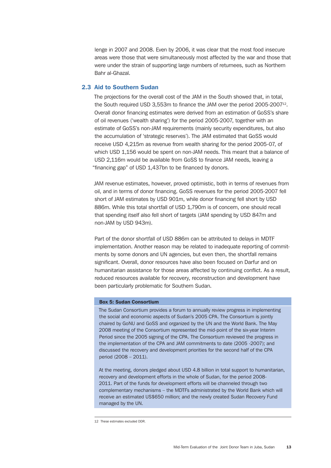<span id="page-34-0"></span>lenge in 2007 and 2008. Even by 2006, it was clear that the most food insecure areas were those that were simultaneously most affected by the war and those that were under the strain of supporting large numbers of returnees, such as Northern Bahr al-Ghazal.

#### 2.3 Aid to Southern Sudan

The projections for the overall cost of the JAM in the South showed that, in total, the South required USD 3,553m to finance the JAM over the period 2005-2007<sup>12</sup>. Overall donor financing estimates were derived from an estimation of GoSS's share of oil revenues ('wealth sharing') for the period 2005-2007, together with an estimate of GoSS's non-JAM requirements (mainly security expenditures, but also the accumulation of 'strategic reserves'). The JAM estimated that GoSS would receive USD 4,215m as revenue from wealth sharing for the period 2005-07, of which USD 1,156 would be spent on non-JAM needs. This meant that a balance of USD 2,116m would be available from GoSS to finance JAM needs, leaving a "financing gap" of USD 1,437bn to be financed by donors.

JAM revenue estimates, however, proved optimistic, both in terms of revenues from oil, and in terms of donor financing. GoSS revenues for the period 2005-2007 fell short of JAM estimates by USD 901m, while donor financing fell short by USD 886m. While this total shortfall of USD 1,790m is of concern, one should recall that spending itself also fell short of targets (JAM spending by USD 847m and non-JAM by USD 943m).

Part of the donor shortfall of USD 886m can be attributed to delays in MDTF implementation. Another reason may be related to inadequate reporting of commitments by some donors and UN agencies, but even then, the shortfall remains significant. Overall, donor resources have also been focused on Darfur and on humanitarian assistance for those areas affected by continuing conflict. As a result, reduced resources available for recovery, reconstruction and development have been particularly problematic for Southern Sudan.

# Box 5: Sudan Consortium

The Sudan Consortium provides a forum to annually review progress in implementing the social and economic aspects of Sudan's 2005 CPA. The Consortium is jointly chaired by GoNU and GoSS and organized by the UN and the World Bank. The May 2008 meeting of the Consortium represented the mid-point of the six-year Interim Period since the 2005 signing of the CPA. The Consortium reviewed the progress in the implementation of the CPA and JAM commitments to date (2005 -2007); and discussed the recovery and development priorities for the second half of the CPA period (2008 – 2011).

At the meeting, donors pledged about USD 4.8 billion in total support to humanitarian, recovery and development efforts in the whole of Sudan, for the period 2008- 2011. Part of the funds for development efforts will be channeled through two complementary mechanisms – the MDTFs administrated by the World Bank which will receive an estimated US\$650 million; and the newly created Sudan Recovery Fund managed by the UN.

<sup>12</sup> These estimates excluded DDR.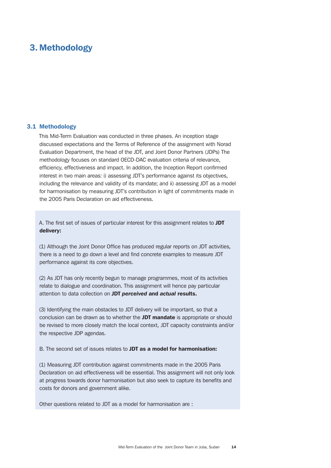# <span id="page-35-0"></span>3. Methodology

#### 3.1 Methodology

This Mid-Term Evaluation was conducted in three phases. An inception stage discussed expectations and the Terms of Reference of the assignment with Norad Evaluation Department, the head of the JDT, and Joint Donor Partners (JDPs) The methodology focuses on standard OECD-DAC evaluation criteria of relevance, efficiency, effectiveness and impact. In addition, the Inception Report confirmed interest in two main areas: i) assessing JDT's performance against its objectives, including the relevance and validity of its mandate; and ii) assessing JDT as a model for harmonisation by measuring JDT's contribution in light of commitments made in the 2005 Paris Declaration on aid effectiveness.

A. The first set of issues of particular interest for this assignment relates to JDT delivery:

(1) Although the Joint Donor Office has produced regular reports on JDT activities, there is a need to go down a level and find concrete examples to measure JDT performance against its core objectives.

(2) As JDT has only recently begun to manage programmes, most of its activities relate to dialogue and coordination. This assignment will hence pay particular attention to data collection on JDT *perceived* and *actual* results.

(3) Identifying the main obstacles to JDT delivery will be important, so that a conclusion can be drawn as to whether the JDT mandate is appropriate or should be revised to more closely match the local context, JDT capacity constraints and/or the respective JDP agendas.

B. The second set of issues relates to JDT as a model for harmonisation:

(1) Measuring JDT contribution against commitments made in the 2005 Paris Declaration on aid effectiveness will be essential. This assignment will not only look at progress towards donor harmonisation but also seek to capture its benefits and costs for donors and government alike.

Other questions related to JDT as a model for harmonisation are :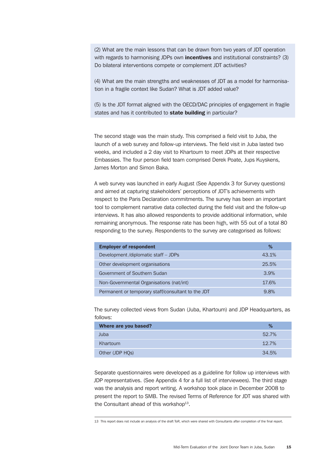(2) What are the main lessons that can be drawn from two years of JDT operation with regards to harmonising JDPs own **incentives** and institutional constraints? (3) Do bilateral interventions compete or complement JDT activities?

(4) What are the main strengths and weaknesses of JDT as a model for harmonisation in a fragile context like Sudan? What is JDT added value?

(5) Is the JDT format aligned with the OECD/DAC principles of engagement in fragile states and has it contributed to state building in particular?

The second stage was the main study. This comprised a field visit to Juba, the launch of a web survey and follow-up interviews. The field visit in Juba lasted two weeks, and included a 2 day visit to Khartoum to meet JDPs at their respective Embassies. The four person field team comprised Derek Poate, Jups Kuyskens, James Morton and Simon Baka.

A web survey was launched in early August (See Appendix 3 for Survey questions) and aimed at capturing stakeholders' perceptions of JDT's achievements with respect to the Paris Declaration commitments. The survey has been an important tool to complement narrative data collected during the field visit and the follow-up interviews. It has also allowed respondents to provide additional information, while remaining anonymous. The response rate has been high, with 55 out of a total 80 responding to the survey. Respondents to the survey are categorised as follows:

| <b>Employer of respondent</b>                      | %     |
|----------------------------------------------------|-------|
| Development /diplomatic staff - JDPs               | 43.1% |
| Other development organisations                    | 25.5% |
| Government of Southern Sudan                       | 3.9%  |
| Non-Governmental Organisations (nat/int)           | 17.6% |
| Permanent or temporary staff/consultant to the JDT | 98%   |

The survey collected views from Sudan (Juba, Khartoum) and JDP Headquarters, as follows:

| Where are you based? | %     |
|----------------------|-------|
| Juba                 | 52.7% |
| Khartoum             | 12.7% |
| Other (JDP HQs)      | 34.5% |

Separate questionnaires were developed as a guideline for follow up interviews with JDP representatives. (See Appendix 4 for a full list of interviewees). The third stage was the analysis and report writing. A workshop took place in December 2008 to present the report to SMB. The revised Terms of Reference for JDT was shared with the Consultant ahead of this workshop $13$ .

13 This report does not include an analysis of the draft ToR, which were shared with Consultants after completion of the final report.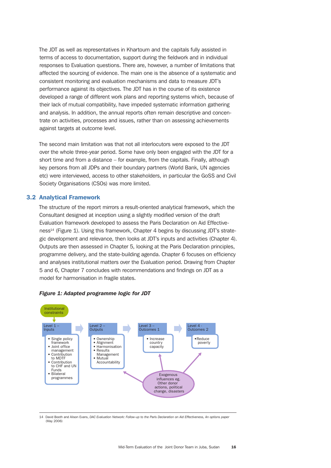The JDT as well as representatives in Khartoum and the capitals fully assisted in terms of access to documentation, support during the fieldwork and in individual responses to Evaluation questions. There are, however, a number of limitations that affected the sourcing of evidence. The main one is the absence of a systematic and consistent monitoring and evaluation mechanisms and data to measure JDT's performance against its objectives. The JDT has in the course of its existence developed a range of different work plans and reporting systems which, because of their lack of mutual compatibility, have impeded systematic information gathering and analysis. In addition, the annual reports often remain descriptive and concentrate on activities, processes and issues, rather than on assessing achievements against targets at outcome level.

The second main limitation was that not all interlocutors were exposed to the JDT over the whole three-year period. Some have only been engaged with the JDT for a short time and from a distance – for example, from the capitals. Finally, although key persons from all JDPs and their boundary partners (World Bank, UN agencies etc) were interviewed, access to other stakeholders, in particular the GoSS and Civil Society Organisations (CSOs) was more limited.

# 3.2 Analytical Framework

The structure of the report mirrors a result-oriented analytical framework, which the Consultant designed at inception using a slightly modified version of the draft Evaluation framework developed to assess the Paris Declaration on Aid Effectiveness<sup>14</sup> (Figure 1). Using this framework, Chapter 4 begins by discussing JDT's strategic development and relevance, then looks at JDT's inputs and activities (Chapter 4). Outputs are then assessed in Chapter 5, looking at the Paris Declaration principles, programme delivery, and the state-building agenda. Chapter 6 focuses on efficiency and analyses institutional matters over the Evaluation period. Drawing from Chapter 5 and 6, Chapter 7 concludes with recommendations and findings on JDT as a model for harmonisation in fragile states.





14 David Booth and Alison Evans, *DAC Evaluation Network: Follow-up to the Paris Declaration on Aid Effectiveness, An options paper* (May 2006)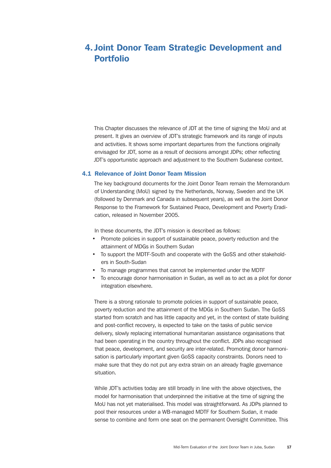# 4. Joint Donor Team Strategic Development and Portfolio

This Chapter discusses the relevance of JDT at the time of signing the MoU and at present. It gives an overview of JDT's strategic framework and its range of inputs and activities. It shows some important departures from the functions originally envisaged for JDT, some as a result of decisions amongst JDPs; other reflecting JDT's opportunistic approach and adjustment to the Southern Sudanese context.

## 4.1 Relevance of Joint Donor Team Mission

The key background documents for the Joint Donor Team remain the Memorandum of Understanding (MoU) signed by the Netherlands, Norway, Sweden and the UK (followed by Denmark and Canada in subsequent years), as well as the Joint Donor Response to the Framework for Sustained Peace, Development and Poverty Eradication, released in November 2005.

In these documents, the JDT's mission is described as follows:

- Promote policies in support of sustainable peace, poverty reduction and the attainment of MDGs in Southern Sudan
- To support the MDTF-South and cooperate with the GoSS and other stakeholders in South-Sudan
- To manage programmes that cannot be implemented under the MDTF
- To encourage donor harmonisation in Sudan, as well as to act as a pilot for donor integration elsewhere.

There is a strong rationale to promote policies in support of sustainable peace, poverty reduction and the attainment of the MDGs in Southern Sudan. The GoSS started from scratch and has little capacity and yet, in the context of state building and post-conflict recovery, is expected to take on the tasks of public service delivery, slowly replacing international humanitarian assistance organisations that had been operating in the country throughout the conflict. JDPs also recognised that peace, development, and security are inter-related. Promoting donor harmonisation is particularly important given GoSS capacity constraints. Donors need to make sure that they do not put any extra strain on an already fragile governance situation.

While JDT's activities today are still broadly in line with the above objectives, the model for harmonisation that underpinned the initiative at the time of signing the MoU has not yet materialised. This model was straightforward. As JDPs planned to pool their resources under a WB-managed MDTF for Southern Sudan, it made sense to combine and form one seat on the permanent Oversight Committee. This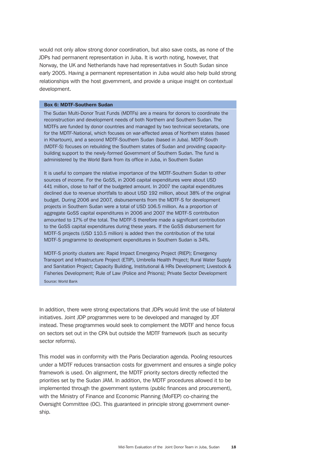would not only allow strong donor coordination, but also save costs, as none of the JDPs had permanent representation in Juba. It is worth noting, however, that Norway, the UK and Netherlands have had representatives in South Sudan since early 2005. Having a permanent representation in Juba would also help build strong relationships with the host government, and provide a unique insight on contextual development.

#### Box 6: MDTF-Southern Sudan

The Sudan Multi-Donor Trust Funds (MDTFs) are a means for donors to coordinate the reconstruction and development needs of both Northern and Southern Sudan. The MDTFs are funded by donor countries and managed by two technical secretariats, one for the MDTF-National, which focuses on war-affected areas of Northern states (based in Khartoum), and a second MDTF-Southern Sudan (based in Juba). MDTF-South (MDTF-S) focuses on rebuilding the Southern states of Sudan and providing capacitybuilding support to the newly-formed Government of Southern Sudan. The fund is administered by the World Bank from its office in Juba, in Southern Sudan

It is useful to compare the relative importance of the MDTF-Southern Sudan to other sources of income. For the GoSS, in 2006 capital expenditures were about USD 441 million, close to half of the budgeted amount. In 2007 the capital expenditures declined due to revenue shortfalls to about USD 192 million, about 38% of the original budget. During 2006 and 2007, disbursements from the MDTF-S for development projects in Southern Sudan were a total of USD 106.5 million. As a proportion of aggregate GoSS capital expenditures in 2006 and 2007 the MDTF-S contribution amounted to 17% of the total. The MDTF-S therefore made a significant contribution to the GoSS capital expenditures during these years. If the GoSS disbursement for MDTF-S projects (USD 110.5 million) is added then the contribution of the total MDTF-S programme to development expenditures in Southern Sudan is 34%.

MDTF-S priority clusters are: Rapid Impact Emergency Project (RIEP); Emergency Transport and Infrastructure Project (ETIP), Umbrella Health Project; Rural Water Supply and Sanitation Project; Capacity Building, Institutional & HRs Development; Livestock & Fisheries Development; Rule of Law (Police and Prisons); Private Sector Development Source: World Bank

In addition, there were strong expectations that JDPs would limit the use of bilateral initiatives. Joint JDP programmes were to be developed and managed by JDT instead. These programmes would seek to complement the MDTF and hence focus on sectors set out in the CPA but outside the MDTF framework (such as security sector reforms).

This model was in conformity with the Paris Declaration agenda. Pooling resources under a MDTF reduces transaction costs for government and ensures a single policy framework is used. On alignment, the MDTF priority sectors directly reflected the priorities set by the Sudan JAM. In addition, the MDTF procedures allowed it to be implemented through the government systems (public finances and procurement), with the Ministry of Finance and Economic Planning (MoFEP) co-chairing the Oversight Committee (OC). This guaranteed in principle strong government ownership.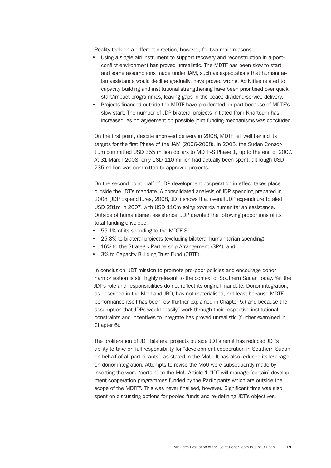Reality took on a different direction, however, for two main reasons:

- Using a single aid instrument to support recovery and reconstruction in a postconflict environment has proved unrealistic. The MDTF has been slow to start and some assumptions made under JAM, such as expectations that humanitarian assistance would decline gradually, have proved wrong. Activities related to capacity building and institutional strengthening have been prioritised over quick start/impact programmes, leaving gaps in the peace dividend/service delivery.
- Projects financed outside the MDTF have proliferated, in part because of MDTF's slow start. The number of JDP bilateral projects initiated from Khartoum has increased, as no agreement on possible joint funding mechanisms was concluded.

On the first point, despite improved delivery in 2008, MDTF fell well behind its targets for the first Phase of the JAM (2006-2008). In 2005, the Sudan Consortium committed USD 355 million dollars to MDTF-S Phase 1, up to the end of 2007. At 31 March 2008, only USD 110 million had actually been spent, although USD 235 million was committed to approved projects.

On the second point, half of JDP development cooperation in effect takes place outside the JDT's mandate. A consolidated analysis of JDP spending prepared in 2008 (JDP Expenditures, 2008, JDT) shows that overall JDP expenditure totaled USD 281m in 2007, with USD 110m going towards humanitarian assistance. Outside of humanitarian assistance, JDP devoted the following proportions of its total funding envelope:

- 55.1% of its spending to the MDTF-S,
- 25.8% to bilateral projects (excluding bilateral humanitarian spending),
- 16% to the Strategic Partnership Arrangement (SPA), and
- 3% to Capacity Building Trust Fund (CBTF).

In conclusion, JDT mission to promote pro-poor policies and encourage donor harmonisation is still highly relevant to the context of Southern Sudan today. Yet the JDT's role and responsibilities do not reflect its original mandate. Donor integration, as described in the MoU and JRD, has not materialised, not least because MDTF performance itself has been low (further explained in Chapter 5.) and because the assumption that JDPs would "easily" work through their respective institutional constraints and incentives to integrate has proved unrealistic (further examined in Chapter 6).

The proliferation of JDP bilateral projects outside JDT's remit has reduced JDT's ability to take on full responsibility for "development cooperation in Southern Sudan on behalf of all participants", as stated in the MoU. It has also reduced its leverage on donor integration. Attempts to revise the MoU were subsequently made by inserting the word "certain" to the MoU Article 1 "JDT will manage [certain] development cooperation programmes funded by the Participants which are outside the scope of the MDTF". This was never finalised, however. Significant time was also spent on discussing options for pooled funds and re-defining JDT's objectives.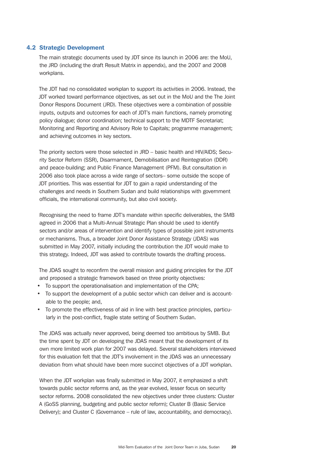# 4.2 Strategic Development

The main strategic documents used by JDT since its launch in 2006 are: the MoU, the JRD (including the draft Result Matrix in appendix), and the 2007 and 2008 workplans.

The JDT had no consolidated workplan to support its activities in 2006. Instead, the JDT worked toward performance objectives, as set out in the MoU and the The Joint Donor Respons Document (JRD). These objectives were a combination of possible inputs, outputs and outcomes for each of JDT's main functions, namely promoting policy dialogue; donor coordination; technical support to the MDTF Secretariat; Monitoring and Reporting and Advisory Role to Capitals; programme management; and achieving outcomes in key sectors.

The priority sectors were those selected in JRD – basic health and HIV/AIDS; Security Sector Reform (SSR), Disarmament, Demobilisation and Reintegration (DDR) and peace-building; and Public Finance Management (PFM). But consultation in 2006 also took place across a wide range of sectors– some outside the scope of JDT priorities. This was essential for JDT to gain a rapid understanding of the challenges and needs in Southern Sudan and build relationships with government officials, the international community, but also civil society.

Recognising the need to frame JDT's mandate within specific deliverables, the SMB agreed in 2006 that a Multi-Annual Strategic Plan should be used to identify sectors and/or areas of intervention and identify types of possible joint instruments or mechanisms. Thus, a broader Joint Donor Assistance Strategy (JDAS) was submitted in May 2007, initially including the contribution the JDT would make to this strategy. Indeed, JDT was asked to contribute towards the drafting process.

The JDAS sought to reconfirm the overall mission and guiding principles for the JDT and proposed a strategic framework based on three priority objectives:

- To support the operationalisation and implementation of the CPA;
- To support the development of a public sector which can deliver and is accountable to the people; and,
- To promote the effectiveness of aid in line with best practice principles, particularly in the post-conflict, fragile state setting of Southern Sudan.

The JDAS was actually never approved, being deemed too ambitious by SMB. But the time spent by JDT on developing the JDAS meant that the development of its own more limited work plan for 2007 was delayed. Several stakeholders interviewed for this evaluation felt that the JDT's involvement in the JDAS was an unnecessary deviation from what should have been more succinct objectives of a JDT workplan.

When the JDT workplan was finally submitted in May 2007, it emphasized a shift towards public sector reforms and, as the year evolved, lesser focus on security sector reforms. 2008 consolidated the new objectives under three clusters: Cluster A (GoSS planning, budgeting and public sector reform); Cluster B (Basic Service Delivery); and Cluster C (Governance – rule of law, accountability, and democracy).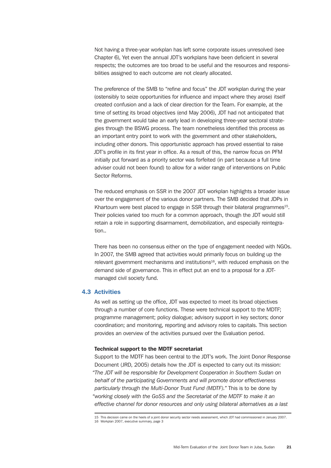Not having a three-year workplan has left some corporate issues unresolved (see Chapter 6), Yet even the annual JDT's workplans have been deficient in several respects; the outcomes are too broad to be useful and the resources and responsibilities assigned to each outcome are not clearly allocated.

The preference of the SMB to "refine and focus" the JDT workplan during the year (ostensibly to seize opportunities for influence and impact where they arose) itself created confusion and a lack of clear direction for the Team. For example, at the time of setting its broad objectives (end May 2006), JDT had not anticipated that the government would take an early lead in developing three-year sectoral strategies through the BSWG process. The team nonetheless identified this process as an important entry point to work with the government and other stakeholders, including other donors. This opportunistic approach has proved essential to raise JDT's profile in its first year in office. As a result of this, the narrow focus on PFM initially put forward as a priority sector was forfeited (in part because a full time adviser could not been found) to allow for a wider range of interventions on Public Sector Reforms.

The reduced emphasis on SSR in the 2007 JDT workplan highlights a broader issue over the engagement of the various donor partners. The SMB decided that JDPs in Khartoum were best placed to engage in SSR through their bilateral programmes<sup>15</sup>. Their policies varied too much for a common approach, though the JDT would still retain a role in supporting disarmament, demobilization, and especially reintegration..

There has been no consensus either on the type of engagement needed with NGOs. In 2007, the SMB agreed that activities would primarily focus on building up the relevant government mechanisms and institutions $16$ , with reduced emphasis on the demand side of governance. This in effect put an end to a proposal for a JDTmanaged civil society fund.

# 4.3 Activities

As well as setting up the office, JDT was expected to meet its broad objectives through a number of core functions. These were technical support to the MDTF; programme management; policy dialogue; advisory support in key sectors; donor coordination; and monitoring, reporting and advisory roles to capitals. This section provides an overview of the activities pursued over the Evaluation period.

## Technical support to the MDTF secretariat

Support to the MDTF has been central to the JDT's work. The Joint Donor Response Document (JRD, 2005) details how the JDT is expected to carry out its mission: *"The JDT will be responsible for Development Cooperation in Southern Sudan on behalf of the participating Governments and will promote donor effectiveness particularly through the Multi-Donor Trust Fund (MDTF)."* This is to be done by *"working closely with the GoSS and the Secretariat of the MDTF to make it an effective channel for donor resources and only using bilateral alternatives as a last* 

<sup>15</sup> This decision came on the heels of a joint donor security sector needs assessment, which JDT had commissioned in January 2007. 16 Workplan 2007, executive summary, page 3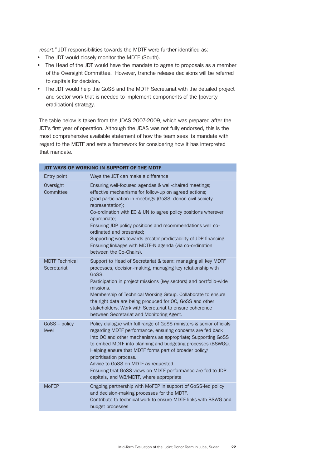*resort."* JDT responsibilities towards the MDTF were further identified as:

- The JDT would closely monitor the MDTF (South).
- The Head of the JDT would have the mandate to agree to proposals as a member of the Oversight Committee. However, tranche release decisions will be referred to capitals for decision.
- The JDT would help the GoSS and the MDTF Secretariat with the detailed project and sector work that is needed to implement components of the [poverty eradication] strategy.

The table below is taken from the JDAS 2007-2009, which was prepared after the JDT's first year of operation. Although the JDAS was not fully endorsed, this is the most comprehensive available statement of how the team sees its mandate with regard to the MDTF and sets a framework for considering how it has interpreted that mandate.

|                                      | JDT WAYS OF WORKING IN SUPPORT OF THE MDTF                                                                                                                                                                                                                                                                                                                                                                                                                                                                                             |
|--------------------------------------|----------------------------------------------------------------------------------------------------------------------------------------------------------------------------------------------------------------------------------------------------------------------------------------------------------------------------------------------------------------------------------------------------------------------------------------------------------------------------------------------------------------------------------------|
| Entry point                          | Ways the JDT can make a difference                                                                                                                                                                                                                                                                                                                                                                                                                                                                                                     |
| Oversight<br>Committee               | Ensuring well-focused agendas & well-chaired meetings;<br>effective mechanisms for follow-up on agreed actions;<br>good participation in meetings (GoSS, donor, civil society<br>representation);<br>Co-ordination with EC & UN to agree policy positions wherever<br>appropriate;<br>Ensuring JDP policy positions and recommendations well co-<br>ordinated and presented;<br>Supporting work towards greater predictability of JDP financing.<br>Ensuring linkages with MDTF-N agenda (via co-ordination<br>between the Co-Chairs). |
| <b>MDTF Technical</b><br>Secretariat | Support to Head of Secretariat & team: managing all key MDTF<br>processes, decision-making, managing key relationship with<br>GoSS.<br>Participation in project missions (key sectors) and portfolio-wide<br>missions.<br>Membership of Technical Working Group. Collaborate to ensure<br>the right data are being produced for OC, GoSS and other<br>stakeholders. Work with Secretariat to ensure coherence<br>between Secretariat and Monitoring Agent.                                                                             |
| $G$ oSS $-$ policy<br>level          | Policy dialogue with full range of GoSS ministers & senior officials<br>regarding MDTF performance, ensuring concerns are fed back<br>into OC and other mechanisms as appropriate; Supporting GoSS<br>to embed MDTF into planning and budgeting processes (BSWGs).<br>Helping ensure that MDTF forms part of broader policy/<br>prioritisation process.<br>Advice to GoSS on MDTF as requested.<br>Ensuring that GoSS views on MDTF performance are fed to JDP<br>capitals, and WB/MDTF, where appropriate                             |
| <b>MoFEP</b>                         | Ongoing partnership with MoFEP in support of GoSS-led policy<br>and decision-making processes for the MDTF.<br>Contribute to technical work to ensure MDTF links with BSWG and<br>budget processes                                                                                                                                                                                                                                                                                                                                     |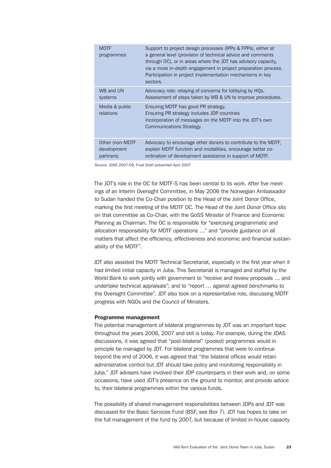| <b>MDTF</b><br>programmes   | Support to project design processes (IPPs & FPPs), either at<br>a general level (provision of technical advice and comments<br>through OC), or in areas where the JDT has advisory capacity.<br>via a more in-depth engagement in project preparation process.<br>Participation in project implementation mechanisms in key<br>sectors. |
|-----------------------------|-----------------------------------------------------------------------------------------------------------------------------------------------------------------------------------------------------------------------------------------------------------------------------------------------------------------------------------------|
| WB and UN                   | Advocacy role: relaying of concerns for lobbying by HQs.                                                                                                                                                                                                                                                                                |
| systems                     | Assessment of steps taken by WB & UN to improve procedures.                                                                                                                                                                                                                                                                             |
| Media & public<br>relations | Ensuring MDTF has good PR strategy.<br>Ensuring PR strategy includes JDP countries<br>Incorporation of messages on the MDTF into the JDT's own<br>Communications Strategy.                                                                                                                                                              |
| Other (non-MDTF             | Advocacy to encourage other donors to contribute to the MDTF,                                                                                                                                                                                                                                                                           |
| development                 | explain MDTF function and modalities, encourage better co-                                                                                                                                                                                                                                                                              |
| partners)                   | ordination of development assistance in support of MDTF.                                                                                                                                                                                                                                                                                |

Source: JDAS 2007-09, Final Draft presented April 2007

The JDT's role in the OC for MDTF-S has been central to its work. After five meetings of an Interim Oversight Committee, in May 2006 the Norwegian Ambassador to Sudan handed the Co-Chair position to the Head of the Joint Donor Office, marking the first meeting of the MDTF OC. The Head of the Joint Donor Office sits on that committee as Co-Chair, with the GoSS Minister of Finance and Economic Planning as Chairman. The OC is responsible for "exercising programmatic and allocation responsibility for MDTF operations …" and "provide guidance on all matters that affect the efficiency, effectiveness and economic and financial sustainability of the MDTF".

JDT also assisted the MDTF Technical Secretariat, especially in the first year when it had limited initial capacity in Juba. This Secretariat is managed and staffed by the World Bank to work jointly with government to "receive and review proposals ... and undertake technical appraisals"; and to "report … against agreed benchmarks to the Oversight Committee". JDT also took on a representative role, discussing MDTF progress with NGOs and the Council of Ministers.

### Programme management

The potential management of bilateral programmes by JDT was an important topic throughout the years 2006, 2007 and still is today. For example, during the JDAS discussions, it was agreed that "post-bilateral" (pooled) programmes would in principle be managed by JDT. For bilateral programmes that were to continue beyond the end of 2006, it was agreed that "the bilateral offices would retain administrative control but JDT should take policy and monitoring responsibility in Juba." JDT advisers have involved their JDP counterparts in their work and, on some occasions, have used JDT's presence on the ground to monitor, and provide advice to, their bilateral programmes within the various funds.

The possibility of shared management responsibilities between JDPs and JDT was discussed for the Basic Services Fund (BSF, see Box 7). JDT has hopes to take on the full management of the fund by 2007, but because of limited in-house capacity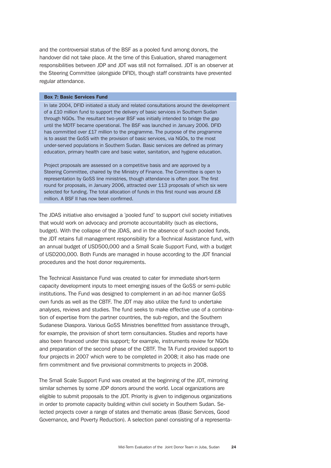and the controversial status of the BSF as a pooled fund among donors, the handover did not take place. At the time of this Evaluation, shared management responsibilities between JDP and JDT was still not formalised. JDT is an observer at the Steering Committee (alongside DFID), though staff constraints have prevented regular attendance.

#### Box 7: Basic Services Fund

In late 2004, DFID initiated a study and related consultations around the development of a £10 million fund to support the delivery of basic services in Southern Sudan through NGOs. The resultant two-year BSF was initially intended to bridge the gap until the MDTF became operational. The BSF was launched in January 2006. DFID has committed over £17 million to the programme. The purpose of the programme is to assist the GoSS with the provision of basic services, via NGOs, to the most under-served populations in Southern Sudan. Basic services are defined as primary education, primary health care and basic water, sanitation, and hygiene education.

Project proposals are assessed on a competitive basis and are approved by a Steering Committee, chaired by the Ministry of Finance. The Committee is open to representation by GoSS line ministries, though attendance is often poor. The first round for proposals, in January 2006, attracted over 113 proposals of which six were selected for funding. The total allocation of funds in this first round was around £8 million. A BSF II has now been confirmed.

The JDAS initiative also envisaged a 'pooled fund' to support civil society initiatives that would work on advocacy and promote accountability (such as elections, budget). With the collapse of the JDAS, and in the absence of such pooled funds, the JDT retains full management responsibility for a Technical Assistance fund, with an annual budget of USD500,000 and a Small Scale Support Fund, with a budget of USD200,000. Both Funds are managed in house according to the JDT financial procedures and the host donor requirements.

The Technical Assistance Fund was created to cater for immediate short-term capacity development inputs to meet emerging issues of the GoSS or semi-public institutions. The Fund was designed to complement in an ad-hoc manner GoSS own funds as well as the CBTF. The JDT may also utilize the fund to undertake analyses, reviews and studies. The fund seeks to make effective use of a combination of expertise from the partner countries, the sub-region, and the Southern Sudanese Diaspora. Various GoSS Ministries benefitted from assistance through, for example, the provision of short term consultancies. Studies and reports have also been financed under this support; for example, instruments review for NGOs and preparation of the second phase of the CBTF. The TA Fund provided support to four projects in 2007 which were to be completed in 2008; it also has made one firm commitment and five provisional commitments to projects in 2008.

The Small Scale Support Fund was created at the beginning of the JDT, mirroring similar schemes by some JDP donors around the world. Local organizations are eligible to submit proposals to the JDT. Priority is given to indigenous organizations in order to promote capacity building within civil society in Southern Sudan. Selected projects cover a range of states and thematic areas (Basic Services, Good Governance, and Poverty Reduction). A selection panel consisting of a representa-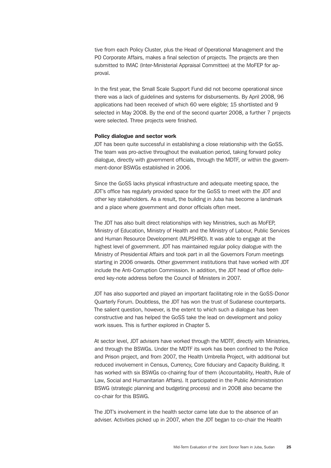tive from each Policy Cluster, plus the Head of Operational Management and the PO Corporate Affairs, makes a final selection of projects. The projects are then submitted to IMAC (Inter-Ministerial Appraisal Committee) at the MoFEP for approval.

In the first year, the Small Scale Support Fund did not become operational since there was a lack of guidelines and systems for disbursements. By April 2008, 96 applications had been received of which 60 were eligible; 15 shortlisted and 9 selected in May 2008. By the end of the second quarter 2008, a further 7 projects were selected. Three projects were finished.

## Policy dialogue and sector work

JDT has been quite successful in establishing a close relationship with the GoSS. The team was pro-active throughout the evaluation period, taking forward policy dialogue, directly with government officials, through the MDTF, or within the government-donor BSWGs established in 2006.

Since the GoSS lacks physical infrastructure and adequate meeting space, the JDT's office has regularly provided space for the GoSS to meet with the JDT and other key stakeholders. As a result, the building in Juba has become a landmark and a place where government and donor officials often meet.

The JDT has also built direct relationships with key Ministries, such as MoFEP, Ministry of Education, Ministry of Health and the Ministry of Labour, Public Services and Human Resource Development (MLPSHRD). It was able to engage at the highest level of government. JDT has maintained regular policy dialogue with the Ministry of Presidential Affairs and took part in all the Governors Forum meetings starting in 2006 onwards. Other government institutions that have worked with JDT include the Anti-Corruption Commission. In addition, the JDT head of office delivered key-note address before the Council of Ministers in 2007.

JDT has also supported and played an important facilitating role in the GoSS-Donor Quarterly Forum. Doubtless, the JDT has won the trust of Sudanese counterparts. The salient question, however, is the extent to which such a dialogue has been constructive and has helped the GoSS take the lead on development and policy work issues. This is further explored in Chapter 5.

At sector level, JDT advisers have worked through the MDTF, directly with Ministries, and through the BSWGs. Under the MDTF its work has been confined to the Police and Prison project, and from 2007, the Health Umbrella Project, with additional but reduced involvement in Census, Currency, Core fiduciary and Capacity Building. It has worked with six BSWGs co-chairing four of them (Accountability, Health, Rule of Law, Social and Humanitarian Affairs). It participated in the Public Administration BSWG (strategic planning and budgeting process) and in 2008 also became the co-chair for this BSWG.

The JDT's involvement in the health sector came late due to the absence of an adviser. Activities picked up in 2007, when the JDT began to co-chair the Health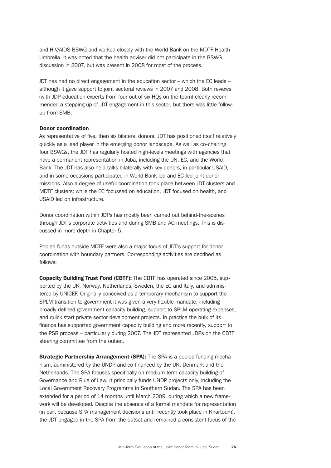and HIV/AIDS BSWG and worked closely with the World Bank on the MDTF Health Umbrella. It was noted that the health adviser did not participate in the BSWG discussion in 2007, but was present in 2008 for most of the process.

JDT has had no direct engagement in the education sector – which the EC leads – although it gave support to joint sectoral reviews in 2007 and 2008. Both reviews (with JDP education experts from four out of six HQs on the team) clearly recommended a stepping up of JDT engagement in this sector, but there was little followup from SMB.

## Donor coordination

As representative of five, then six bilateral donors, JDT has positioned itself relatively quickly as a lead player in the emerging donor landscape. As well as co-chairing four BSWGs, the JDT has regularly hosted high-levels meetings with agencies that have a permanent representation in Juba, including the UN, EC, and the World Bank. The JDT has also held talks bilaterally with key donors, in particular USAID, and in some occasions participated in World Bank-led and EC-led joint donor missions. Also a degree of useful coordination took place between JDT clusters and MDTF clusters; while the EC focussed on education, JDT focused on health, and USAID led on infrastructure.

Donor coordination within JDPs has mostly been carried out behind-the-scenes through JDT's corporate activities and during SMB and AG meetings. This is discussed in more depth in Chapter 5.

Pooled funds outside MDTF were also a major focus of JDT's support for donor coordination with boundary partners. Corresponding activities are decribed as follows:

Copacity Building Trust Fond (CBTF): The CBTF has operated since 2005, supported by the UK, Norway, Netherlands, Sweden, the EC and Italy, and administered by UNICEF. Originally conceived as a temporary mechanism to support the SPLM transition to government it was given a very flexible mandate, including broadly defined government capacity building, support to SPLM operating expenses, and quick start private sector development projects. In practice the bulk of its finance has supported government capacity building and more recently, support to the PSR process – particularly during 2007. The JDT represented JDPs on the CBTF steering committee from the outset.

**Strategic Partnership Arrangement (SPA):** The SPA is a pooled funding mechanism, administered by the UNDP and co-financed by the UK, Denmark and the Netherlands. The SPA focuses specifically on medium term capacity building of Governance and Rule of Law. It principally funds UNDP projects only, including the Local Government Recovery Programme in Southern Sudan. The SPA has been extended for a period of 14 months until March 2009, during which a new framework will be developed. Despite the absence of a formal mandate for representation (in part because SPA management decisions until recently took place in Khartoum), the JDT engaged in the SPA from the outset and remained a consistent focus of the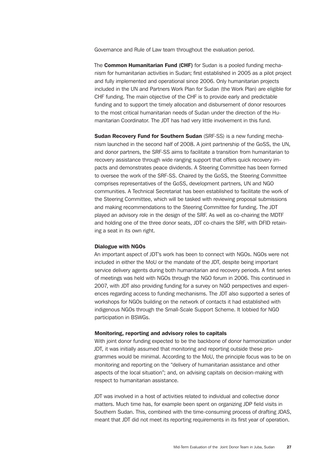Governance and Rule of Law team throughout the evaluation period.

The Common Humanitarian Fund (CHF) for Sudan is a pooled funding mechanism for humanitarian activities in Sudan; first established in 2005 as a pilot project and fully implemented and operational since 2006. Only humanitarian projects included in the UN and Partners Work Plan for Sudan (the Work Plan) are eligible for CHF funding. The main objective of the CHF is to provide early and predictable funding and to support the timely allocation and disbursement of donor resources to the most critical humanitarian needs of Sudan under the direction of the Humanitarian Coordinator. The JDT has had very little involvement in this fund.

Sudan Recovery Fund for Southern Sudan (SRF-SS) is a new funding mechanism launched in the second half of 2008. A joint partnership of the GoSS, the UN, and donor partners, the SRF-SS aims to facilitate a transition from humanitarian to recovery assistance through wide ranging support that offers quick recovery impacts and demonstrates peace dividends. A Steering Committee has been formed to oversee the work of the SRF-SS. Chaired by the GoSS, the Steering Committee comprises representatives of the GoSS, development partners, UN and NGO communities. A Technical Secretariat has been established to facilitate the work of the Steering Committee, which will be tasked with reviewing proposal submissions and making recommendations to the Steering Committee for funding. The JDT played an advisory role in the design of the SRF. As well as co-chairing the MDTF and holding one of the three donor seats, JDT co-chairs the SRF, with DFID retaining a seat in its own right.

## Dialogue with NGOs

An important aspect of JDT's work has been to connect with NGOs. NGOs were not included in either the MoU or the mandate of the JDT, despite being important service delivery agents during both humanitarian and recovery periods. A first series of meetings was held with NGOs through the NGO forum in 2006. This continued in 2007, with JDT also providing funding for a survey on NGO perspectives and experiences regarding access to funding mechanisms. The JDT also supported a series of workshops for NGOs building on the network of contacts it had established with indigenous NGOs through the Small-Scale Support Scheme. It lobbied for NGO participation in BSWGs.

#### Monitoring, reporting and advisory roles to capitals

With joint donor funding expected to be the backbone of donor harmonization under JDT, it was initially assumed that monitoring and reporting outside these programmes would be minimal. According to the MoU, the principle focus was to be on monitoring and reporting on the "delivery of humanitarian assistance and other aspects of the local situation"; and, on advising capitals on decision-making with respect to humanitarian assistance.

JDT was involved in a host of activities related to individual and collective donor matters. Much time has, for example been spent on organizing JDP field visits in Southern Sudan. This, combined with the time-consuming process of drafting JDAS, meant that JDT did not meet its reporting requirements in its first year of operation.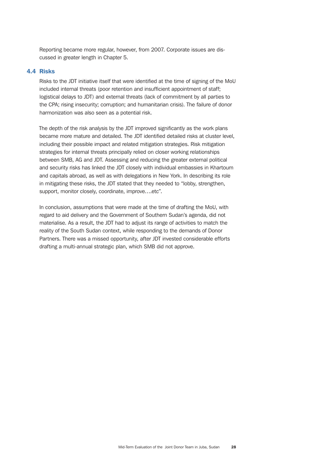Reporting became more regular, however, from 2007. Corporate issues are discussed in greater length in Chapter 5.

# 4.4 Risks

Risks to the JDT initiative itself that were identified at the time of signing of the MoU included internal threats (poor retention and insufficient appointment of staff; logistical delays to JDT) and external threats (lack of commitment by all parties to the CPA; rising insecurity; corruption; and humanitarian crisis). The failure of donor harmonization was also seen as a potential risk.

The depth of the risk analysis by the JDT improved significantly as the work plans became more mature and detailed. The JDT identified detailed risks at cluster level, including their possible impact and related mitigation strategies. Risk mitigation strategies for internal threats principally relied on closer working relationships between SMB, AG and JDT. Assessing and reducing the greater external political and security risks has linked the JDT closely with individual embassies in Khartoum and capitals abroad, as well as with delegations in New York. In describing its role in mitigating these risks, the JDT stated that they needed to "lobby, strengthen, support, monitor closely, coordinate, improve….etc".

In conclusion, assumptions that were made at the time of drafting the MoU, with regard to aid delivery and the Government of Southern Sudan's agenda, did not materialise. As a result, the JDT had to adjust its range of activities to match the reality of the South Sudan context, while responding to the demands of Donor Partners. There was a missed opportunity, after JDT invested considerable efforts drafting a multi-annual strategic plan, which SMB did not approve.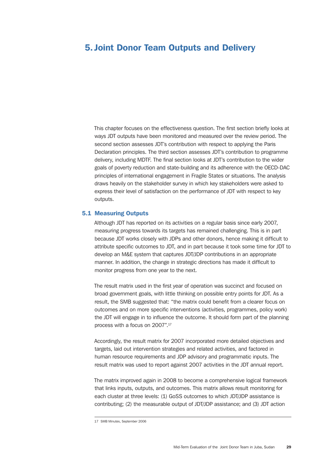# 5. Joint Donor Team Outputs and Delivery

This chapter focuses on the effectiveness question. The first section briefly looks at ways JDT outputs have been monitored and measured over the review period. The second section assesses JDT's contribution with respect to applying the Paris Declaration principles. The third section assesses JDT's contribution to programme delivery, including MDTF. The final section looks at JDT's contribution to the wider goals of poverty reduction and state-building and its adherence with the OECD-DAC principles of international engagement in Fragile States or situations. The analysis draws heavily on the stakeholder survey in which key stakeholders were asked to express their level of satisfaction on the performance of JDT with respect to key outputs.

# 5.1 Measuring Outputs

Although JDT has reported on its activities on a regular basis since early 2007, measuring progress towards its targets has remained challenging. This is in part because JDT works closely with JDPs and other donors, hence making it difficult to attribute specific outcomes to JDT, and in part because it took some time for JDT to develop an M&E system that captures JDT/JDP contributions in an appropriate manner. In addition, the change in strategic directions has made it difficult to monitor progress from one year to the next.

The result matrix used in the first year of operation was succinct and focused on broad government goals, with little thinking on possible entry points for JDT. As a result, the SMB suggested that: "the matrix could benefit from a clearer focus on outcomes and on more specific interventions (activities, programmes, policy work) the JDT will engage in to influence the outcome. It should form part of the planning process with a focus on 2007".17

Accordingly, the result matrix for 2007 incorporated more detailed objectives and targets, laid out intervention strategies and related activities, and factored in human resource requirements and JDP advisory and programmatic inputs. The result matrix was used to report against 2007 activities in the JDT annual report.

The matrix improved again in 2008 to become a comprehensive logical framework that links inputs, outputs, and outcomes. This matrix allows result monitoring for each cluster at three levels: (1) GoSS outcomes to which JDT/JDP assistance is contributing; (2) the measurable output of JDT/JDP assistance; and (3) JDT action

<sup>17</sup> SMB Minutes, September 2006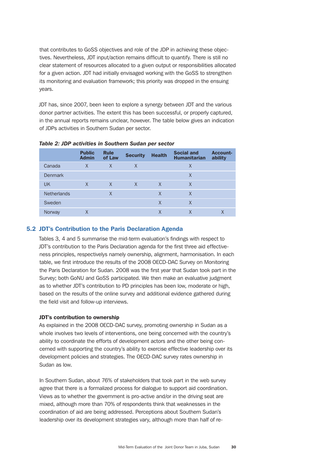that contributes to GoSS objectives and role of the JDP in achieving these objectives. Nevertheless, JDT input/action remains difficult to quantify. There is still no clear statement of resources allocated to a given output or responsibilities allocated for a given action. JDT had initially envisaged working with the GoSS to strengthen its monitoring and evaluation framework; this priority was dropped in the ensuing years.

JDT has, since 2007, been keen to explore a synergy between JDT and the various donor partner activities. The extent this has been successful, or properly captured, in the annual reports remains unclear, however. The table below gives an indication of JDPs activities in Southern Sudan per sector.

|                    | <b>Public</b><br><b>Admin</b> | <b>Rule</b><br>of Law | <b>Security</b> | <b>Health</b> | <b>Social and</b><br><b>Humanitarian</b> | <b>Account-</b><br>ability |
|--------------------|-------------------------------|-----------------------|-----------------|---------------|------------------------------------------|----------------------------|
| Canada             | X                             | $\times$              | X               |               | X                                        |                            |
| <b>Denmark</b>     |                               |                       |                 |               | X                                        |                            |
| <b>UK</b>          | X                             | $\times$              | $\mathsf{X}$    | X             | X                                        |                            |
| <b>Netherlands</b> |                               | X                     |                 | X             | X                                        |                            |
| Sweden             |                               |                       |                 | X             | X                                        |                            |
| Norway             | Χ                             |                       |                 | X             |                                          |                            |

*Table 2: JDP activities in Southern Sudan per sector*

# 5.2 JDT's Contribution to the Paris Declaration Agenda

Tables 3, 4 and 5 summarise the mid-term evaluation's findings with respect to JDT's contribution to the Paris Declaration agenda for the first three aid effectiveness principles, respectivelys namely ownership, alignment, harmonisation. In each table, we first introduce the results of the 2008 OECD-DAC Survey on Monitoring the Paris Declaration for Sudan. 2008 was the first year that Sudan took part in the Survey; both GoNU and GoSS participated. We then make an evaluative judgment as to whether JDT's contribution to PD principles has been low, moderate or high, based on the results of the online survey and additional evidence gathered during the field visit and follow-up interviews.

## JDT's contribution to ownership

As explained in the 2008 OECD-DAC survey, promoting ownership in Sudan as a whole involves two levels of interventions, one being concerned with the country's ability to coordinate the efforts of development actors and the other being concerned with supporting the country's ability to exercise effective leadership over its development policies and strategies. The OECD-DAC survey rates ownership in Sudan as low.

In Southern Sudan, about 76% of stakeholders that took part in the web survey agree that there is a formalized process for dialogue to support aid coordination. Views as to whether the government is pro-active and/or in the driving seat are mixed, although more than 70% of respondents think that weaknesses in the coordination of aid are being addressed. Perceptions about Southern Sudan's leadership over its development strategies vary, although more than half of re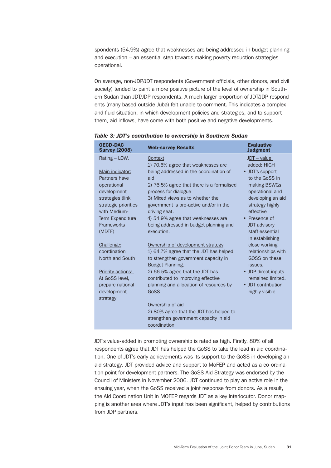spondents (54.9%) agree that weaknesses are being addressed in budget planning and execution – an essential step towards making poverty reduction strategies operational.

On average, non-JDP/JDT respondents (Government officials, other donors, and civil society) tended to paint a more positive picture of the level of ownership in Southern Sudan than JDT/JDP respondents. A much larger proportion of JDT/JDP respondents (many based outside Juba) felt unable to comment. This indicates a complex and fluid situation, in which development policies and strategies, and to support them, aid inflows, have come with both positive and negative developments.

| <b>OECD-DAC</b><br><b>Survey (2008)</b>                  | <b>Web-survey Results</b>                                                                                            | <b>Evaluative</b><br><b>Judgment</b>                      |
|----------------------------------------------------------|----------------------------------------------------------------------------------------------------------------------|-----------------------------------------------------------|
| Rating - LOW.                                            | Context<br>1) 70.6% agree that weaknesses are                                                                        | $JDT - value$<br>added: HIGH                              |
| Main indicator:<br>Partners have                         | being addressed in the coordination of<br>aid                                                                        | • JDT's support<br>to the GoSS in                         |
| operational<br>development                               | 2) 76.5% agree that there is a formalised<br>process for dialogue                                                    | making BSWGs<br>operational and                           |
| strategies (link<br>strategic priorities<br>with Medium- | 3) Mixed views as to whether the<br>government is pro-active and/or in the<br>driving seat.                          | developing an aid<br>strategy highly<br>effective         |
| <b>Term Expenditure</b>                                  | 4) 54.9% agree that weaknesses are                                                                                   | • Presence of                                             |
| <b>Frameworks</b><br>(MDTF)                              | being addressed in budget planning and<br>execution.                                                                 | <b>JDT</b> advisory<br>staff essential<br>in establishing |
| Challenge:                                               | Ownership of development strategy                                                                                    | close working                                             |
| coordination<br>North and South                          | 1) 64.7% agree that the JDT has helped<br>to strengthen government capacity in<br>Budget Planning.                   | relationships with<br>GOSS on these<br>issues.            |
| <b>Priority actions:</b>                                 | 2) 66.5% agree that the JDT has                                                                                      | • JDP direct inputs                                       |
| At GoSS level,<br>prepare national                       | contributed to improving effective<br>planning and allocation of resources by                                        | remained limited.<br>• JDT contribution                   |
| development<br>strategy                                  | GoSS.                                                                                                                | highly visible                                            |
|                                                          | Ownership of aid<br>2) 80% agree that the JDT has helped to<br>strengthen government capacity in aid<br>coordination |                                                           |

*Table 3: JDT's contribution to ownership in Southern Sudan*

JDT's value-added in promoting ownership is rated as high. Firstly, 80% of all respondents agree that JDT has helped the GoSS to take the lead in aid coordination. One of JDT's early achievements was its support to the GoSS in developing an aid strategy. JDT provided advice and support to MoFEP and acted as a co-ordination point for development partners. The GoSS Aid Strategy was endorsed by the Council of Ministers in November 2006. JDT continued to play an active role in the ensuing year, when the GoSS received a joint response from donors. As a result, the Aid Coordination Unit in MOFEP regards JDT as a key interlocutor. Donor mapping is another area where JDT's input has been significant, helped by contributions from JDP partners.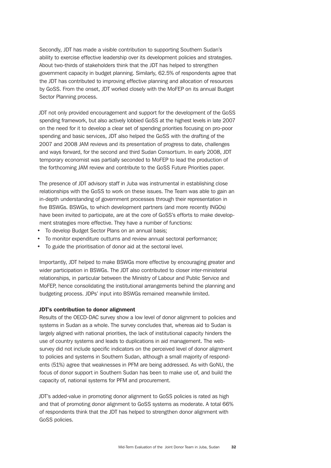Secondly, JDT has made a visible contribution to supporting Southern Sudan's ability to exercise effective leadership over its development policies and strategies. About two-thirds of stakeholders think that the JDT has helped to strengthen government capacity in budget planning. Similarly, 62.5% of respondents agree that the JDT has contributed to improving effective planning and allocation of resources by GoSS. From the onset, JDT worked closely with the MoFEP on its annual Budget Sector Planning process.

JDT not only provided encouragement and support for the development of the GoSS spending framework, but also actively lobbied GoSS at the highest levels in late 2007 on the need for it to develop a clear set of spending priorities focusing on pro-poor spending and basic services, JDT also helped the GoSS with the drafting of the 2007 and 2008 JAM reviews and its presentation of progress to date, challenges and ways forward, for the second and third Sudan Consortium. In early 2008, JDT temporary economist was partially seconded to MoFEP to lead the production of the forthcoming JAM review and contribute to the GoSS Future Priorities paper.

The presence of JDT advisory staff in Juba was instrumental in establishing close relationships with the GoSS to work on these issues. The Team was able to gain an in-depth understanding of government processes through their representation in five BSWGs. BSWGs, to which development partners (and more recently INGOs) have been invited to participate, are at the core of GoSS's efforts to make development strategies more effective. They have a number of functions:

- To develop Budget Sector Plans on an annual basis;
- To monitor expenditure outturns and review annual sectoral performance;
- To guide the prioritisation of donor aid at the sectoral level.

Importantly, JDT helped to make BSWGs more effective by encouraging greater and wider participation in BSWGs. The JDT also contributed to closer inter-ministerial relationships, in particular between the Ministry of Labour and Public Service and MoFEP, hence consolidating the institutional arrangements behind the planning and budgeting process. JDPs' input into BSWGs remained meanwhile limited.

## JDT's contribution to donor alignment

Results of the OECD-DAC survey show a low level of donor alignment to policies and systems in Sudan as a whole. The survey concludes that, whereas aid to Sudan is largely aligned with national priorities, the lack of institutional capacity hinders the use of country systems and leads to duplications in aid management. The websurvey did not include specific indicators on the perceived level of donor alignment to policies and systems in Southern Sudan, although a small majority of respondents (51%) agree that weaknesses in PFM are being addressed. As with GoNU, the focus of donor support in Southern Sudan has been to make use of, and build the capacity of, national systems for PFM and procurement.

JDT's added-value in promoting donor alignment to GoSS policies is rated as high and that of promoting donor alignment to GoSS systems as moderate. A total 66% of respondents think that the JDT has helped to strengthen donor alignment with GoSS policies.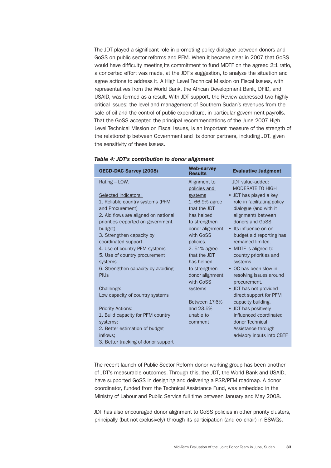The JDT played a significant role in promoting policy dialogue between donors and GoSS on public sector reforms and PFM. When it became clear in 2007 that GoSS would have difficulty meeting its commitment to fund MDTF on the agreed 2:1 ratio, a concerted effort was made, at the JDT's suggestion, to analyze the situation and agree actions to address it. A High Level Technical Mission on Fiscal Issues, with representatives from the World Bank, the African Development Bank, DFID, and USAID, was formed as a result. With JDT support, the Review addressed two highly critical issues: the level and management of Southern Sudan's revenues from the sale of oil and the control of public expenditure, in particular government payrolls. That the GoSS accepted the principal recommendations of the June 2007 High Level Technical Mission on Fiscal Issues, is an important measure of the strength of the relationship between Government and its donor partners, including JDT, given the sensitivity of these issues.

| <b>OECD-DAC Survey (2008)</b>        | <b>Web-survey</b><br><b>Results</b> | <b>Evaluative Judgment</b>  |
|--------------------------------------|-------------------------------------|-----------------------------|
| Rating - LOW.                        | Alignment to                        | JDT value-added:            |
|                                      | policies and                        | <b>MODERATE TO HIGH</b>     |
| Selected Indicators:                 | systems                             | • JDT has played a key      |
| 1. Reliable country systems (PFM     | 1.66.9% agree                       | role in facilitating policy |
| and Procurement)                     | that the JDT                        | dialogue (and with it       |
| 2. Aid flows are aligned on national | has helped                          | alignment) between          |
| priorities (reported on government   | to strengthen                       | donors and GoSS             |
| budget)                              | donor alignment                     | • Its influence on on-      |
| 3. Strengthen capacity by            | with GoSS                           | budget aid reporting has    |
| coordinated support                  | policies.                           | remained limited.           |
| 4. Use of country PFM systems        | 2.51% agree                         | • MDTF is aligned to        |
| 5. Use of country procurement        | that the JDT                        | country priorities and      |
| systems                              | has helped                          | systems                     |
| 6. Strengthen capacity by avoiding   | to strengthen                       | • OC has been slow in       |
| <b>PIUs</b>                          | donor alignment                     | resolving issues around     |
|                                      | with GoSS                           | procurement.                |
| Challenge:                           | systems                             | • JDT has not provided      |
| Low capacity of country systems      |                                     | direct support for PFM      |
|                                      | Between 17.6%                       | capacity building.          |
| <b>Priority Actions:</b>             | and 23.5%                           | • JDT has positively        |
| 1. Build capacity for PFM country    | unable to                           | influenced coordinated      |
| systems;                             | comment                             | donor Technical             |
| 2. Better estimation of budget       |                                     | Assistance through          |
| inflows:                             |                                     | advisory inputs into CBTF   |
| 3. Better tracking of donor support  |                                     |                             |

|  |  |  |  | Table 4: JDT's contribution to donor alignment |  |  |  |
|--|--|--|--|------------------------------------------------|--|--|--|
|--|--|--|--|------------------------------------------------|--|--|--|

The recent launch of Public Sector Reform donor working group has been another of JDT's measurable outcomes. Through this, the JDT, the World Bank and USAID, have supported GoSS in designing and delivering a PSR/PFM roadmap. A donor coordinator, funded from the Technical Assistance Fund, was embedded in the Ministry of Labour and Public Service full time between January and May 2008.

JDT has also encouraged donor alignment to GoSS policies in other priority clusters, principally (but not exclusively) through its participation (and co-chair) in BSWGs.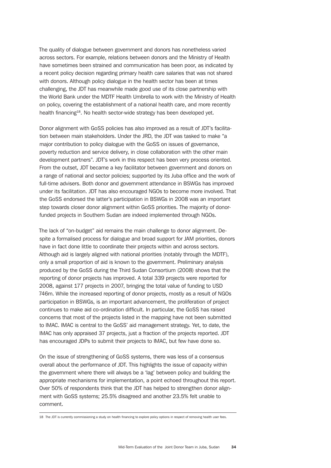The quality of dialogue between government and donors has nonetheless varied across sectors. For example, relations between donors and the Ministry of Health have sometimes been strained and communication has been poor, as indicated by a recent policy decision regarding primary health care salaries that was not shared with donors. Although policy dialogue in the health sector has been at times challenging, the JDT has meanwhile made good use of its close partnership with the World Bank under the MDTF Health Umbrella to work with the Ministry of Health on policy, covering the establishment of a national health care, and more recently health financing<sup>18</sup>. No health sector-wide strategy has been developed yet.

Donor alignment with GoSS policies has also improved as a result of JDT's facilitation between main stakeholders. Under the JRD, the JDT was tasked to make "a major contribution to policy dialogue with the GoSS on issues of governance, poverty reduction and service delivery, in close collaboration with the other main development partners". JDT's work in this respect has been very process oriented. From the outset, JDT became a key facilitator between government and donors on a range of national and sector policies; supported by its Juba office and the work of full-time advisers. Both donor and government attendance in BSWGs has improved under its facilitation. JDT has also encouraged NGOs to become more involved. That the GoSS endorsed the latter's participation in BSWGs in 2008 was an important step towards closer donor alignment within GoSS priorities. The majority of donorfunded projects in Southern Sudan are indeed implemented through NGOs.

The lack of "on-budget" aid remains the main challenge to donor alignment. Despite a formalised process for dialogue and broad support for JAM priorities, donors have in fact done little to coordinate their projects within and across sectors. Although aid is largely aligned with national priorities (notably through the MDTF), only a small proportion of aid is known to the government. Preliminary analysis produced by the GoSS during the Third Sudan Consortium (2008) shows that the reporting of donor projects has improved. A total 339 projects were reported for 2008, against 177 projects in 2007, bringing the total value of funding to USD 746m. While the increased reporting of donor projects, mostly as a result of NGOs participation in BSWGs, is an important advancement, the proliferation of project continues to make aid co-ordination difficult. In particular, the GoSS has raised concerns that most of the projects listed in the mapping have not been submitted to IMAC. IMAC is central to the GoSS' aid management strategy. Yet, to date, the IMAC has only appraised 37 projects, just a fraction of the projects reported. JDT has encouraged JDPs to submit their projects to IMAC, but few have done so.

On the issue of strengthening of GoSS systems, there was less of a consensus overall about the performance of JDT. This highlights the issue of capacity within the government where there will always be a 'lag' between policy and building the appropriate mechanisms for implementation, a point echoed throughout this report. Over 50% of respondents think that the JDT has helped to strengthen donor alignment with GoSS systems; 25.5% disagreed and another 23.5% felt unable to comment.

<sup>18</sup> The JDT is currently commissioning a study on health financing to explore policy options in respect of removing health user fees.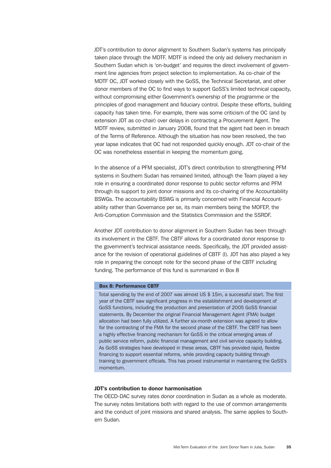JDT's contribution to donor alignment to Southern Sudan's systems has principally taken place through the MDTF. MDTF is indeed the only aid delivery mechanism in Southern Sudan which is 'on-budget' and requires the direct involvement of government line agencies from project selection to implementation. As co-chair of the MDTF OC, JDT worked closely with the GoSS, the Technical Secretariat, and other donor members of the OC to find ways to support GoSS's limited technical capacity, without compromising either Government's ownership of the programme or the principles of good management and fiduciary control. Despite these efforts, building capacity has taken time. For example, there was some criticism of the OC (and by extension JDT as co-chair) over delays in contracting a Procurement Agent. The MDTF review, submitted in January 2008, found that the agent had been in breach of the Terms of Reference. Although the situation has now been resolved, the two year lapse indicates that OC had not responded quickly enough. JDT co-chair of the OC was nonetheless essential in keeping the momentum going.

In the absence of a PFM specialist, JDT's direct contribution to strengthening PFM systems in Southern Sudan has remained limited, although the Team played a key role in ensuring a coordinated donor response to public sector reforms and PFM through its support to joint donor missions and its co-chairing of the Accountability BSWGs. The accountability BSWG is primarily concerned with Financial Accountability rather than Governance per se, its main members being the MOFEP, the Anti-Corruption Commission and the Statistics Commission and the SSRDF.

Another JDT contribution to donor alignment in Southern Sudan has been through its involvement in the CBTF. The CBTF allows for a coordinated donor response to the government's technical assistance needs. Specifically, the JDT provided assistance for the revision of operational guidelines of CBTF (I). JDT has also played a key role in preparing the concept note for the second phase of the CBTF including funding. The performance of this fund is summarized in Box 8

## Box 8: Performance CBTF

Total spending by the end of 2007 was almost US \$ 15m, a successful start. The first year of the CBTF saw significant progress in the establishment and development of GoSS functions, including the production and presentation of 2005 GoSS financial statements. By December the original Financial Management Agent (FMA) budget allocation had been fully utilized. A further six-month extension was agreed to allow for the contracting of the FMA for the second phase of the CBTF. The CBTF has been a highly effective financing mechanism for GoSS in the critical emerging areas of public service reform, public financial management and civil service capacity building. As GoSS strategies have developed in these areas, CBTF has provided rapid, flexible financing to support essential reforms, while providing capacity building through training to government officials. This has proved instrumental in maintaining the GoSS's momentum.

## JDT's contribution to donor harmonisation

The OECD-DAC survey rates donor coordination in Sudan as a whole as moderate. The survey notes limitations both with regard to the use of common arrangements and the conduct of joint missions and shared analysis. The same applies to Southern Sudan.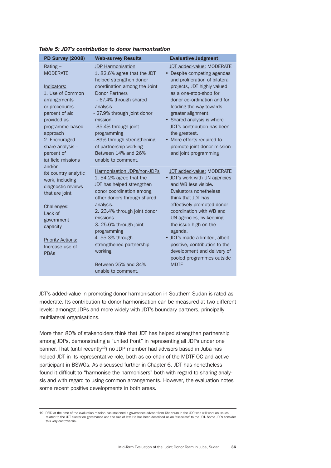| <b>PD Survey (2008)</b>                                                                                                                                                                                                                   | <b>Web-survey Results</b>                                                                                                                                                                                                                                                                                                                                                | <b>Evaluative Judgment</b>                                                                                                                                                                                                                                                                                                                                                                                       |
|-------------------------------------------------------------------------------------------------------------------------------------------------------------------------------------------------------------------------------------------|--------------------------------------------------------------------------------------------------------------------------------------------------------------------------------------------------------------------------------------------------------------------------------------------------------------------------------------------------------------------------|------------------------------------------------------------------------------------------------------------------------------------------------------------------------------------------------------------------------------------------------------------------------------------------------------------------------------------------------------------------------------------------------------------------|
| Rating-<br><b>MODERATE</b><br>Indicators:<br>1. Use of Common<br>arrangements<br>or procedures -<br>percent of aid<br>provided as<br>programme-based<br>approach<br>2. Encouraged<br>share analysis -<br>percent of<br>(a) field missions | <b>JDP Harmonisation</b><br>1.82.6% agree that the JDT<br>helped strengthen donor<br>coordination among the Joint<br><b>Donor Partners</b><br>- 67.4% through shared<br>analysis<br>- 27.9% through joint donor<br>mission<br>- 35.4% through joint<br>programming<br>- 89% through strengthening<br>of partnership working<br>Between 14% and 26%<br>unable to comment. | JDT added-value: MODERATE<br>• Despite competing agendas<br>and proliferation of bilateral<br>projects, JDT highly valued<br>as a one-stop-shop for<br>donor co-ordination and for<br>leading the way towards<br>greater alignment.<br>• Shared analysis is where<br>JDT's contribution has been<br>the greatest.<br>• More efforts required to<br>promote joint donor mission<br>and joint programming          |
| and/or<br>(b) country analytic<br>work, including<br>diagnostic reviews<br>that are joint<br>Challenges:<br>Lack of<br>government<br>capacity<br><b>Priority Actions:</b><br>Increase use of<br><b>PBAs</b>                               | Harmonisation JDPs/non-JDPs<br>1.54.2% agree that the<br>JDT has helped strengthen<br>donor coordination among<br>other donors through shared<br>analysis.<br>2. 23.4% through joint donor<br>missions<br>3. 25.6% through joint<br>programming<br>4.55.3% through<br>strengthened partnership<br>working<br>Between 25% and 34%<br>unable to comment.                   | <b>JDT</b> added-value: MODERATE<br>• JDT's work with UN agencies<br>and WB less visible.<br>Evaluators nonetheless<br>think that JDT has<br>effectively promoted donor<br>coordination with WB and<br>UN agencies, by keeping<br>the issue high on the<br>agenda.<br>• JDT's made a limited, albeit<br>positive, contribution to the<br>development and delivery of<br>pooled programmes outside<br><b>MDTF</b> |

*Table 5: JDT's contribution to donor harmonisation*

JDT's added-value in promoting donor harmonisation in Southern Sudan is rated as moderate. Its contribution to donor harmonisation can be measured at two different levels: amongst JDPs and more widely with JDT's boundary partners, principally multilateral organisations.

More than 80% of stakeholders think that JDT has helped strengthen partnership among JDPs, demonstrating a "united front" in representing all JDPs under one banner. That (until recently<sup>19</sup>) no JDP member had advisors based in Juba has helped JDT in its representative role, both as co-chair of the MDTF OC and active participant in BSWGs. As discussed further in Chapter 6. JDT has nonetheless found it difficult to "harmonise the harmonisers" both with regard to sharing analysis and with regard to using common arrangements. However, the evaluation notes some recent positive developments in both areas.

<sup>19</sup> DFID at the time of the evaluation mission has stationed a governance advisor from Khartoum in the JDO who will work on issues related to the JDT cluster on governance and the rule of law. He has been described as an 'associate' to the JDT. Some JDPs consider this very controversial.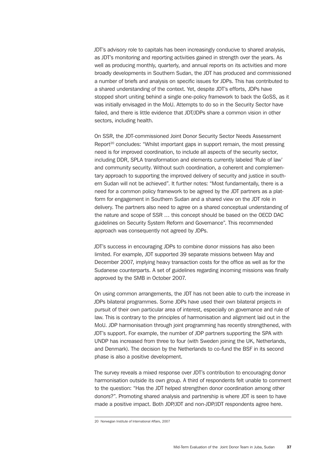JDT's advisory role to capitals has been increasingly conducive to shared analysis, as JDT's monitoring and reporting activities gained in strength over the years. As well as producing monthly, quarterly, and annual reports on its activities and more broadly developments in Southern Sudan, the JDT has produced and commissioned a number of briefs and analysis on specific issues for JDPs. This has contributed to a shared understanding of the context. Yet, despite JDT's efforts, JDPs have stopped short uniting behind a single one-policy framework to back the GoSS, as it was initially envisaged in the MoU. Attempts to do so in the Security Sector have failed, and there is little evidence that JDT/JDPs share a common vision in other sectors, including health.

On SSR, the JDT-commissioned Joint Donor Security Sector Needs Assessment Report<sup>20</sup> concludes: "Whilst important gaps in support remain, the most pressing need is for improved coordination, to include all aspects of the security sector, including DDR, SPLA transformation and elements currently labeled 'Rule of law' and community security. Without such coordination, a coherent and complementary approach to supporting the improved delivery of security and justice in southern Sudan will not be achieved". It further notes: "Most fundamentally, there is a need for a common policy framework to be agreed by the JDT partners as a platform for engagement in Southern Sudan and a shared view on the JDT role in delivery. The partners also need to agree on a shared conceptual understanding of the nature and scope of SSR … this concept should be based on the OECD DAC guidelines on Security System Reform and Governance". This recommended approach was consequently not agreed by JDPs.

JDT's success in encouraging JDPs to combine donor missions has also been limited. For example, JDT supported 39 separate missions between May and December 2007, implying heavy transaction costs for the office as well as for the Sudanese counterparts. A set of guidelines regarding incoming missions was finally approved by the SMB in October 2007.

On using common arrangements, the JDT has not been able to curb the increase in JDPs bilateral programmes. Some JDPs have used their own bilateral projects in pursuit of their own particular area of interest, especially on governance and rule of law. This is contrary to the principles of harmonisation and alignment laid out in the MoU. JDP harmonisation through joint programming has recently strengthened, with JDT's support. For example, the number of JDP partners supporting the SPA with UNDP has increased from three to four (with Sweden joining the UK, Netherlands, and Denmark). The decision by the Netherlands to co-fund the BSF in its second phase is also a positive development.

The survey reveals a mixed response over JDT's contribution to encouraging donor harmonisation outside its own group. A third of respondents felt unable to comment to the question: "Has the JDT helped strengthen donor coordination among other donors?". Promoting shared analysis and partnership is where JDT is seen to have made a positive impact. Both JDP/JDT and non-JDP/JDT respondents agree here.

<sup>20</sup> Norwegian Institute of International Affairs, 2007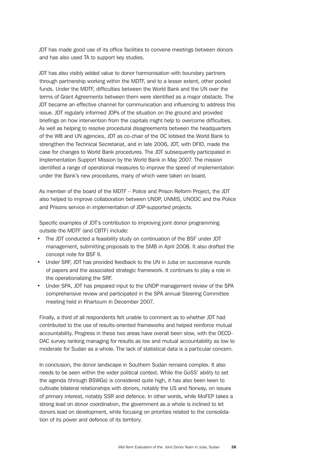JDT has made good use of its office facilities to convene meetings between donors and has also used TA to support key studies.

JDT has also visibly added value to donor harmonisation with boundary partners through partnership working within the MDTF, and to a lesser extent, other pooled funds. Under the MDTF, difficulties between the World Bank and the UN over the terms of Grant Agreements between them were identified as a major obstacle. The JDT became an effective channel for communication and influencing to address this issue. JDT regularly informed JDPs of the situation on the ground and provided briefings on how intervention from the capitals might help to overcome difficulties. As well as helping to resolve procedural disagreements between the headquarters of the WB and UN agencies, JDT as co-chair of the OC lobbied the World Bank to strengthen the Technical Secretariat, and in late 2006, JDT, with DFID, made the case for changes to World Bank procedures. The JDT subsequently participated in Implementation Support Mission by the World Bank in May 2007. The mission identified a range of operational measures to improve the speed of implementation under the Bank's new procedures, many of which were taken on board.

As member of the board of the MDTF – Police and Prison Reform Project, the JDT also helped to improve collaboration between UNDP, UNMIS, UNODC and the Police and Prisons service in implementation of JDP-supported projects.

Specific examples of JDT's contribution to improving joint donor programming outside the MDTF (and CBTF) include:

- The JDT conducted a feasibility study on continuation of the BSF under JDT management, submitting proposals to the SMB in April 2008. It also drafted the concept note for BSF II.
- Under SRF, JDT has provided feedback to the UN in Juba on successive rounds of papers and the associated strategic framework. It continues to play a role in the operationalizing the SRF.
- Under SPA, JDT has prepared input to the UNDP management review of the SPA comprehensive review and participated in the SPA annual Steering Committee meeting held in Khartoum in December 2007.

Finally, a third of all respondents felt unable to comment as to whether JDT had contributed to the use of results-oriented frameworks and helped reinforce mutual accountability. Progress in these two areas have overall been slow, with the OECD-DAC survey ranking managing for results as low and mutual accountability as low to moderate for Sudan as a whole. The lack of statistical data is a particular concern.

In conclusion, the donor landscape in Southern Sudan remains complex. It also needs to be seen within the wider political context. While the GoSS' ability to set the agenda (through BSWGs) is considered quite high, it has also been keen to cultivate bilateral relationships with donors, notably the US and Norway, on issues of primary interest, notably SSR and defence. In other words, while MoFEP takes a strong lead on donor coordination, the government as a whole is inclined to let donors lead on development, while focusing on priorities related to the consolidation of its power and defence of its territory.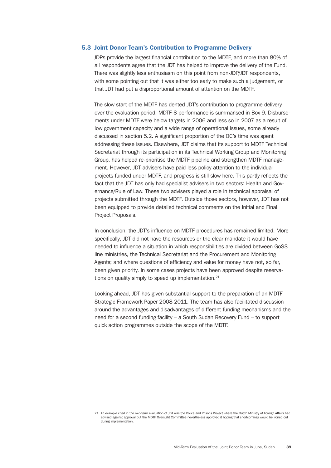## 5.3 Joint Donor Team's Contribution to Programme Delivery

JDPs provide the largest financial contribution to the MDTF, and more than 80% of all respondents agree that the JDT has helped to improve the delivery of the Fund. There was slightly less enthusiasm on this point from non-JDP/JDT respondents, with some pointing out that it was either too early to make such a judgement, or that JDT had put a disproportional amount of attention on the MDTF.

The slow start of the MDTF has dented JDT's contribution to programme delivery over the evaluation period. MDTF-S performance is summarised in Box 9. Disbursements under MDTF were below targets in 2006 and less so in 2007 as a result of low government capacity and a wide range of operational issues, some already discussed in section 5.2. A significant proportion of the OC's time was spent addressing these issues. Elsewhere, JDT claims that its support to MDTF Technical Secretariat through its participation in its Technical Working Group and Monitoring Group, has helped re-prioritise the MDTF pipeline and strengthen MDTF management. However, JDT advisers have paid less policy attention to the individual projects funded under MDTF, and progress is still slow here. This partly reflects the fact that the JDT has only had specialist advisers in two sectors: Health and Governance/Rule of Law. These two advisers played a role in technical appraisal of projects submitted through the MDTF. Outside those sectors, however, JDT has not been equipped to provide detailed technical comments on the Initial and Final Project Proposals.

In conclusion, the JDT's influence on MDTF procedures has remained limited. More specifically, JDT did not have the resources or the clear mandate it would have needed to influence a situation in which responsibilities are divided between GoSS line ministries, the Technical Secretariat and the Procurement and Monitoring Agents; and where questions of efficiency and value for money have not, so far, been given priority. In some cases projects have been approved despite reservations on quality simply to speed up implementation.<sup>21</sup>

Looking ahead, JDT has given substantial support to the preparation of an MDTF Strategic Framework Paper 2008-2011. The team has also facilitated discussion around the advantages and disadvantages of different funding mechanisms and the need for a second funding facility – a South Sudan Recovery Fund – to support quick action programmes outside the scope of the MDTF.

<sup>21</sup> An example cited in the mid-term evaluation of JDT was the Police and Prisons Project where the Dutch Ministry of Foreign Affairs had advised against approval but the MDTF Oversight Committee nevertheless approved it hoping that shortcomings would be ironed out during implementation.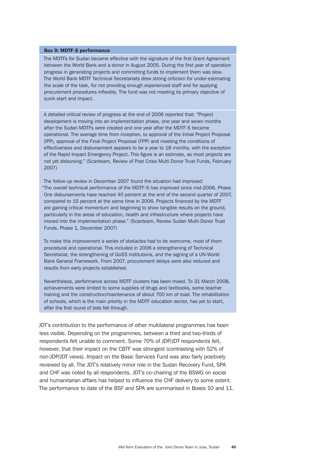#### Box 9: MDTF-S performance

The MDTFs for Sudan became effective with the signature of the first Grant Agreement between the World Bank and a donor in August 2005. During the first year of operation progress in generating projects and committing funds to implement them was slow. The World Bank MDTF Technical Secretariats drew strong criticism for under-estimating the scale of the task, for not providing enough experienced staff and for applying procurement procedures inflexibly. The fund was not meeting its primary objective of quick start and impact.

A detailed critical review of progress at the end of 2006 reported that: "Project development is moving into an implementation phase, one year and seven months after the Sudan MDTFs were created and one year after the MDTF-S became operational. The average time from inception, to approval of the Initial Project Proposal (IPP), approval of the Final Project Proposal (FPP) and meeting the conditions of effectiveness and disbursement appears to be a year to 18 months, with the exception of the Rapid Impact Emergency Project. This figure is an estimate, as most projects are not yet disbursing." (Scanteam, Review of Post Crisis Multi Donor Trust Funds, February 2007)

The follow-up review in December 2007 found the situation had improved: "The overall technical performance of the MDTF-S has improved since mid-2006. Phase One disbursements have reached 40 percent at the end of the second quarter of 2007, compared to 15 percent at the same time in 2006. Projects financed by the MDTF are gaining critical momentum and beginning to show tangible results on the ground, particularly in the areas of education, health and infrastructure where projects have moved into the implementation phase." (Scanteam, Review Sudan Multi-Donor Trust Funds, Phase 1, December 2007)

To make this improvement a series of obstacles had to be overcome, most of them procedural and operational. This included in 2006 a strengthening of Technical Secretariat, the strengthening of GoSS institutions, and the signing of a UN-World Bank General Framework. From 2007, procurement delays were also reduced and results from early projects established.

Nevertheless, performance across MDTF clusters has been mixed. To 31 March 2008, achievements were limited to some supplies of drugs and textbooks, some teacher training and the construction/maintenance of about 700 km of road. The rehabilitation of schools, which is the main priority in the MDTF education sector, has yet to start, after the first round of bids fell through.

JDT's contribution to the performance of other multilateral programmes has been less visible. Depending on the programmes, between a third and two-thirds of respondents felt unable to comment. Some 70% of JDP/JDT respondents felt, however, that their impact on the CBTF was strongest (contrasting with 52% of non-JDP/JDT views). Impact on the Basic Services Fund was also fairly positively reviewed by all. The JDT's relatively minor role in the Sudan Recovery Fund, SPA and CHF was noted by all respondents. JDT's co-chairing of the BSWG on social and humanitarian affairs has helped to influence the CHF delivery to some extent. The performance to date of the BSF and SPA are summarised in Boxes 10 and 11.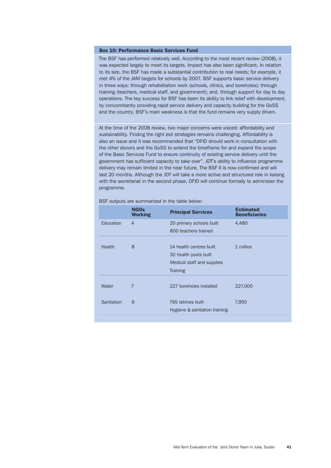#### Box 10: Performance Basic Services Fund

The BSF has performed relatively well. According to the most recent review (2008), it was expected largely to meet its targets. Impact has also been significant. In relation to its size, the BSF has made a substantial contribution to real needs; for example, it met 4% of the JAM targets for schools by 2007. BSF supports basic service delivery in three ways: through rehabilitation work (schools, clinics, and boreholes); through training (teachers, medical staff, and government); and, through support for day to day operations. The key success for BSF has been its ability to link relief with development, by concomitantly providing rapid service delivery and capacity building for the GoSS and the country. BSF's main weakness is that the fund remains very supply driven.

At the time of the 2008 review, two major concerns were voiced: affordability and sustainability. Finding the right exit strategies remains challenging. Affordability is also an issue and it was recommended that "DFID should work in consultation with the other donors and the GoSS to extend the timeframe for and expand the scope of the Basic Services Fund to ensure continuity of existing service delivery until the government has sufficient capacity to take over". JDT's ability to influence programme delivery may remain limited in the near future. The BSF II is now confirmed and will last 20 months. Although the JDT will take a more active and structured role in liaising with the secretariat in the second phase, DFID will continue formally to administer the programme.

BSF outputs are summarized in the table below:

|            | <b>NGOs</b><br><b>Working</b> | <b>Principal Services</b>                                                                         | <b>Estimated</b><br><b>Beneficiaries</b> |
|------------|-------------------------------|---------------------------------------------------------------------------------------------------|------------------------------------------|
| Education  | 4                             | 20 primary schools built<br>800 teachers trained                                                  | 4,480                                    |
| Health     | 8                             | 14 health centres built<br>32 health posts built<br>Medical staff and supplies<br><b>Training</b> | 1 million                                |
| Water      | $\overline{7}$                | 227 boreholes installed                                                                           | 227,000                                  |
| Sanitation | 6                             | 795 latrines built<br>Hygiene & sanitation training                                               | 7,950                                    |
|            |                               |                                                                                                   |                                          |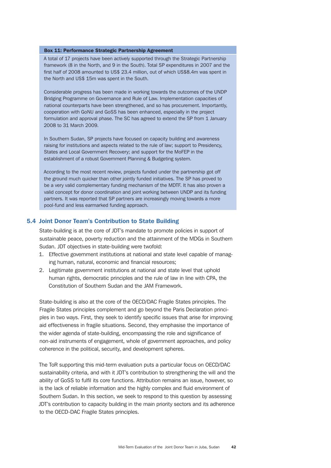### Box 11: Performance Strategic Partnership Agreement

A total of 17 projects have been actively supported through the Strategic Partnership framework (8 in the North, and 9 in the South). Total SP expenditures in 2007 and the first half of 2008 amounted to US\$ 23.4 million, out of which US\$8.4m was spent in the North and US\$ 15m was spent in the South.

Considerable progress has been made in working towards the outcomes of the UNDP Bridging Programme on Governance and Rule of Law. Implementation capacities of national counterparts have been strengthened, and so has procurement. Importantly, cooperation with GoNU and GoSS has been enhanced, especially in the project formulation and approval phase. The SC has agreed to extend the SP from 1 January 2008 to 31 March 2009.

In Southern Sudan, SP projects have focused on capacity building and awareness raising for institutions and aspects related to the rule of law; support to Presidency, States and Local Government Recovery; and support for the MoFEP in the establishment of a robust Government Planning & Budgeting system.

According to the most recent review, projects funded under the partnership got off the ground much quicker than other jointly funded initiatives. The SP has proved to be a very valid complementary funding mechanism of the MDTF. It has also proven a valid concept for donor coordination and joint working between UNDP and its funding partners. It was reported that SP partners are increasingly moving towards a more pool-fund and less earmarked funding approach.

## 5.4 Joint Donor Team's Contribution to State Building

State-building is at the core of JDT's mandate to promote policies in support of sustainable peace, poverty reduction and the attainment of the MDGs in Southern Sudan. JDT objectives in state-building were twofold:

- 1. Effective government institutions at national and state level capable of managing human, natural, economic and financial resources;
- 2. Legitimate government institutions at national and state level that uphold human rights, democratic principles and the rule of law in line with CPA, the Constitution of Southern Sudan and the JAM Framework.

State-building is also at the core of the OECD/DAC Fragile States principles. The Fragile States principles complement and go beyond the Paris Declaration principles in two ways. First, they seek to identify specific issues that arise for improving aid effectiveness in fragile situations. Second, they emphasise the importance of the wider agenda of state-building, encompassing the role and significance of non-aid instruments of engagement, whole of government approaches, and policy coherence in the political, security, and development spheres.

The ToR supporting this mid-term evaluation puts a particular focus on OECD/DAC sustainability criteria, and with it JDT's contribution to strengthening the will and the ability of GoSS to fulfil its core functions. Attribution remains an issue, however, so is the lack of reliable information and the highly complex and fluid environment of Southern Sudan. In this section, we seek to respond to this question by assessing JDT's contribution to capacity building in the main priority sectors and its adherence to the OECD-DAC Fragile States principles.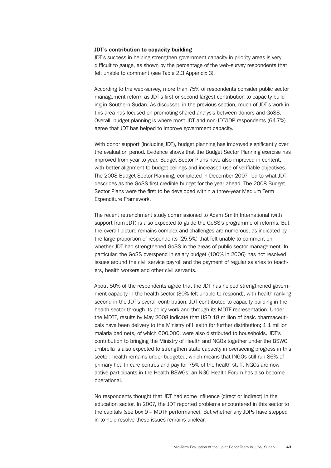### JDT's contribution to capacity building

JDT's success in helping strengthen government capacity in priority areas is very difficult to gauge, as shown by the percentage of the web-survey respondents that felt unable to comment (see Table 2.3 Appendix 3).

According to the web-survey, more than 75% of respondents consider public sector management reform as JDT's first or second largest contribution to capacity building in Southern Sudan. As discussed in the previous section, much of JDT's work in this area has focused on promoting shared analysis between donors and GoSS. Overall, budget planning is where most JDT and non-JDT/JDP respondents (64.7%) agree that JDT has helped to improve government capacity.

With donor support (including JDT), budget planning has improved significantly over the evaluation period. Evidence shows that the Budget Sector Planning exercise has improved from year to year. Budget Sector Plans have also improved in content, with better alignment to budget ceilings and increased use of verifiable objectives. The 2008 Budget Sector Planning, completed in December 2007, led to what JDT describes as the GoSS first credible budget for the year ahead. The 2008 Budget Sector Plans were the first to be developed within a three-year Medium Term Expenditure Framework.

The recent retrenchment study commissioned to Adam Smith International (with support from JDT) is also expected to guide the GoSS's programme of reforms. But the overall picture remains complex and challenges are numerous, as indicated by the large proportion of respondents (25.5%) that felt unable to comment on whether JDT had strengthened GoSS in the areas of public sector management. In particular, the GoSS overspend in salary budget (100% in 2006) has not resolved issues around the civil service payroll and the payment of regular salaries to teachers, health workers and other civil servants.

About 50% of the respondents agree that the JDT has helped strengthened government capacity in the health sector (30% felt unable to respond), with health ranking second in the JDT's overall contribution. JDT contributed to capacity building in the health sector through its policy work and through its MDTF representation. Under the MDTF, results by May 2008 indicate that USD 18 million of basic pharmaceuticals have been delivery to the Ministry of Health for further distribution; 1.1 million malaria bed nets, of which 600,000, were also distributed to households. JDT's contribution to bringing the Ministry of Health and NGOs together under the BSWG umbrella is also expected to strengthen state capacity in overseeing progress in this sector: health remains under-budgeted, which means that INGOs still run 86% of primary health care centres and pay for 75% of the health staff. NGOs are now active participants in the Health BSWGs; an NGO Health Forum has also become operational.

No respondents thought that JDT had some influence (direct or indirect) in the education sector. In 2007, the JDT reported problems encountered in this sector to the capitals (see box 9 – MDTF performance). But whether any JDPs have stepped in to help resolve these issues remains unclear.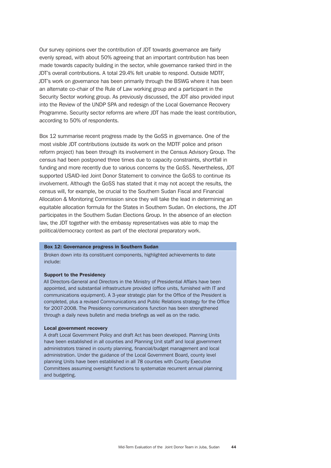Our survey opinions over the contribution of JDT towards governance are fairly evenly spread, with about 50% agreeing that an important contribution has been made towards capacity building in the sector, while governance ranked third in the JDT's overall contributions. A total 29.4% felt unable to respond. Outside MDTF, JDT's work on governance has been primarily through the BSWG where it has been an alternate co-chair of the Rule of Law working group and a participant in the Security Sector working group. As previously discussed, the JDT also provided input into the Review of the UNDP SPA and redesign of the Local Governance Recovery Programme. Security sector reforms are where JDT has made the least contribution, according to 50% of respondents.

Box 12 summarise recent progress made by the GoSS in governance. One of the most visible JDT contributions (outside its work on the MDTF police and prison reform project) has been through its involvement in the Census Advisory Group. The census had been postponed three times due to capacity constraints, shortfall in funding and more recently due to various concerns by the GoSS. Nevertheless, JDT supported USAID-led Joint Donor Statement to convince the GoSS to continue its involvement. Although the GoSS has stated that it may not accept the results, the census will, for example, be crucial to the Southern Sudan Fiscal and Financial Allocation & Monitoring Commission since they will take the lead in determining an equitable allocation formula for the States in Southern Sudan. On elections, the JDT participates in the Southern Sudan Elections Group. In the absence of an election law, the JDT together with the embassy representatives was able to map the political/democracy context as part of the electoral preparatory work.

## Box 12: Governance progress in Southern Sudan

Broken down into its constituent components, highlighted achievements to date include:

#### Support to the Presidency

All Directors-General and Directors in the Ministry of Presidential Affairs have been appointed, and substantial infrastructure provided (office units, furnished with IT and communications equipment). A 3-year strategic plan for the Office of the President is completed, plus a revised Communications and Public Relations strategy for the Office for 2007-2008. The Presidency communications function has been strengthened through a daily news bulletin and media briefings as well as on the radio.

#### Local government recovery

A draft Local Government Policy and draft Act has been developed. Planning Units have been established in all counties and Planning Unit staff and local government administrators trained in county planning, financial/budget management and local administration. Under the guidance of the Local Government Board, county level planning Units have been established in all 78 counties with County Executive Committees assuming oversight functions to systematize recurrent annual planning and budgeting.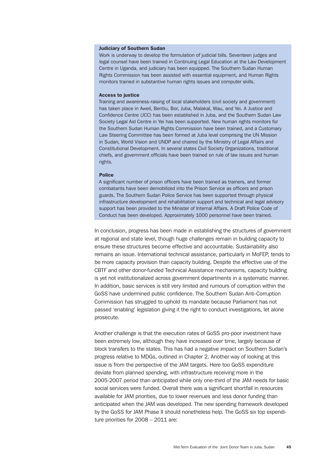#### Judiciary of Southern Sudan

Work is underway to develop the formulation of judicial bills. Seventeen judges and legal counsel have been trained in Continuing Legal Education at the Law Development Centre in Uganda, and judiciary has been equipped. The Southern Sudan Human Rights Commission has been assisted with essential equipment, and Human Rights monitors trained in substantive human rights issues and computer skills.

#### **Access to justice**

Training and awareness-raising of local stakeholders (civil society and government) has taken place in Aweil, Bentiu, Bor, Juba, Malakal, Wau, and Yei. A Justice and Confidence Centre (JCC) has been established in Juba, and the Southern Sudan Law Society Legal Aid Centre in Yei has been supported. New human rights monitors for the Southern Sudan Human Rights Commission have been trained, and a Customary Law Steering Committee has been formed at Juba level comprising the UN Mission in Sudan, World Vision and UNDP and chaired by the Ministry of Legal Affairs and Constitutional Development. In several states Civil Society Organizations, traditional chiefs, and government officials have been trained on rule of law issues and human rights.

#### Police

A significant number of prison officers have been trained as trainers, and former combatants have been demobilized into the Prison Service as officers and prison guards. The Southern Sudan Police Service has been supported through physical infrastructure development and rehabilitation support and technical and legal advisory support has been provided to the Minister of Internal Affairs. A Draft Police Code of Conduct has been developed. Approximately 1000 personnel have been trained.

In conclusion, progress has been made in establishing the structures of government at regional and state level, though huge challenges remain in building capacity to ensure these structures become effective and accountable. Sustainability also remains an issue. International technical assistance, particularly in MoFEP, tends to be more capacity provision than capacity building. Despite the effective use of the CBTF and other donor-funded Technical Assistance mechanisms, capacity building is yet not institutionalized across government departments in a systematic manner. In addition, basic services is still very limited and rumours of corruption within the GoSS have undermined public confidence. The Southern Sudan Anti-Corruption Commission has struggled to uphold its mandate because Parliament has not passed 'enabling' legislation giving it the right to conduct investigations, let alone prosecute.

Another challenge is that the execution rates of GoSS pro-poor investment have been extremely low, although they have increased over time, largely because of block transfers to the states. This has had a negative impact on Southern Sudan's progress relative to MDGs, outlined in Chapter 2. Another way of looking at this issue is from the perspective of the JAM targets. Here too GoSS expenditure deviate from planned spending, with infrastructure receiving more in the 2005-2007 period than anticipated while only one-third of the JAM needs for basic social services were funded. Overall there was a significant shortfall in resources available for JAM priorities, due to lower revenues and less donor funding than anticipated when the JAM was developed. The new spending framework developed by the GoSS for JAM Phase II should nonetheless help. The GoSS six top expenditure priorities for 2008 – 2011 are: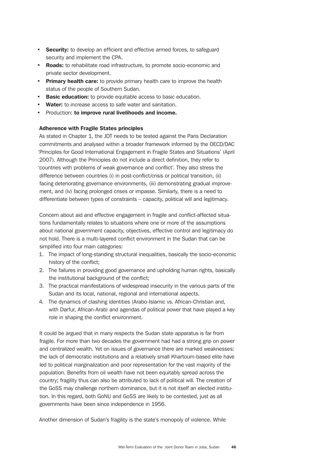- **Security:** to develop an efficient and effective armed forces, to safeguard security and implement the CPA.
- **Roads:** to rehabilitate road infrastructure, to promote socio-economic and private sector development.
- **Primary health care:** to provide primary health care to improve the health status of the people of Southern Sudan.
- **Basic education:** to provide equitable access to basic education.
- Water: to increase access to safe water and sanitation.
- Production: to improve rural livelihoods and income.

# Adherence with Fragile States principles

As stated in Chapter 1, the JDT needs to be tested against the Paris Declaration commitments and analysed within a broader framework informed by the OECD/DAC 'Principles for Good International Engagement in Fragile States and Situations' (April 2007). Although the Principles do not include a direct definition, they refer to 'countries with problems of weak governance and conflict'. They also stress the difference between countries (i) in post-conflict/crisis or political transition, (ii) facing deteriorating governance environments, (iii) demonstrating gradual improvement, and (iv) facing prolonged crises or impasse. Similarly, there is a need to differentiate between types of constraints – capacity, political will and legitimacy.

Concern about aid and effective engagement in fragile and conflict-affected situations fundamentally relates to situations where one or more of the assumptions about national government capacity, objectives, effective control and legitimacy do not hold. There is a multi-layered conflict environment in the Sudan that can be simplified into four main categories:

- 1. The impact of long-standing structural inequalities, basically the socio-economic history of the conflict;
- 2. The failures in providing good governance and upholding human rights, basically the institutional background of the conflict;
- 3. The practical manifestations of widespread insecurity in the various parts of the Sudan and its local, national, regional and international aspects.
- 4. The dynamics of clashing identities (Arabo-Islamic vs. African-Christian and, with Darfur, African-Arab) and agendas of political power that have played a key role in shaping the conflict environment.

It could be argued that in many respects the Sudan state apparatus is far from fragile. For more than two decades the government had had a strong grip on power and centralized wealth. Yet on issues of governance there are marked weaknesses: the lack of democratic institutions and a relatively small Khartoum-based elite have led to political marginalization and poor representation for the vast majority of the population. Benefits from oil wealth have not been equitably spread across the country; fragility thus can also be attributed to lack of political will. The creation of the GoSS may challenge northern dominance, but it is not itself an elected institution. In this regard, both GoNU and GoSS are likely to be contested, just as all governments have been since independence in 1956.

Another dimension of Sudan's fragility is the state's monopoly of violence. While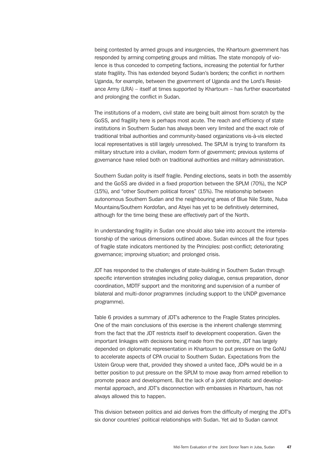being contested by armed groups and insurgencies, the Khartoum government has responded by arming competing groups and militias. The state monopoly of violence is thus conceded to competing factions, increasing the potential for further state fragility. This has extended beyond Sudan's borders; the conflict in northern Uganda, for example, between the government of Uganda and the Lord's Resistance Army (LRA) – itself at times supported by Khartoum – has further exacerbated and prolonging the conflict in Sudan.

The institutions of a modern, civil state are being built almost from scratch by the GoSS, and fragility here is perhaps most acute. The reach and efficiency of state institutions in Southern Sudan has always been very limited and the exact role of traditional tribal authorities and community-based organizations vis-à-vis elected local representatives is still largely unresolved. The SPLM is trying to transform its military structure into a civilian, modern form of government; previous systems of governance have relied both on traditional authorities and military administration.

Southern Sudan polity is itself fragile. Pending elections, seats in both the assembly and the GoSS are divided in a fixed proportion between the SPLM (70%), the NCP (15%), and "other Southern political forces" (15%). The relationship between autonomous Southern Sudan and the neighbouring areas of Blue Nile State, Nuba Mountains/Southern Kordofan, and Abyei has yet to be definitively determined, although for the time being these are effectively part of the North.

In understanding fragility in Sudan one should also take into account the interrelationship of the various dimensions outlined above. Sudan evinces all the four types of fragile state indicators mentioned by the Principles: post-conflict; deteriorating governance; improving situation; and prolonged crisis.

JDT has responded to the challenges of state-building in Southern Sudan through specific intervention strategies including policy dialogue, census preparation, donor coordination, MDTF support and the monitoring and supervision of a number of bilateral and multi-donor programmes (including support to the UNDP governance programme).

Table 6 provides a summary of JDT's adherence to the Fragile States principles. One of the main conclusions of this exercise is the inherent challenge stemming from the fact that the JDT restricts itself to development cooperation. Given the important linkages with decisions being made from the centre, JDT has largely depended on diplomatic representation in Khartoum to put pressure on the GoNU to accelerate aspects of CPA crucial to Southern Sudan. Expectations from the Ustein Group were that, provided they showed a united face, JDPs would be in a better position to put pressure on the SPLM to move away from armed rebellion to promote peace and development. But the lack of a joint diplomatic and developmental approach, and JDT's disconnection with embassies in Khartoum, has not always allowed this to happen.

This division between politics and aid derives from the difficulty of merging the JDT's six donor countries' political relationships with Sudan. Yet aid to Sudan cannot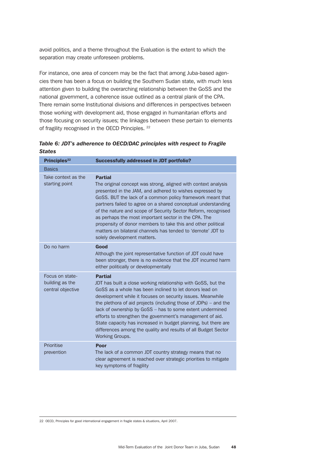avoid politics, and a theme throughout the Evaluation is the extent to which the separation may create unforeseen problems.

For instance, one area of concern may be the fact that among Juba-based agencies there has been a focus on building the Southern Sudan state, with much less attention given to building the overarching relationship between the GoSS and the national government, a coherence issue outlined as a central plank of the CPA. There remain some Institutional divisions and differences in perspectives between those working with development aid, those engaged in humanitarian efforts and those focusing on security issues; the linkages between these pertain to elements of fragility recognised in the OECD Principles. <sup>22</sup>

| Table 6: JDT's adherence to OECD/DAC principles with respect to Fragile |  |
|-------------------------------------------------------------------------|--|
| <b>States</b>                                                           |  |

| Principles <sup>22</sup>                                | <b>Successfully addressed in JDT portfolio?</b>                                                                                                                                                                                                                                                                                                                                                                                                                                                                                                                    |
|---------------------------------------------------------|--------------------------------------------------------------------------------------------------------------------------------------------------------------------------------------------------------------------------------------------------------------------------------------------------------------------------------------------------------------------------------------------------------------------------------------------------------------------------------------------------------------------------------------------------------------------|
| <b>Basics</b>                                           |                                                                                                                                                                                                                                                                                                                                                                                                                                                                                                                                                                    |
| Take context as the<br>starting point                   | <b>Partial</b><br>The original concept was strong, aligned with context analysis<br>presented in the JAM, and adhered to wishes expressed by<br>GoSS. BUT the lack of a common policy framework meant that<br>partners failed to agree on a shared conceptual understanding<br>of the nature and scope of Security Sector Reform, recognised<br>as perhaps the most important sector in the CPA. The<br>propensity of donor members to take this and other political<br>matters on bilateral channels has tended to 'demote' JDT to<br>solely development matters. |
| Do no harm                                              | Good<br>Although the joint representative function of JDT could have<br>been stronger, there is no evidence that the JDT incurred harm<br>either politically or developmentally                                                                                                                                                                                                                                                                                                                                                                                    |
| Focus on state-<br>building as the<br>central objective | <b>Partial</b><br>JDT has built a close working relationship with GoSS, but the<br>GoSS as a whole has been inclined to let donors lead on<br>development while it focuses on security issues. Meanwhile<br>the plethora of aid projects (including those of JDPs) $-$ and the<br>lack of ownership by GoSS - has to some extent undermined<br>efforts to strengthen the government's management of aid.<br>State capacity has increased in budget planning, but there are<br>differences among the quality and results of all Budget Sector<br>Working Groups.    |
| Prioritise<br>prevention                                | Poor<br>The lack of a common JDT country strategy means that no<br>clear agreement is reached over strategic priorities to mitigate<br>key symptoms of fragility                                                                                                                                                                                                                                                                                                                                                                                                   |

22 OECD, Principles for good international engagement in fragile states & situations, April 2007.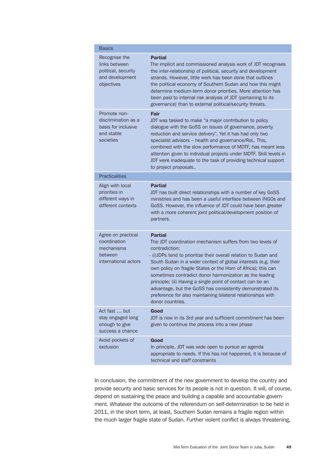| <b>Basics</b>                                                                          |                                                                                                                                                                                                                                                                                                                                                                                                                                                                                                                                                                                |
|----------------------------------------------------------------------------------------|--------------------------------------------------------------------------------------------------------------------------------------------------------------------------------------------------------------------------------------------------------------------------------------------------------------------------------------------------------------------------------------------------------------------------------------------------------------------------------------------------------------------------------------------------------------------------------|
| Recognise the<br>links between<br>political, security<br>and development<br>objectives | <b>Partial</b><br>The implicit and commissioned analysis work of JDT recognises<br>the inter-relationship of political, security and development<br>strands. However, little work has been done that outlines<br>the political economy of Southern Sudan and how this might<br>determine medium-term donor priorities. More attention has<br>been paid to internal risk analysis of JDT (pertaining to its<br>governance) than to external political/security threats.                                                                                                         |
| Promote non-<br>discrimination as a<br>basis for inclusive<br>and stable<br>societies  | Fair<br>JDT was tasked to make "a major contribution to policy<br>dialogue with the GoSS on issues of governance, poverty<br>reduction and service delivery". Yet it has had only two<br>specialist advisors - health and governance/RoL. This,<br>combined with the slow performance of MDTF, has meant less<br>attention given to individual projects under MDTF. Skill levels in<br>JDT were inadequate to the task of providing technical support<br>to project proposals                                                                                                  |
| <b>Practicalities</b>                                                                  |                                                                                                                                                                                                                                                                                                                                                                                                                                                                                                                                                                                |
| Align with local<br>priorities in<br>different ways in<br>different contexts           | <b>Partial</b><br>JDT has built direct relationships with a number of key GoSS<br>ministries and has been a useful interface between INGOs and<br>GoSS. However, the influence of JDT could have been greater<br>with a more coherent joint political/development position of<br>partners.                                                                                                                                                                                                                                                                                     |
| Agree on practical<br>coordination<br>mechanisms<br>between<br>international actors    | <b>Partial</b><br>The JDT coordination mechanism suffers from two levels of<br>contradiction:<br>- (i)JDPs tend to prioritize their overall relation to Sudan and<br>South Sudan in a wider context of global interests (e.g. their<br>own policy on fragile States or the Horn of Africa); this can<br>sometimes contradict donor harmonization as the leading<br>principle; (ii) Having a single point of contact can be an<br>advantage, but the GoSS has consistently demonstrated its<br>preference for also maintaining bilateral relationships with<br>donor countries. |
| Act fast  but<br>stay engaged long<br>enough to give<br>success a chance               | Good<br>JDT is now in its 3rd year and sufficient commitment has been<br>given to continue the process into a new phase                                                                                                                                                                                                                                                                                                                                                                                                                                                        |
| Avoid pockets of<br>exclusion                                                          | Good<br>In principle, JDT was wide open to pursue an agenda<br>appropriate to needs. If this has not happened, it is because of<br>technical and staff constraints                                                                                                                                                                                                                                                                                                                                                                                                             |

In conclusion, the commitment of the new government to develop the country and provide security and basic services for its people is not in question. It will, of course, depend on sustaining the peace and building a capable and accountable government. Whatever the outcome of the referendum on self-determination to be held in 2011, in the short term, at least, Southern Sudan remains a fragile region within the much larger fragile state of Sudan. Further violent conflict is always threatening,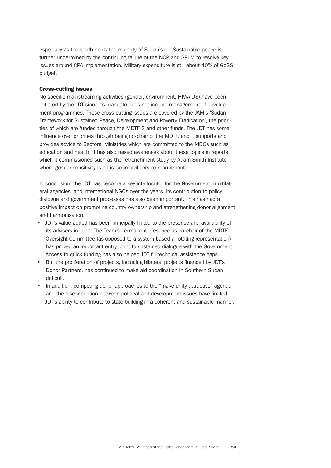especially as the south holds the majority of Sudan's oil. Sustainable peace is further undermined by the continuing failure of the NCP and SPLM to resolve key issues around CPA implementation. Military expenditure is still about 40% of GoSS budget.

## Cross-cutting issues

No specific mainstreaming activities (gender, environment, HIV/AIDS) have been initiated by the JDT since its mandate does not include management of development programmes. These cross-cutting issues are covered by the JAM's 'Sudan Framework for Sustained Peace, Development and Poverty Eradication', the priorities of which are funded through the MDTF-S and other funds. The JDT has some influence over priorities through being co-chair of the MDTF, and it supports and provides advice to Sectoral Ministries which are committed to the MDGs such as education and health. It has also raised awareness about these topics in reports which it commissioned such as the retrenchment study by Adam Smith Institute where gender sensitivity is an issue in civil service recruitment.

In conclusion, the JDT has become a key interlocutor for the Government, multilateral agencies, and International NGOs over the years. Its contribution to policy dialogue and government processes has also been important. This has had a positive impact on promoting country ownership and strengthening donor alignment and harmonisation.

- JDT's value-added has been principally linked to the presence and availability of its advisers in Juba. The Team's permanent presence as co-chair of the MDTF Oversight Committee (as opposed to a system based a rotating representation) has proved an important entry point to sustained dialogue with the Government. Access to quick funding has also helped JDT fill technical assistance gaps.
- But the proliferation of projects, including bilateral projects financed by JDT's Donor Partners, has continued to make aid coordination in Southern Sudan difficult.
- In addition, competing donor approaches to the "make unity attractive" agenda and the disconnection between political and development issues have limited JDT's ability to contribute to state building in a coherent and sustainable manner.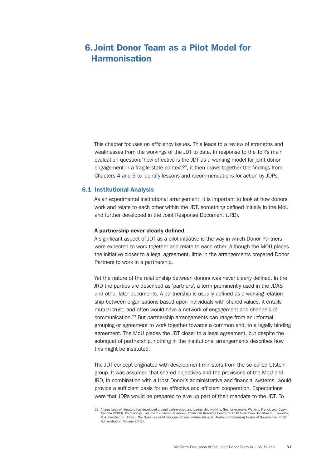# 6. Joint Donor Team as a Pilot Model for Harmonisation

This chapter focuses on efficiency issues. This leads to a review of strengths and weaknesses from the workings of the JDT to date. In response to the ToR's main evaluation question:"how effective is the JDT as a working-model for joint donor engagement in a fragile state context?", it then draws together the findings from Chapters 4 and 5 to identify lessons and recommendations for action by JDPs.

#### 6.1 Institutional Analysis

As an experimental institutional arrangement, it is important to look at how donors work and relate to each other within the JDT, something defined initially in the MoU and further developed in the Joint Response Document (JRD).

#### A partnership never clearly defined

A significant aspect of JDT as a pilot initiative is the way in which Donor Partners were expected to work together and relate to each other. Although the MOU places the initiative closer to a legal agreement, little in the arrangements prepared Donor Partners to work in a partnership.

Yet the nature of the relationship between donors was never clearly defined. In the JRD the parties are described as 'partners', a term prominently used in the JDAS and other later documents. A partnership is usually defined as a working relationship between organisations based upon individuals with shared values; it entails mutual trust, and often would have a network of engagement and channels of communication.23 But partnership arrangements can range from an informal grouping or agreement to work together towards a common end, to a legally binding agreement. The MoU places the JDT closer to a legal agreement, but despite the sobriquet of partnership, nothing in the institutional arrangements describes how this might be instituted.

The JDT concept originated with development ministers from the so-called Utstein group. It was assumed that shared objectives and the provisions of the MoU and JRD, in combination with a Host Donor's administrative and financial systems, would provide a sufficient basis for an effective and efficient cooperation. Expectations were that JDPs would be prepared to give up part of their mandate to the JDT. To

<sup>23</sup> A large body of literature has developed around partnerships and partnership working. See for example: Watkins, Francis and Csaky, Corinna (2003). *Partnerships, Volume 1 – Literature Review.* Edinburgh Resource Centre for DFID Evaluation Department.; Lowndes, V. & Skelcher, C. (1998). *The Dynamics of Multi-Organizational Partnerships: An Analysis of Changing Modes of Governance*. Public Administration, Volume 76 (2).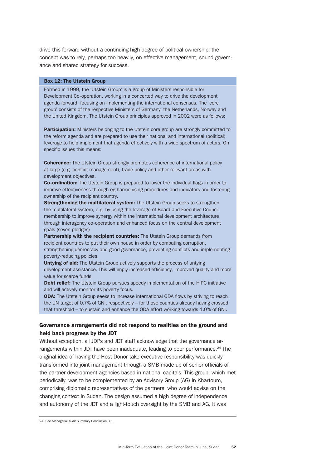drive this forward without a continuing high degree of political ownership, the concept was to rely, perhaps too heavily, on effective management, sound governance and shared strategy for success.

#### Box 12: The Utstein Group

Formed in 1999, the 'Utstein Group' is a group of Ministers responsible for Development Co-operation, working in a concerted way to drive the development agenda forward, focusing on implementing the international consensus. The 'core group' consists of the respective Ministers of Germany, the Netherlands, Norway and the United Kingdom. The Utstein Group principles approved in 2002 were as follows:

**Participation:** Ministers belonging to the Utstein core group are strongly committed to the reform agenda and are prepared to use their national and international (political) leverage to help implement that agenda effectively with a wide spectrum of actors. On specific issues this means:

**Coherence:** The Utstein Group strongly promotes coherence of international policy at large (e.g. conflict management), trade policy and other relevant areas with development objectives.

**Co-ordination:** The Utstein Group is prepared to lower the individual flags in order to improve effectiveness through eg harmonising procedures and indicators and fostering ownership of the recipient country.

**Strengthening the multilateral system:** The Utstein Group seeks to strengthen the multilateral system, e.g. by using the leverage of Board and Executive Council membership to improve synergy within the international development architecture through interagency co-operation and enhanced focus on the central development goals (seven pledges)

Partnership with the recipient countries: The Utstein Group demands from recipient countries to put their own house in order by combating corruption, strengthening democracy and good governance, preventing conflicts and implementing poverty-reducing policies.

**Untying of aid:** The Utstein Group actively supports the process of untying development assistance. This will imply increased efficiency, improved quality and more value for scarce funds.

Debt relief: The Utstein Group pursues speedy implementation of the HIPC initiative and will actively monitor its poverty focus.

**ODA:** The Utstein Group seeks to increase international ODA flows by striving to reach the UN target of 0.7% of GNI, respectively – for those counties already having crossed that threshold – to sustain and enhance the ODA effort working towards 1.0% of GNI.

# Governance arrangements did not respond to realities on the ground and held back progress by the JDT

Without exception, all JDPs and JDT staff acknowledge that the governance arrangements within JDT have been inadequate, leading to poor performance.<sup>24</sup> The original idea of having the Host Donor take executive responsibility was quickly transformed into joint management through a SMB made up of senior officials of the partner development agencies based in national capitals. This group, which met periodically, was to be complemented by an Advisory Group (AG) in Khartoum, comprising diplomatic representatives of the partners, who would advise on the changing context in Sudan. The design assumed a high degree of independence and autonomy of the JDT and a light-touch oversight by the SMB and AG. It was

<sup>24</sup> See Managerial Audit Summary Conclusion 3.1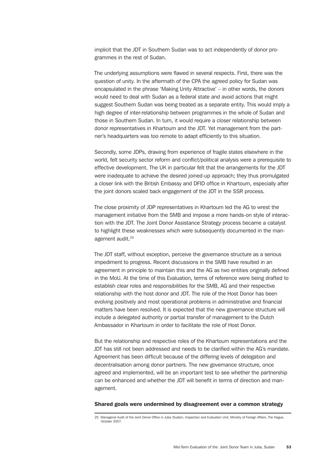implicit that the JDT in Southern Sudan was to act independently of donor programmes in the rest of Sudan.

The underlying assumptions were flawed in several respects. First, there was the question of unity. In the aftermath of the CPA the agreed policy for Sudan was encapsulated in the phrase 'Making Unity Attractive' – in other words, the donors would need to deal with Sudan as a federal state and avoid actions that might suggest Southern Sudan was being treated as a separate entity. This would imply a high degree of inter-relationship between programmes in the whole of Sudan and those in Southern Sudan. In turn, it would require a closer relationship between donor representatives in Khartoum and the JDT. Yet management from the partner's headquarters was too remote to adapt efficiently to this situation.

Secondly, some JDPs, drawing from experience of fragile states elsewhere in the world, felt security sector reform and conflict/political analysis were a prerequisite to effective development. The UK in particular felt that the arrangements for the JDT were inadequate to achieve the desired joined-up approach; they thus promulgated a closer link with the British Embassy and DFID office in Khartoum, especially after the joint donors scaled back engagement of the JDT in the SSR process.

The close proximity of JDP representatives in Khartoum led the AG to wrest the management initiative from the SMB and impose a more hands-on style of interaction with the JDT. The Joint Donor Assistance Strategy process became a catalyst to highlight these weaknesses which were subsequently documented in the management audit.25

The JDT staff, without exception, perceive the governance structure as a serious impediment to progress. Recent discussions in the SMB have resulted in an agreement in principle to maintain this and the AG as two entities originally defined in the MoU. At the time of this Evaluation, terms of reference were being drafted to establish clear roles and responsibilities for the SMB, AG and their respective relationship with the host donor and JDT. The role of the Host Donor has been evolving positively and most operational problems in administrative and financial matters have been resolved. It is expected that the new governance structure will include a delegated authority or partial transfer of management to the Dutch Ambassador in Khartoum in order to facilitate the role of Host Donor.

But the relationship and respective roles of the Khartoum representations and the JDT has still not been addressed and needs to be clarified within the AG's mandate. Agreement has been difficult because of the differing levels of delegation and decentralisation among donor partners. The new governance structure, once agreed and implemented, will be an important test to see whether the partnership can be enhanced and whether the JDT will benefit in terms of direction and management.

#### Shared goals were undermined by disagreement over a common strategy

<sup>25</sup> Managerial Audit of the Joint Donor Office in Juba (Sudan), Inspection and Evaluation Unit, Ministry of Foreign Affairs, The Hague, October 2007.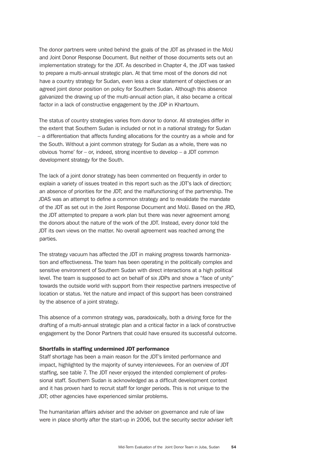The donor partners were united behind the goals of the JDT as phrased in the MoU and Joint Donor Response Document. But neither of those documents sets out an implementation strategy for the JDT. As described in Chapter 4, the JDT was tasked to prepare a multi-annual strategic plan. At that time most of the donors did not have a country strategy for Sudan, even less a clear statement of objectives or an agreed joint donor position on policy for Southern Sudan. Although this absence galvanized the drawing up of the multi-annual action plan, it also became a critical factor in a lack of constructive engagement by the JDP in Khartoum.

The status of country strategies varies from donor to donor. All strategies differ in the extent that Southern Sudan is included or not in a national strategy for Sudan – a differentiation that affects funding allocations for the country as a whole and for the South. Without a joint common strategy for Sudan as a whole, there was no obvious 'home' for – or, indeed, strong incentive to develop – a JDT common development strategy for the South.

The lack of a joint donor strategy has been commented on frequently in order to explain a variety of issues treated in this report such as the JDT's lack of direction; an absence of priorities for the JDT; and the malfunctioning of the partnership. The JDAS was an attempt to define a common strategy and to revalidate the mandate of the JDT as set out in the Joint Response Document and MoU. Based on the JRD, the JDT attempted to prepare a work plan but there was never agreement among the donors about the nature of the work of the JDT. Instead, every donor told the JDT its own views on the matter. No overall agreement was reached among the parties.

The strategy vacuum has affected the JDT in making progress towards harmonization and effectiveness. The team has been operating in the politically complex and sensitive environment of Southern Sudan with direct interactions at a high political level. The team is supposed to act on behalf of six JDPs and show a "face of unity" towards the outside world with support from their respective partners irrespective of location or status. Yet the nature and impact of this support has been constrained by the absence of a joint strategy.

This absence of a common strategy was, paradoxically, both a driving force for the drafting of a multi-annual strategic plan and a critical factor in a lack of constructive engagement by the Donor Partners that could have ensured its successful outcome.

#### Shortfalls in staffing undermined JDT performance

Staff shortage has been a main reason for the JDT's limited performance and impact, highlighted by the majority of survey interviewees. For an overview of JDT staffing, see table 7. The JDT never enjoyed the intended complement of professional staff. Southern Sudan is acknowledged as a difficult development context and it has proven hard to recruit staff for longer periods. This is not unique to the JDT; other agencies have experienced similar problems.

The humanitarian affairs adviser and the adviser on governance and rule of law were in place shortly after the start-up in 2006, but the security sector adviser left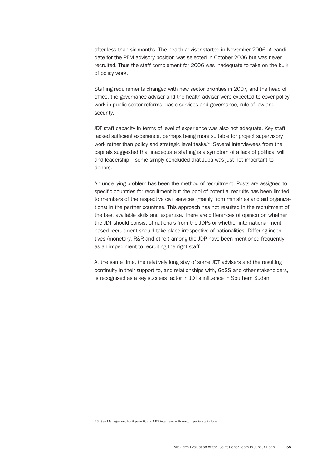after less than six months. The health adviser started in November 2006. A candidate for the PFM advisory position was selected in October 2006 but was never recruited. Thus the staff complement for 2006 was inadequate to take on the bulk of policy work.

Staffing requirements changed with new sector priorities in 2007, and the head of office, the governance adviser and the health adviser were expected to cover policy work in public sector reforms, basic services and governance, rule of law and security.

JDT staff capacity in terms of level of experience was also not adequate. Key staff lacked sufficient experience, perhaps being more suitable for project supervisory work rather than policy and strategic level tasks.<sup>26</sup> Several interviewees from the capitals suggested that inadequate staffing is a symptom of a lack of political will and leadership – some simply concluded that Juba was just not important to donors.

An underlying problem has been the method of recruitment. Posts are assigned to specific countries for recruitment but the pool of potential recruits has been limited to members of the respective civil services (mainly from ministries and aid organizations) in the partner countries. This approach has not resulted in the recruitment of the best available skills and expertise. There are differences of opinion on whether the JDT should consist of nationals from the JDPs or whether international meritbased recruitment should take place irrespective of nationalities. Differing incentives (monetary, R&R and other) among the JDP have been mentioned frequently as an impediment to recruiting the right staff.

At the same time, the relatively long stay of some JDT advisers and the resulting continuity in their support to, and relationships with, GoSS and other stakeholders, is recognised as a key success factor in JDT's influence in Southern Sudan.

<sup>26</sup> See Management Audit page 6; and MTE interviews with sector specialists in Juba.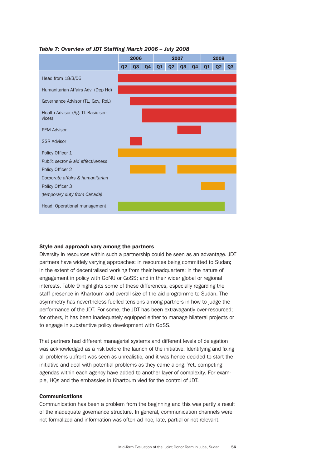

# *Table 7: Overview of JDT Staffing March 2006 – July 2008*

#### Style and approach vary among the partners

Diversity in resources within such a partnership could be seen as an advantage. JDT partners have widely varying approaches: in resources being committed to Sudan; in the extent of decentralised working from their headquarters; in the nature of engagement in policy with GoNU or GoSS; and in their wider global or regional interests. Table 9 highlights some of these differences, especially regarding the staff presence in Khartoum and overall size of the aid programme to Sudan. The asymmetry has nevertheless fuelled tensions among partners in how to judge the performance of the JDT. For some, the JDT has been extravagantly over-resourced; for others, it has been inadequately equipped either to manage bilateral projects or to engage in substantive policy development with GoSS.

That partners had different managerial systems and different levels of delegation was acknowledged as a risk before the launch of the initiative. Identifying and fixing all problems upfront was seen as unrealistic, and it was hence decided to start the initiative and deal with potential problems as they came along. Yet, competing agendas within each agency have added to another layer of complexity. For example, HQs and the embassies in Khartoum vied for the control of JDT.

#### Communications

Communication has been a problem from the beginning and this was partly a result of the inadequate governance structure. In general, communication channels were not formalized and information was often ad hoc, late, partial or not relevant.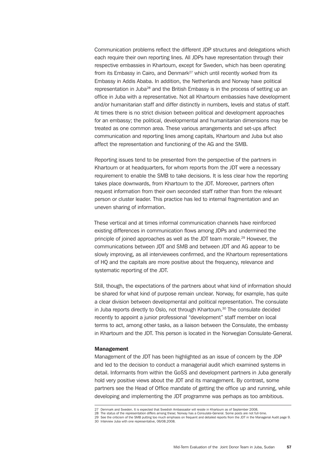Communication problems reflect the different JDP structures and delegations which each require their own reporting lines. All JDPs have representation through their respective embassies in Khartoum, except for Sweden, which has been operating from its Embassy in Cairo, and Denmark<sup>27</sup> which until recently worked from its Embassy in Addis Ababa. In addition, the Netherlands and Norway have political representation in Juba<sup>28</sup> and the British Embassy is in the process of setting up an office in Juba with a representative. Not all Khartoum embassies have development and/or humanitarian staff and differ distinctly in numbers, levels and status of staff. At times there is no strict division between political and development approaches for an embassy; the political, developmental and humanitarian dimensions may be treated as one common area. These various arrangements and set-ups affect communication and reporting lines among capitals, Khartoum and Juba but also affect the representation and functioning of the AG and the SMB.

Reporting issues tend to be presented from the perspective of the partners in Khartoum or at headquarters, for whom reports from the JDT were a necessary requirement to enable the SMB to take decisions. It is less clear how the reporting takes place downwards, from Khartoum to the JDT. Moreover, partners often request information from their own seconded staff rather than from the relevant person or cluster leader. This practice has led to internal fragmentation and an uneven sharing of information.

These vertical and at times informal communication channels have reinforced existing differences in communication flows among JDPs and undermined the principle of joined approaches as well as the JDT team morale.<sup>29</sup> However, the communications between JDT and SMB and between JDT and AG appear to be slowly improving, as all interviewees confirmed, and the Khartoum representations of HQ and the capitals are more positive about the frequency, relevance and systematic reporting of the JDT.

Still, though, the expectations of the partners about what kind of information should be shared for what kind of purpose remain unclear. Norway, for example, has quite a clear division between developmental and political representation. The consulate in Juba reports directly to Oslo, not through Khartoum.<sup>30</sup> The consulate decided recently to appoint a junior professional "development" staff member on local terms to act, among other tasks, as a liaison between the Consulate, the embassy in Khartoum and the JDT. This person is located in the Norwegian Consulate-General.

#### Management

Management of the JDT has been highlighted as an issue of concern by the JDP and led to the decision to conduct a managerial audit which examined systems in detail. Informants from within the GoSS and development partners in Juba generally hold very positive views about the JDT and its management. By contrast, some partners see the Head of Office mandate of getting the office up and running, while developing and implementing the JDT programme was perhaps as too ambitious.

<sup>27</sup> Denmark and Sweden. It is expected that Swedish Ambassador will reside in Khartoum as of September 2008.

<sup>28</sup> The status of the representation differs among these; Norway has a Consulate-General. Some posts are not full-time.

<sup>29</sup> See the criticism of the SMB putting too much emphasis on frequent and detailed reports from the JDT in the Managerial Audit page 9. 30 Interview Juba with one representative, 06/08.2008.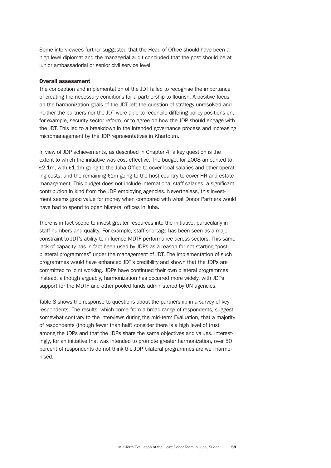Some interviewees further suggested that the Head of Office should have been a high level diplomat and the managerial audit concluded that the post should be at junior ambassadorial or senior civil service level.

#### Overall assessment

The conception and implementation of the JDT failed to recognise the importance of creating the necessary conditions for a partnership to flourish. A positive focus on the harmonization goals of the JDT left the question of strategy unresolved and neither the partners nor the JDT were able to reconcile differing policy positions on, for example, security sector reform, or to agree on how the JDP should engage with the JDT. This led to a breakdown in the intended governance process and increasing micromanagement by the JDP representatives in Khartoum.

In view of JDP achievements, as described in Chapter 4, a key question is the extent to which the initiative was cost-effective. The budget for 2008 amounted to €2.1m, with €1.1m going to the Juba Office to cover local salaries and other operating costs, and the remaining €1m going to the host country to cover HR and estate management. This budget does not include international staff salaries, a significant contribution in kind from the JDP employing agencies. Nevertheless, this investment seems good value for money when compared with what Donor Partners would have had to spend to open bilateral offices in Juba.

There is in fact scope to invest greater resources into the initiative, particularly in staff numbers and quality. For example, staff shortage has been seen as a major constraint to JDT's ability to influence MDTF performance across sectors. This same lack of capacity has in fact been used by JDPs as a reason for not starting "postbilateral programmes" under the management of JDT. The implementation of such programmes would have enhanced JDT's credibility and shown that the JDPs are committed to joint working. JDPs have continued their own bilateral programmes instead, although arguably, harmonization has occurred more widely, with JDPs support for the MDTF and other pooled funds administered by UN agencies.

Table 8 shows the response to questions about the partnership in a survey of key respondents. The results, which come from a broad range of respondents, suggest, somewhat contrary to the interviews during the mid-term Evaluation, that a majority of respondents (though fewer than half) consider there is a high level of trust among the JDPs and that the JDPs share the same objectives and values. Interestingly, for an initiative that was intended to promote greater harmonization, over 50 percent of respondents do not think the JDP bilateral programmes are well harmonised.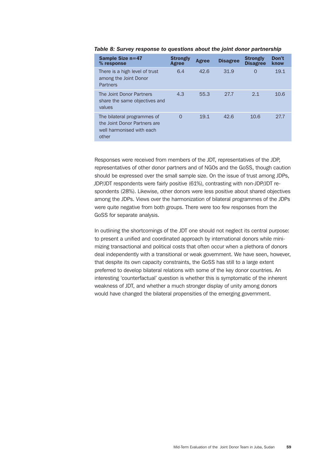| <b>Sample Size n=47</b><br>% response                                                             | <b>Strongly</b><br>Agree | Agree | <b>Disagree</b> | <b>Strongly</b><br><b>Disagree</b> | Don't<br>know |
|---------------------------------------------------------------------------------------------------|--------------------------|-------|-----------------|------------------------------------|---------------|
| There is a high level of trust<br>among the Joint Donor<br><b>Partners</b>                        | 6.4                      | 42.6  | 31.9            | 0                                  | 19.1          |
| The Joint Donor Partners<br>share the same objectives and<br>values                               | 4.3                      | 55.3  | 27.7            | 2.1                                | 10.6          |
| The bilateral programmes of<br>the Joint Donor Partners are<br>well harmonised with each<br>other | $\Omega$                 | 19.1  | 42.6            | 10.6                               | 27.7          |

*Table 8: Survey response to questions about the joint donor partnership*

Responses were received from members of the JDT, representatives of the JDP, representatives of other donor partners and of NGOs and the GoSS, though caution should be expressed over the small sample size. On the issue of trust among JDPs, JDP/JDT respondents were fairly positive (61%), contrasting with non-JDP/JDT respondents (28%). Likewise, other donors were less positive about shared objectives among the JDPs. Views over the harmonization of bilateral programmes of the JDPs were quite negative from both groups. There were too few responses from the GoSS for separate analysis.

In outlining the shortcomings of the JDT one should not neglect its central purpose: to present a unified and coordinated approach by international donors while minimizing transactional and political costs that often occur when a plethora of donors deal independently with a transitional or weak government. We have seen, however, that despite its own capacity constraints, the GoSS has still to a large extent preferred to develop bilateral relations with some of the key donor countries. An interesting 'counterfactual' question is whether this is symptomatic of the inherent weakness of JDT, and whether a much stronger display of unity among donors would have changed the bilateral propensities of the emerging government.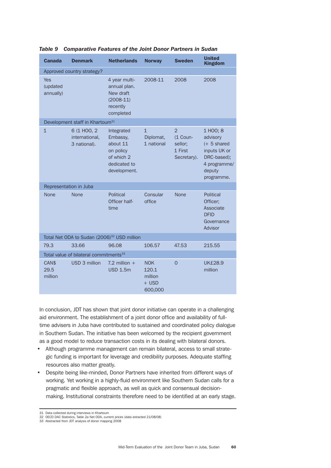| <b>Canada</b>                       | <b>Denmark</b>                                          | <b>Netherlands</b>                                                                            | <b>Norway</b>                                        | <b>Sweden</b>                                                   | <b>United</b><br><b>Kingdom</b>                                                                              |
|-------------------------------------|---------------------------------------------------------|-----------------------------------------------------------------------------------------------|------------------------------------------------------|-----------------------------------------------------------------|--------------------------------------------------------------------------------------------------------------|
|                                     | Approved country strategy?                              |                                                                                               |                                                      |                                                                 |                                                                                                              |
| <b>Yes</b><br>(updated<br>annually) |                                                         | 4 year multi-<br>annual plan.<br>New draft<br>$(2008-11)$<br>recently<br>completed            | 2008-11                                              | 2008                                                            | 2008                                                                                                         |
|                                     | Development staff in Khartoum <sup>31</sup>             |                                                                                               |                                                      |                                                                 |                                                                                                              |
| $\mathbf{1}$                        | 6 (1 HOO, 2<br>international,<br>3 national).           | Integrated<br>Embassy,<br>about 11<br>on policy<br>of which 2<br>dedicated to<br>development. | $\mathbf{1}$<br>Diplomat,<br>1 national              | $\overline{2}$<br>(1 Coun-<br>sellor;<br>1 First<br>Secretary). | 1 HOO; 8<br>advisory<br>$(+ 5$ shared<br>inputs UK or<br>DRC-based);<br>4 programme/<br>deputy<br>programme. |
|                                     | Representation in Juba                                  |                                                                                               |                                                      |                                                                 |                                                                                                              |
| None                                | None                                                    | Political<br>Officer half-<br>time                                                            | Consular<br>office                                   | <b>None</b>                                                     | Political<br>Officer;<br>Associate<br><b>DFID</b><br>Governance<br>Advisor                                   |
|                                     | Total Net ODA to Sudan (2006) <sup>32</sup> USD million |                                                                                               |                                                      |                                                                 |                                                                                                              |
| 79.3                                | 33.66                                                   | 96.08                                                                                         | 106.57                                               | 47.53                                                           | 215.55                                                                                                       |
|                                     | Total value of bilateral commitments <sup>33</sup>      |                                                                                               |                                                      |                                                                 |                                                                                                              |
| CAN\$<br>29.5<br>million            | USD 3 million                                           | 7.2 million $+$<br><b>USD 1.5m</b>                                                            | <b>NOK</b><br>120.1<br>million<br>$+$ USD<br>600,000 | $\overline{0}$                                                  | <b>UK£28.9</b><br>million                                                                                    |

*Table 9 Comparative Features of the Joint Donor Partners in Sudan*

In conclusion, JDT has shown that joint donor initiative can operate in a challenging aid environment. The establishment of a joint donor office and availability of fulltime advisers in Juba have contributed to sustained and coordinated policy dialogue in Southern Sudan. The initiative has been welcomed by the recipient government as a good model to reduce transaction costs in its dealing with bilateral donors.

- Although programme management can remain bilateral, access to small strategic funding is important for leverage and credibility purposes. Adequate staffing resources also matter greatly.
- Despite being like-minded, Donor Partners have inherited from different ways of working. Yet working in a highly-fluid environment like Southern Sudan calls for a pragmatic and flexible approach, as well as quick and consensual decisionmaking. Institutional constraints therefore need to be identified at an early stage.

<sup>31</sup> Data collected during interviews in Khartoum

<sup>32</sup> OECD DAC Statistics, Table 2a Net ODA, current prices (data extracted 21/08/08)

<sup>33</sup> Abstracted from JDT analysis of donor mapping 2008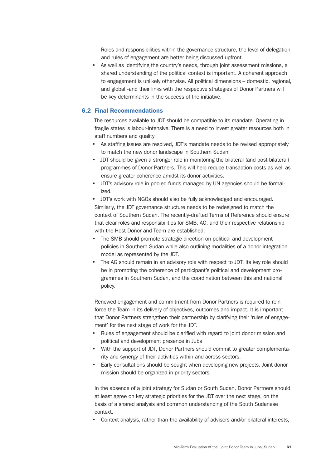Roles and responsibilities within the governance structure, the level of delegation and rules of engagement are better being discussed upfront.

• As well as identifying the country's needs, through joint assessment missions, a shared understanding of the political context is important. A coherent approach to engagement is unlikely otherwise. All political dimensions – domestic, regional, and global -and their links with the respective strategies of Donor Partners will be key determinants in the success of the initiative.

# 6.2 Final Recommendations

The resources available to JDT should be compatible to its mandate. Operating in fragile states is labour-intensive. There is a need to invest greater resources both in staff numbers and quality.

- As staffing issues are resolved, JDT's mandate needs to be revised appropriately to match the new donor landscape in Southern Sudan:
- JDT should be given a stronger role in monitoring the bilateral (and post-bilateral) programmes of Donor Partners. This will help reduce transaction costs as well as ensure greater coherence amidst its donor activities.
- JDT's advisory role in pooled funds managed by UN agencies should be formalized.

• JDT's work with NGOs should also be fully acknowledged and encouraged. Similarly, the JDT governance structure needs to be redesigned to match the context of Southern Sudan. The recently-drafted Terms of Reference should ensure that clear roles and responsibilities for SMB, AG, and their respective relationship with the Host Donor and Team are established.

- The SMB should promote strategic direction on political and development policies in Southern Sudan while also outlining modalities of a donor integration model as represented by the JDT.
- The AG should remain in an advisory role with respect to JDT. Its key role should be in promoting the coherence of participant's political and development programmes in Southern Sudan, and the coordination between this and national policy.

Renewed engagement and commitment from Donor Partners is required to reinforce the Team in its delivery of objectives, outcomes and impact. It is important that Donor Partners strengthen their partnership by clarifying their 'rules of engagement' for the next stage of work for the JDT.

- Rules of engagement should be clarified with regard to joint donor mission and political and development presence in Juba
- With the support of JDT, Donor Partners should commit to greater complementarity and synergy of their activities within and across sectors.
- Early consultations should be sought when developing new projects. Joint donor mission should be organized in priority sectors.

In the absence of a joint strategy for Sudan or South Sudan, Donor Partners should at least agree on key strategic priorities for the JDT over the next stage, on the basis of a shared analysis and common understanding of the South Sudanese context.

• Context analysis, rather than the availability of advisers and/or bilateral interests,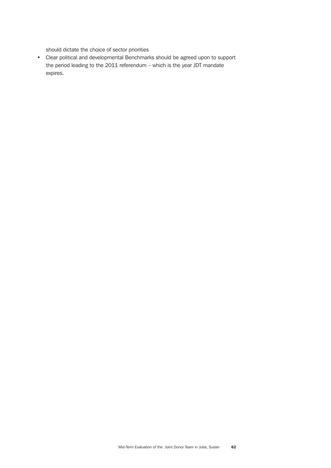should dictate the choice of sector priorities

• Clear political and developmental Benchmarks should be agreed upon to support the period leading to the 2011 referendum – which is the year JDT mandate expires.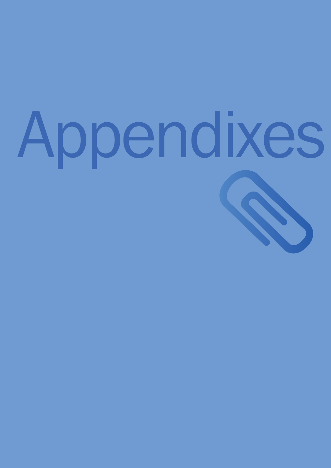# Appendixes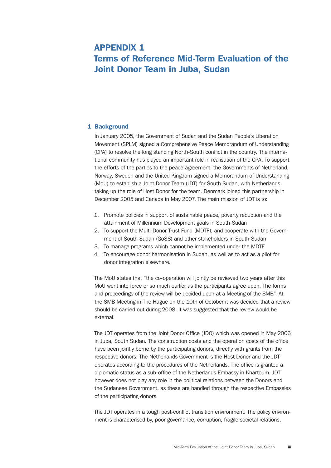# Appendix 1 Terms of Reference Mid-Term Evaluation of the Joint Donor Team in Juba, Sudan

# 1 Background

In January 2005, the Government of Sudan and the Sudan People's Liberation Movement (SPLM) signed a Comprehensive Peace Memorandum of Understanding (CPA) to resolve the long standing North-South conflict in the country. The international community has played an important role in realisation of the CPA. To support the efforts of the parties to the peace agreement, the Governments of Netherland, Norway, Sweden and the United Kingdom signed a Memorandum of Understanding (MoU) to establish a Joint Donor Team (JDT) for South Sudan, with Netherlands taking up the role of Host Donor for the team. Denmark joined this partnership in December 2005 and Canada in May 2007. The main mission of JDT is to:

- 1. Promote policies in support of sustainable peace, poverty reduction and the attainment of Millennium Development goals in South-Sudan
- 2. To support the Multi-Donor Trust Fund (MDTF), and cooperate with the Government of South Sudan (GoSS) and other stakeholders in South-Sudan
- 3. To manage programs which cannot be implemented under the MDTF
- 4. To encourage donor harmonisation in Sudan, as well as to act as a pilot for donor integration elsewhere.

The MoU states that "the co-operation will jointly be reviewed two years after this MoU went into force or so much earlier as the participants agree upon. The forms and proceedings of the review will be decided upon at a Meeting of the SMB". At the SMB Meeting in The Hague on the 10th of October it was decided that a review should be carried out during 2008. It was suggested that the review would be external.

The JDT operates from the Joint Donor Office (JDO) which was opened in May 2006 in Juba, South Sudan. The construction costs and the operation costs of the office have been jointly borne by the participating donors, directly with grants from the respective donors. The Netherlands Government is the Host Donor and the JDT operates according to the procedures of the Netherlands. The office is granted a diplomatic status as a sub-office of the Netherlands Embassy in Khartoum. JDT however does not play any role in the political relations between the Donors and the Sudanese Government, as these are handled through the respective Embassies of the participating donors.

The JDT operates in a tough post-conflict transition environment. The policy environment is characterised by, poor governance, corruption, fragile societal relations,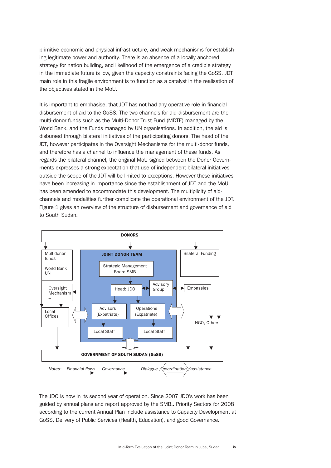primitive economic and physical infrastructure, and weak mechanisms for establishing legitimate power and authority. There is an absence of a locally anchored strategy for nation building, and likelihood of the emergence of a credible strategy in the immediate future is low, given the capacity constraints facing the GoSS. JDT main role in this fragile environment is to function as a catalyst in the realisation of the objectives stated in the MoU.

It is important to emphasise, that JDT has not had any operative role in financial disbursement of aid to the GoSS. The two channels for aid-disbursement are the multi-donor funds such as the Multi-Donor Trust Fund (MDTF) managed by the World Bank, and the Funds managed by UN organisations. In addition, the aid is disbursed through bilateral initiatives of the participating donors. The head of the JDT, however participates in the Oversight Mechanisms for the multi-donor funds, and therefore has a channel to influence the management of these funds. As regards the bilateral channel, the original MoU signed between the Donor Governments expresses a strong expectation that use of independent bilateral initiatives outside the scope of the JDT will be limited to exceptions. However these initiatives have been increasing in importance since the establishment of JDT and the MoU has been amended to accommodate this development. The multiplicity of aidchannels and modalities further complicate the operational environment of the JDT. Figure 1 gives an overview of the structure of disbursement and governance of aid to South Sudan.



The JDO is now in its second year of operation. Since 2007 JDO's work has been guided by annual plans and report approved by the SMB.. Priority Sectors for 2008 according to the current Annual Plan include assistance to Capacity Development at GoSS, Delivery of Public Services (Health, Education), and good Governance.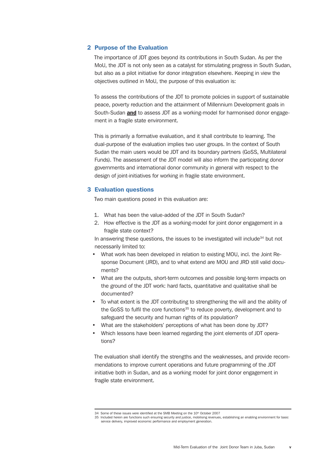### 2 Purpose of the Evaluation

The importance of JDT goes beyond its contributions in South Sudan. As per the MoU, the JDT is not only seen as a catalyst for stimulating progress in South Sudan, but also as a pilot initiative for donor integration elsewhere. Keeping in view the objectives outlined in MoU, the purpose of this evaluation is:

To assess the contributions of the JDT to promote policies in support of sustainable peace, poverty reduction and the attainment of Millennium Development goals in South-Sudan **and** to assess JDT as a working-model for harmonised donor engagement in a fragile state environment.

This is primarily a formative evaluation, and it shall contribute to learning. The dual-purpose of the evaluation implies two user groups. In the context of South Sudan the main users would be JDT and its boundary partners (GoSS, Multilateral Funds). The assessment of the JDT model will also inform the participating donor governments and international donor community in general with respect to the design of joint-initiatives for working in fragile state environment.

#### 3 Evaluation questions

Two main questions posed in this evaluation are:

- 1. What has been the value-added of the JDT in South Sudan?
- 2. How effective is the JDT as a working-model for joint donor engagement in a fragile state context?

In answering these questions, the issues to be investigated will include<sup>34</sup> but not necessarily limited to:

- What work has been developed in relation to existing MOU, incl. the Joint Response Document (JRD), and to what extend are MOU and JRD still valid documents?
- What are the outputs, short-term outcomes and possible long-term impacts on the ground of the JDT work: hard facts, quantitative and qualitative shall be documented?
- To what extent is the JDT contributing to strengthening the will and the ability of the GoSS to fulfil the core functions<sup>35</sup> to reduce poverty, development and to safeguard the security and human rights of its population?
- What are the stakeholders' perceptions of what has been done by JDT?
- Which lessons have been learned regarding the joint elements of JDT operations?

The evaluation shall identify the strengths and the weaknesses, and provide recommendations to improve current operations and future programming of the JDT initiative both in Sudan, and as a working model for joint donor engagement in fragile state environment.

<sup>34</sup> Some of these issues were identified at the SMB Meeting on the 10<sup>th</sup> October 2007

<sup>35</sup> Included herein are functions such ensuring security and justice, mobilising revenues, establishing an enabling environment for basic service delivery, improved economic performance and employment generation.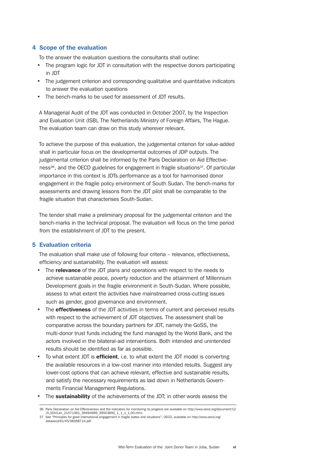# 4 Scope of the evaluation

To the answer the evaluation questions the consultants shall outline:

- The program logic for JDT in consultation with the respective donors participating in JDT
- The judgement criterion and corresponding qualitative and quantitative indicators to answer the evaluation questions
- The bench-marks to be used for assessment of JDT results.

A Managerial Audit of the JDT was conducted in October 2007, by the Inspection and Evaluation Unit (ISB), The Netherlands Ministry of Foreign Affairs, The Hague. The evaluation team can draw on this study wherever relevant.

To achieve the purpose of this evaluation, the judgemental criterion for value-added shall in particular focus on the developmental outcomes of JDP outputs. The judgemental criterion shall be informed by the Paris Declaration on Aid Effectiveness $36$ , and the OECD guidelines for engagement in fragile situations $37$ . Of particular importance in this context is JDTs performance as a tool for harmonised donor engagement in the fragile policy environment of South Sudan. The bench-marks for assessments and drawing lessons from the JDT pilot shall be comparable to the fragile situation that characterises South-Sudan.

The tender shall make a preliminary proposal for the judgemental criterion and the bench-marks in the technical proposal. The evaluation will focus on the time period from the establishment of JDT to the present.

# 5 Evaluation criteria

The evaluation shall make use of following four criteria – relevance, effectiveness, efficiency and sustainability. The evaluation will assess:

- The relevance of the JDT plans and operations with respect to the needs to achieve sustainable peace, poverty reduction and the attainment of Millennium Development goals in the fragile environment in South-Sudan. Where possible, assess to what extent the activities have mainstreamed cross-cutting issues such as gender, good governance and environment.
- The **effectiveness** of the JDT activities in terms of current and perceived results with respect to the achievement of JDT objectives. The assessment shall be comparative across the boundary partners for JDT, namely the GoSS, the multi-donor trust funds including the fund managed by the World Bank, and the actors involved in the bilateral-aid interventions. Both intended and unintended results should be identified as far as possible.
- To what extent JDT is **efficient**, i.e. to what extent the JDT model is converting the available resources in a low-cost manner into intended results. Suggest any lower-cost options that can achieve relevant, effective and sustainable results, and satisfy the necessary requirements as laid down in Netherlands Governments Financial Management Regulations.
- The **sustainability** of the achievements of the JDT; in other words assess the

<sup>36</sup> Paris Declaration on Aid Effectiveness and the indicators for monitoring its progress are available on http://www.oecd.org/document/12 /0,3343,en\_21571361\_39494699\_39503692\_1\_1\_1\_1,00.html.

<sup>37</sup> See "Principles for good international engagement in fragile states and situations", OECD, available on http://www.oecd.org/ dataoecd/61/45/38368714.pdf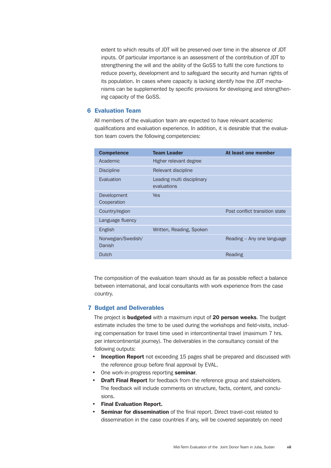extent to which results of JDT will be preserved over time in the absence of JDT inputs. Of particular importance is an assessment of the contribution of JDT to strengthening the will and the ability of the GoSS to fulfil the core functions to reduce poverty, development and to safeguard the security and human rights of its population. In cases where capacity is lacking identify how the JDT mechanisms can be supplemented by specific provisions for developing and strengthening capacity of the GoSS.

#### 6 Evaluation Team

All members of the evaluation team are expected to have relevant academic qualifications and evaluation experience. In addition, it is desirable that the evaluation team covers the following competencies:

| <b>Competence</b>            | <b>Team Leader</b>                        | At least one member            |
|------------------------------|-------------------------------------------|--------------------------------|
| Academic                     | Higher relevant degree                    |                                |
| <b>Discipline</b>            | Relevant discipline                       |                                |
| Evaluation                   | Leading multi disciplinary<br>evaluations |                                |
| Development<br>Cooperation   | <b>Yes</b>                                |                                |
| Country/region               |                                           | Post conflict transition state |
| Language fluency             |                                           |                                |
| English                      | Written, Reading, Spoken                  |                                |
| Norwegian/Swedish/<br>Danish |                                           | Reading – Any one language     |
| Dutch                        |                                           | Reading                        |
|                              |                                           |                                |

The composition of the evaluation team should as far as possible reflect a balance between international, and local consultants with work experience from the case country.

## 7 Budget and Deliverables

The project is **budgeted** with a maximum input of 20 person weeks. The budget estimate includes the time to be used during the workshops and field-visits, including compensation for travel time used in intercontinental travel (maximum 7 hrs. per intercontinental journey). The deliverables in the consultancy consist of the following outputs:

- Inception Report not exceeding 15 pages shall be prepared and discussed with the reference group before final approval by EVAL.
- One work-in-progress reporting seminar.
- Draft Final Report for feedback from the reference group and stakeholders. The feedback will include comments on structure, facts, content, and conclusions.
- Final Evaluation Report.
- **Seminar for dissemination** of the final report. Direct travel-cost related to dissemination in the case countries if any, will be covered separately on need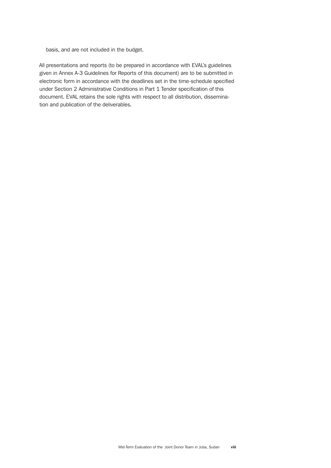basis, and are not included in the budget.

All presentations and reports (to be prepared in accordance with EVAL's guidelines given in Annex A-3 Guidelines for Reports of this document) are to be submitted in electronic form in accordance with the deadlines set in the time-schedule specified under Section 2 Administrative Conditions in Part 1 Tender specification of this document. EVAL retains the sole rights with respect to all distribution, dissemination and publication of the deliverables.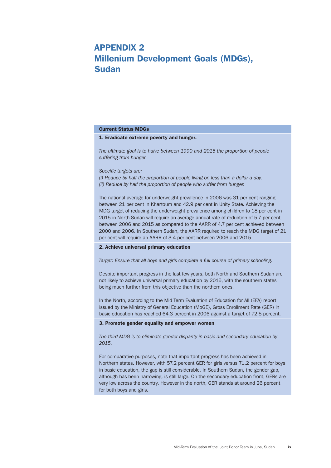# Appendix 2 Millenium Development Goals (MDGs), Sudan

#### Current Status MDGs

#### 1. Eradicate extreme poverty and hunger.

*The ultimate goal is to halve between 1990 and 2015 the proportion of people suffering from hunger.*

*Specific targets are:* 

*(i) Reduce by half the proportion of people living on less than a dollar a day. (ii) Reduce by half the proportion of people who suffer from hunger.*

The national average for underweight prevalence in 2006 was 31 per cent ranging between 21 per cent in Khartoum and 42.9 per cent in Unity State. Achieving the MDG target of reducing the underweight prevalence among children to 18 per cent in 2015 in North Sudan will require an average annual rate of reduction of 5.7 per cent between 2006 and 2015 as compared to the AARR of 4.7 per cent achieved between 2000 and 2006. In Southern Sudan, the AARR required to reach the MDG target of 21 per cent will require an AARR of 3.4 per cent between 2006 and 2015.

#### 2. Achieve universal primary education

*Target: Ensure that all boys and girls complete a full course of primary schooling.*

Despite important progress in the last few years, both North and Southern Sudan are not likely to achieve universal primary education by 2015, with the southern states being much further from this objective than the northern ones.

In the North, according to the Mid Term Evaluation of Education for All (EFA) report issued by the Ministry of General Education (MoGE), Gross Enrollment Rate (GER) in basic education has reached 64.3 percent in 2006 against a target of 72.5 percent.

#### 3. Promote gender equality and empower women

*The third MDG is to eliminate gender disparity in basic and secondary education by 2015.* 

For comparative purposes, note that important progress has been achieved in Northern states. However, with 57.2 percent GER for girls versus 71.2 percent for boys in basic education, the gap is still considerable. In Southern Sudan, the gender gap, although has been narrowing, is still large. On the secondary education front, GERs are very low across the country. However in the north, GER stands at around 26 percent for both boys and girls.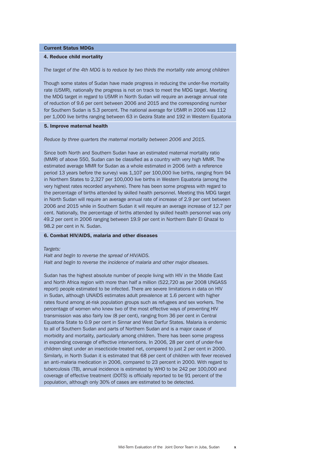#### Current Status MDGs

#### 4. Reduce child mortality

*The target of the 4th MDG is to reduce by two thirds the mortality rate among children*

Though some states of Sudan have made progress in reducing the under-five mortality rate (U5MR), nationally the progress is not on track to meet the MDG target. Meeting the MDG target in regard to U5MR in North Sudan will require an average annual rate of reduction of 9.6 per cent between 2006 and 2015 and the corresponding number for Southern Sudan is 5.3 percent. The national average for U5MR in 2006 was 112 per 1,000 live births ranging between 63 in Gezira State and 192 in Western Equatoria

#### 5. Improve maternal health

*Reduce by three quarters the maternal mortality between 2006 and 2015.*

Since both North and Southern Sudan have an estimated maternal mortality ratio (MMR) of above 550, Sudan can be classified as a country with very high MMR. The estimated average MMR for Sudan as a whole estimated in 2006 (with a reference period 13 years before the survey) was 1,107 per 100,000 live births, ranging from 94 in Northern States to 2,327 per 100,000 live births in Western Equatoria (among the very highest rates recorded anywhere). There has been some progress with regard to the percentage of births attended by skilled health personnel. Meeting this MDG target in North Sudan will require an average annual rate of increase of 2.9 per cent between 2006 and 2015 while in Southern Sudan it will require an average increase of 12.7 per cent. Nationally, the percentage of births attended by skilled health personnel was only 49.2 per cent in 2006 ranging between 19.9 per cent in Northern Bahr El Ghazal to 98.2 per cent in N. Sudan.

#### 6. Combat HIV/AIDS, malaria and other diseases

#### *Targets:*

*Halt and begin to reverse the spread of HIV/AIDS. Halt and begin to reverse the incidence of malaria and other major diseases.*

Sudan has the highest absolute number of people living with HIV in the Middle East and North Africa region with more than half a million (522,720 as per 2008 UNGASS report) people estimated to be infected. There are severe limitations in data on HIV in Sudan, although UNAIDS estimates adult prevalence at 1.6 percent with higher rates found among at-risk population groups such as refugees and sex workers. The percentage of women who knew two of the most effective ways of preventing HIV transmission was also fairly low (8 per cent), ranging from 36 per cent in Central Equatoria State to 0.9 per cent in Sinnar and West Darfur States. Malaria is endemic to all of Southern Sudan and parts of Northern Sudan and is a major cause of morbidity and mortality, particularly among children. There has been some progress in expanding coverage of effective interventions. In 2006, 28 per cent of under-five children slept under an insecticide-treated net, compared to just 2 per cent in 2000. Similarly, in North Sudan it is estimated that 68 per cent of children with fever received an anti-malaria medication in 2006, compared to 23 percent in 2000. With regard to tuberculosis (TB), annual incidence is estimated by WHO to be 242 per 100,000 and coverage of effective treatment (DOTS) is officially reported to be 91 percent of the population, although only 30% of cases are estimated to be detected.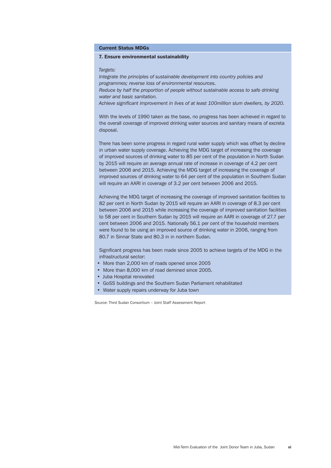Current Status MDGs

#### 7. Ensure environmental sustainability

#### *Targets:*

*Integrate the principles of sustainable development into country policies and programmes; reverse loss of environmental resources. Reduce by half the proportion of people without sustainable access to safe drinking water and basic sanitation. Achieve significant improvement in lives of at least 100million slum dwellers, by 2020.*

With the levels of 1990 taken as the base, no progress has been achieved in regard to the overall coverage of improved drinking water sources and sanitary means of excreta disposal.

There has been some progress in regard rural water supply which was offset by decline in urban water supply coverage. Achieving the MDG target of increasing the coverage of improved sources of drinking water to 85 per cent of the population in North Sudan by 2015 will require an average annual rate of increase in coverage of 4.2 per cent between 2006 and 2015. Achieving the MDG target of increasing the coverage of improved sources of drinking water to 64 per cent of the population in Southern Sudan will require an AARI in coverage of 3.2 per cent between 2006 and 2015.

Achieving the MDG target of increasing the coverage of improved sanitation facilities to 82 per cent in North Sudan by 2015 will require an AARI in coverage of 8.3 per cent between 2006 and 2015 while increasing the coverage of improved sanitation facilities to 58 per cent in Southern Sudan by 2015 will require an AARI in coverage of 27.7 per cent between 2006 and 2015. Nationally 56.1 per cent of the household members were found to be using an improved source of drinking water in 2006, ranging from 80.7 in Sinnar State and 80.3 in in northern Sudan.

Significant progress has been made since 2005 to achieve targets of the MDG in the infrastructural sector:

- More than 2,000 km of roads opened since 2005
- More than 8,000 km of road demined since 2005.
- Juba Hospital renovated
- • GoSS buildings and the Southern Sudan Parliament rehabilitated
- Water supply repairs underway for Juba town

Source: Third Sudan Consortium – Joint Staff Assessment Report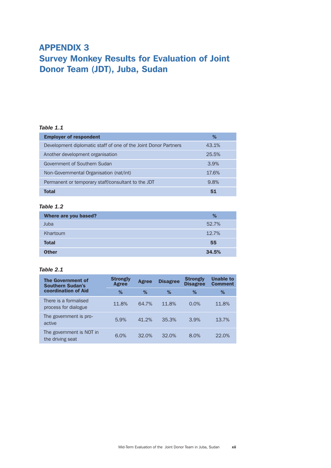# Appendix 3 Survey Monkey Results for Evaluation of Joint Donor Team (JDT), Juba, Sudan

# *Table 1.1*

| <b>Employer of respondent</b>                                   | %     |
|-----------------------------------------------------------------|-------|
| Development diplomatic staff of one of the Joint Donor Partners | 43.1% |
| Another development organisation                                | 25.5% |
| Government of Southern Sudan                                    | 3.9%  |
| Non-Governmental Organisation (nat/int)                         | 17.6% |
| Permanent or temporary staff/consultant to the JDT              | 9.8%  |
| Total                                                           | 51    |

# *Table 1.2*

| Where are you based? | %     |
|----------------------|-------|
| Juba                 | 52.7% |
| Khartoum             | 12.7% |
| <b>Total</b>         | 55    |
| <b>Other</b>         | 34.5% |

# *Table 2.1*

| <b>The Government of</b><br><b>Southern Sudan's</b><br>coordination of Aid | <b>Strongly</b><br>Agree | Agree | <b>Disagree</b> | <b>Strongly</b><br><b>Disagree</b> | <b>Unable to</b><br><b>Comment</b> |
|----------------------------------------------------------------------------|--------------------------|-------|-----------------|------------------------------------|------------------------------------|
|                                                                            | %                        | %     | %               | %                                  | %                                  |
| There is a formalised<br>process for dialogue                              | 11.8%                    | 64.7% | 11.8%           | 0.0%                               | 11.8%                              |
| The government is pro-<br>active                                           | 5.9%                     | 41.2% | 35.3%           | 3.9%                               | 13.7%                              |
| The government is NOT in<br>the driving seat                               | 6.0%                     | 32.0% | 32.0%           | 8.0%                               | 22.0%                              |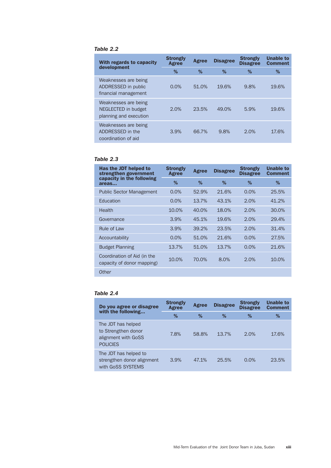# *Table 2.2*

| With regards to capacity<br>development                               | <b>Strongly</b><br>Agree | Agree | <b>Disagree</b> | <b>Strongly</b><br><b>Disagree</b> | <b>Unable to</b><br><b>Comment</b> |
|-----------------------------------------------------------------------|--------------------------|-------|-----------------|------------------------------------|------------------------------------|
|                                                                       | %                        | %     | %               | %                                  | %                                  |
| Weaknesses are being<br>ADDRESSED in public<br>financial management   | 0.0%                     | 51.0% | 19.6%           | 9.8%                               | 19.6%                              |
| Weaknesses are being<br>NEGLECTED in budget<br>planning and execution | 2.0%                     | 23.5% | 49.0%           | 5.9%                               | 19.6%                              |
| Weaknesses are being<br>ADDRESSED in the<br>coordination of aid       | 3.9%                     | 66.7% | 9.8%            | 2.0%                               | 17.6%                              |

# *Table 2.3*

| Has the JDT helped to<br>strengthen government<br>capacity in the following<br>areas | <b>Strongly</b><br>Agree | Agree | <b>Disagree</b> | <b>Strongly</b><br><b>Disagree</b> | <b>Unable to</b><br><b>Comment</b> |
|--------------------------------------------------------------------------------------|--------------------------|-------|-----------------|------------------------------------|------------------------------------|
|                                                                                      | %                        | %     | %               | %                                  | %                                  |
| <b>Public Sector Management</b>                                                      | 0.0%                     | 52.9% | 21.6%           | 0.0%                               | 25.5%                              |
| Education                                                                            | 0.0%                     | 13.7% | 43.1%           | 2.0%                               | 41.2%                              |
| Health                                                                               | 10.0%                    | 40.0% | 18.0%           | 2.0%                               | 30.0%                              |
| Governance                                                                           | 3.9%                     | 45.1% | 19.6%           | 2.0%                               | 29.4%                              |
| Rule of Law                                                                          | 3.9%                     | 39.2% | 23.5%           | 2.0%                               | 31.4%                              |
| Accountability                                                                       | 0.0%                     | 51.0% | 21.6%           | 0.0%                               | 27.5%                              |
| <b>Budget Planning</b>                                                               | 13.7%                    | 51.0% | 13.7%           | 0.0%                               | 21.6%                              |
| Coordination of Aid (in the<br>capacity of donor mapping)                            | 10.0%                    | 70.0% | 8.0%            | 2.0%                               | 10.0%                              |
| <b>Other</b>                                                                         |                          |       |                 |                                    |                                    |

# *Table 2.4*

| Do you agree or disagree<br>with the following                                      | <b>Strongly</b><br>Agree | Agree | <b>Disagree</b> | <b>Strongly</b><br><b>Disagree</b> | <b>Unable to</b><br><b>Comment</b> |
|-------------------------------------------------------------------------------------|--------------------------|-------|-----------------|------------------------------------|------------------------------------|
|                                                                                     | %                        | %     | ℅               | %                                  | %                                  |
| The JDT has helped<br>to Strengthen donor<br>alignment with GoSS<br><b>POLICIES</b> | 7.8%                     | 58.8% | 13.7%           | 2.0%                               | 17.6%                              |
| The JDT has helped to<br>strengthen donor alignment<br>with GoSS SYSTEMS            | 3.9%                     | 47.1% | 25.5%           | $0.0\%$                            | 23.5%                              |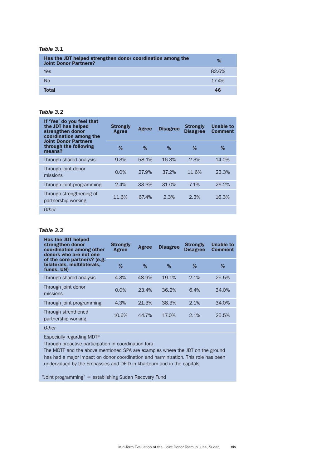# *Table 3.1*

| Has the JDT helped strengthen donor coordination among the<br><b>Joint Donor Partners?</b> | %     |
|--------------------------------------------------------------------------------------------|-------|
| Yes                                                                                        | 82.6% |
| N <sub>o</sub>                                                                             | 17.4% |
| <b>Total</b>                                                                               | 46    |

#### *Table 3.2*

| If 'Yes' do you feel that<br>the JDT has helped<br>strengthen donor<br>coordination among the | <b>Strongly</b><br>Agree | Agree | <b>Disagree</b> | <b>Strongly</b><br><b>Disagree</b> | <b>Unable to</b><br><b>Comment</b> |
|-----------------------------------------------------------------------------------------------|--------------------------|-------|-----------------|------------------------------------|------------------------------------|
| <b>Joint Donor Partners</b><br>through the following<br>means?                                | %                        | ℅     | $\%$            | %                                  | %                                  |
| Through shared analysis                                                                       | 9.3%                     | 58.1% | 16.3%           | 2.3%                               | 14.0%                              |
| Through joint donor<br>missions                                                               | 0.0%                     | 27.9% | 37.2%           | 11.6%                              | 23.3%                              |
| Through joint programming                                                                     | 2.4%                     | 33.3% | 31.0%           | 7.1%                               | 26.2%                              |
| Through strengthening of<br>partnership working                                               | 11.6%                    | 67.4% | 2.3%            | 2.3%                               | 16.3%                              |
| Other                                                                                         |                          |       |                 |                                    |                                    |

# *Table 3.3*

| Has the JDT helped<br>strengthen donor<br>coordination among other<br>donors who are not one<br>of the core partners? (e.g.<br>bilaterals, multilaterals,<br>funds, UN) | <b>Strongly</b><br>Agree | <b>Agree</b> | <b>Disagree</b> | <b>Strongly</b><br><b>Disagree</b> | <b>Unable to</b><br><b>Comment</b> |
|-------------------------------------------------------------------------------------------------------------------------------------------------------------------------|--------------------------|--------------|-----------------|------------------------------------|------------------------------------|
|                                                                                                                                                                         | %                        | %            | %               | %                                  | %                                  |
| Through shared analysis                                                                                                                                                 | 4.3%                     | 48.9%        | 19.1%           | 2.1%                               | 25.5%                              |
| Through joint donor<br>missions                                                                                                                                         | $0.0\%$                  | 23.4%        | 36.2%           | 6.4%                               | 34.0%                              |
| Through joint programming                                                                                                                                               | 4.3%                     | 21.3%        | 38.3%           | 2.1%                               | 34.0%                              |
| Through strenthened<br>partnership working                                                                                                                              | 10.6%                    | 44.7%        | 17.0%           | 2.1%                               | 25.5%                              |
|                                                                                                                                                                         |                          |              |                 |                                    |                                    |

*Other*

Especially regarding MDTF

Through proactive participation in coordination fora.

The MDTF and the above mentioned SPA are examples where the JDT on the ground has had a major impact on donor coordination and harminization. This role has been undervalued by the Embassies and DFID in khartoum and in the capitals

"Joint programming" = establishing Sudan Recovery Fund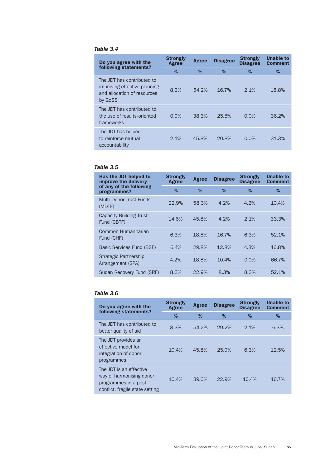# *Table 3.4*

| Do you agree with the                                                                                | <b>Strongly</b><br>Agree | Agree | <b>Disagree</b> | <b>Strongly</b><br><b>Disagree</b> | <b>Unable to</b><br><b>Comment</b> |
|------------------------------------------------------------------------------------------------------|--------------------------|-------|-----------------|------------------------------------|------------------------------------|
| following statements?                                                                                | %                        | %     | %               | %                                  | %                                  |
| The JDT has contributed to<br>improving effective planning<br>and allocation of resources<br>by GoSS | 8.3%                     | 54.2% | 16.7%           | 2.1%                               | 18.8%                              |
| The JDT has contributed to<br>the use of results-oriented<br>frameworks                              | 0.0%                     | 38.3% | 25.5%           | 0.0%                               | 36.2%                              |
| The JDT has helped<br>to reinforce mutual<br>accountability                                          | 2.1%                     | 45.8% | 20.8%           | 0.0%                               | 31.3%                              |

# *Table 3.5*

| Has the JDT helped to<br>improve the delivery | <b>Strongly</b><br>Agree | Agree | <b>Disagree</b> | <b>Strongly</b><br><b>Disagree</b> | <b>Unable to</b><br><b>Comment</b> |
|-----------------------------------------------|--------------------------|-------|-----------------|------------------------------------|------------------------------------|
| of any of the following<br>programmes?        | ℅                        | %     | ℅               | %                                  | %                                  |
| Multi-Donor Trust Funds<br>(MDTF)             | 22.9%                    | 58.3% | 4.2%            | 4.2%                               | 10.4%                              |
| <b>Capacity Building Trust</b><br>Fund (CBTF) | 14.6%                    | 45.8% | 4.2%            | 2.1%                               | 33.3%                              |
| Common Humanitarian<br>Fund (CHF)             | 6.3%                     | 18.8% | 16.7%           | 6.3%                               | 52.1%                              |
| Basic Services Fund (BSF)                     | 6.4%                     | 29.8% | 12.8%           | 4.3%                               | 46.8%                              |
| Strategic Partnership<br>Arrangement (SPA)    | 4.2%                     | 18.8% | 10.4%           | 0.0%                               | 66.7%                              |
| Sudan Recovery Fund (SRF)                     | 8.3%                     | 22.9% | 8.3%            | 8.3%                               | 52.1%                              |

# *Table 3.6*

| Do you agree with the<br>following statements?                                                                 | <b>Strongly</b><br>Agree | Agree | <b>Disagree</b> | <b>Strongly</b><br><b>Disagree</b> | <b>Unable to</b><br><b>Comment</b> |
|----------------------------------------------------------------------------------------------------------------|--------------------------|-------|-----------------|------------------------------------|------------------------------------|
|                                                                                                                | %                        | %     | %               | %                                  | %                                  |
| The JDT has contributed to<br>better quality of aid                                                            | 8.3%                     | 54.2% | 29.2%           | 2.1%                               | 6.3%                               |
| The JDT provides an<br>effective model for<br>integration of donor<br>programmes                               | 10.4%                    | 45.8% | 25.0%           | 6.3%                               | 12.5%                              |
| The JDT is an effective<br>way of harmonising donor<br>programmes in a post<br>conflict, fragile state setting | 10.4%                    | 39.6% | 22.9%           | 10.4%                              | 16.7%                              |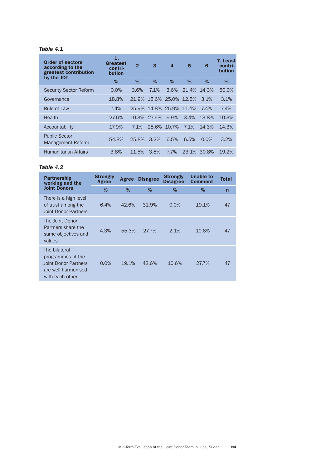# *Table 4.1*

| <b>Order of sectors</b><br>according to the<br>greatest contribution<br>by the JDT | 1.<br>Greatest<br>contri-<br>bution | $\overline{2}$ | 3                 | $\boldsymbol{4}$        | 5           | 6       | 7. Least<br>contri-<br><b>bution</b> |
|------------------------------------------------------------------------------------|-------------------------------------|----------------|-------------------|-------------------------|-------------|---------|--------------------------------------|
|                                                                                    | %                                   | $\%$           | %                 | %                       | %           | %       | %                                    |
| <b>Security Sector Reform</b>                                                      | 0.0%                                | 3.6%           | 7.1%              | 3.6%                    | 21.4% 14.3% |         | 50.0%                                |
| Governance                                                                         | 18.8%                               |                |                   | 21.9% 15.6% 25.0% 12.5% |             | 3.1%    | 3.1%                                 |
| Rule of Law                                                                        | 7.4%                                |                | 25.9% 14.8% 25.9% |                         | 11.1%       | 7.4%    | 7.4%                                 |
| Health                                                                             | 27.6%                               | 10.3%          | 27.6%             | 6.9%                    | 3.4%        | 13.8%   | 10.3%                                |
| Accountability                                                                     | 17.9%                               | 7.1%           | 28.6%             | 10.7%                   | 7.1%        | 14.3%   | 14.3%                                |
| <b>Public Sector</b><br>Management Reform                                          | 54.8%                               | 25.8%          | 3.2%              | 6.5%                    | 6.5%        | $0.0\%$ | 3.2%                                 |
| Humanitarian Affairs                                                               | 3.8%                                | 11.5%          | 3.8%              | 7.7%                    | 23.1%       | 30.8%   | 19.2%                                |

# *Table 4.2*

| <b>Partnership</b><br>working and the                                                                       | <b>Strongly</b><br>Agree | Agree | <b>Disagree</b> | <b>Strongly</b><br><b>Disagree</b> | <b>Unable to</b><br><b>Comment</b> | <b>Total</b>   |
|-------------------------------------------------------------------------------------------------------------|--------------------------|-------|-----------------|------------------------------------|------------------------------------|----------------|
| <b>Joint Donors</b>                                                                                         | %                        | %     | %               | %                                  | %                                  | $\overline{ }$ |
| There is a high level<br>of trust among the<br><b>Joint Donor Partners</b>                                  | 6.4%                     | 42.6% | 31.9%           | 0.0%                               | 19.1%                              | 47             |
| The Joint Donor<br>Partners share the<br>same objectives and<br>values                                      | 4.3%                     | 55.3% | 27.7%           | 2.1%                               | 10.6%                              | 47             |
| The bilateral<br>programmes of the<br><b>Joint Donor Partners</b><br>are well harmonised<br>with each other | $0.0\%$                  | 19.1% | 42.6%           | 10.6%                              | 27.7%                              | 47             |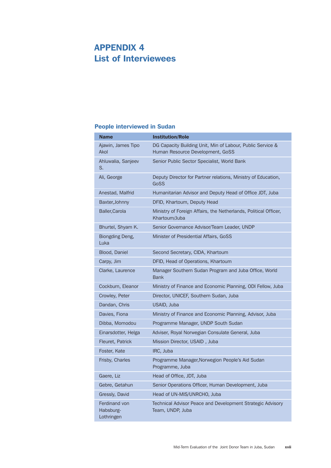# Appendix 4 List of Interviewees

# People interviewed in Sudan

| <b>Name</b>                              | <b>Institution/Role</b>                                                                        |
|------------------------------------------|------------------------------------------------------------------------------------------------|
| Ajawin, James Tipo<br>Akol               | DG Capacity Building Unit, Min of Labour, Public Service &<br>Human Resource Development, GoSS |
| Ahluwalia, Sanjeev<br>S.                 | Senior Public Sector Specialist, World Bank                                                    |
| Ali, George                              | Deputy Director for Partner relations, Ministry of Education,<br>GoSS                          |
| Anestad, Malfrid                         | Humanitarian Advisor and Deputy Head of Office JDT, Juba                                       |
| Baxter, Johnny                           | DFID, Khartoum, Deputy Head                                                                    |
| Baller, Carola                           | Ministry of Foreign Affairs, the Netherlands, Political Officer,<br>Khartoum/Juba              |
| Bhurtel, Shyam K.                        | Senior Governance Advisor/Team Leader, UNDP                                                    |
| Biongding Deng,<br>Luka                  | Minister of Presidential Affairs, GoSS                                                         |
| Blood, Daniel                            | Second Secretary, CIDA, Khartoum                                                               |
| Carpy, Jim                               | DFID, Head of Operations, Khartoum                                                             |
| Clarke, Laurence                         | Manager Southern Sudan Program and Juba Office, World<br><b>Bank</b>                           |
| Cockburn, Eleanor                        | Ministry of Finance and Economic Planning, ODI Fellow, Juba                                    |
| Crowley, Peter                           | Director, UNICEF, Southern Sudan, Juba                                                         |
| Dandan, Chris                            | USAID, Juba                                                                                    |
| Davies, Fiona                            | Ministry of Finance and Economic Planning, Advisor, Juba                                       |
| Dibba, Momodou                           | Programme Manager, UNDP South Sudan                                                            |
| Einarsdotter, Helga                      | Adviser, Royal Norwegian Consulate General, Juba                                               |
| Fleuret, Patrick                         | Mission Director, USAID, Juba                                                                  |
| Foster, Kate                             | IRC, Juba                                                                                      |
| Frisby, Charles                          | Programme Manager, Norwegion People's Aid Sudan<br>Programme, Juba                             |
| Gaere, Liz                               | Head of Office, JDT, Juba                                                                      |
| Gebre, Getahun                           | Senior Operations Officer, Human Development, Juba                                             |
| Gressly, David                           | Head of UN-MIS/UNRCHO, Juba                                                                    |
| Ferdinand von<br>Habsburg-<br>Lothringen | Technical Advisor Peace and Development Strategic Advisory<br>Team, UNDP, Juba                 |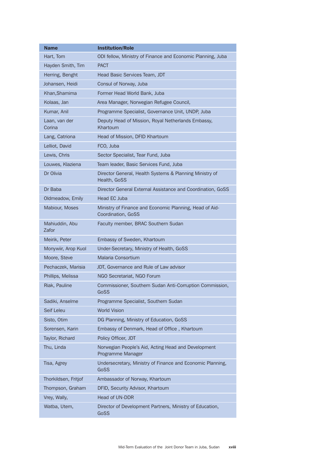| Name                    | <b>Institution/Role</b>                                                       |
|-------------------------|-------------------------------------------------------------------------------|
| Hart, Tom               | ODI fellow, Ministry of Finance and Economic Planning, Juba                   |
| Hayden Smith, Tim       | <b>PACT</b>                                                                   |
| Herring, Benght         | Head Basic Services Team, JDT                                                 |
| Johansen, Heidi         | Consul of Norway, Juba                                                        |
| Khan, Shamima           | Former Head World Bank, Juba                                                  |
| Kolaas, Jan             | Area Manager, Norwegian Refugee Council,                                      |
| Kumar, Anil             | Programme Specialist, Governance Unit, UNDP, Juba                             |
| Laan, van der<br>Corina | Deputy Head of Mission, Royal Netherlands Embassy,<br>Khartoum                |
| Lang, Catriona          | Head of Mission, DFID Khartoum                                                |
| Lelliot, David          | FCO, Juba                                                                     |
| Lewis, Chris            | Sector Specialist, Tear Fund, Juba                                            |
| Louwes, Klaziena        | Team leader, Basic Services Fund, Juba                                        |
| Dr Olivia               | Director General, Health Systems & Planning Ministry of<br>Health, GoSS       |
| Dr Baba                 | Director General External Assistance and Coordination, GoSS                   |
| Oldmeadow, Emily        | Head EC Juba                                                                  |
| Mabiour, Moses          | Ministry of Finance and Economic Planning, Head of Aid-<br>Coordination, GoSS |
| Mahiuddin, Abu<br>Zafor | Faculty member, BRAC Southern Sudan                                           |
| Meirik, Peter           | Embassy of Sweden, Khartoum                                                   |
| Monywiir, Arop Kuol     | Under-Secretary, Ministry of Health, GoSS                                     |
| Moore, Steve            | Malaria Consortium                                                            |
| Pechaczek, Marisia      | JDT, Governance and Rule of Law advisor                                       |
| Phillips, Melissa       | NGO Secretariat, NGO Forum                                                    |
| Riak, Pauline           | Commissioner, Southern Sudan Anti-Corruption Commission,<br>GoSS              |
| Sadiki, Anselme         | Programme Specialist, Southern Sudan                                          |
| Seif Leleu              | <b>World Vision</b>                                                           |
| Sisto, Otim             | DG Planning, Ministry of Education, GoSS                                      |
| Sorensen, Karin         | Embassy of Denmark, Head of Office, Khartoum                                  |
| Taylor, Richard         | Policy Officer, JDT                                                           |
| Thu, Linda              | Norwegian People's Aid, Acting Head and Development<br>Programme Manager      |
| Tisa, Agrey             | Undersecretary, Ministry of Finance and Economic Planning,<br>GoSS            |
| Thorkildsen, Fritjof    | Ambassador of Norway, Khartoum                                                |
| Thompson, Graham        | DFID, Security Advisor, Khartoum                                              |
| Vrey, Wally,            | Head of UN-DDR                                                                |
| Watba, Utem,            | Director of Development Partners, Ministry of Education,<br>GoSS              |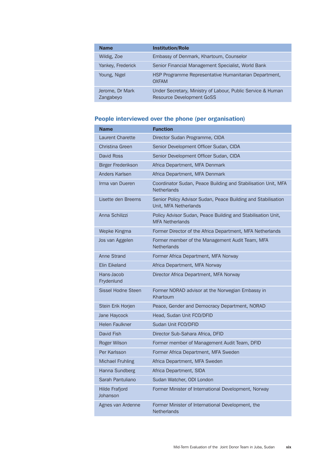| <b>Name</b>                  | <b>Institution/Role</b>                                                                         |
|------------------------------|-------------------------------------------------------------------------------------------------|
| Wildig, Zoe                  | Embassy of Denmark, Khartoum, Counselor                                                         |
| Yankey, Frederick            | Senior Financial Management Specialist, World Bank                                              |
| Young, Nigel                 | HSP Programme Representative Humanitarian Department,<br><b>OXFAM</b>                           |
| Jerome, Dr Mark<br>Zangabeyo | Under Secretary, Ministry of Labour, Public Service & Human<br><b>Resource Development GoSS</b> |

# People interviewed over the phone (per organisation)

| <b>Name</b>                       | <b>Function</b>                                                                        |
|-----------------------------------|----------------------------------------------------------------------------------------|
| <b>Laurent Charette</b>           | Director Sudan Programme, CIDA                                                         |
| Christina Green                   | Senior Development Officer Sudan, CIDA                                                 |
| David Ross                        | Senior Development Officer Sudan, CIDA                                                 |
| <b>Birger Frederikson</b>         | Africa Department, MFA Denmark                                                         |
| Anders Karlsen                    | Africa Department, MFA Denmark                                                         |
| Irma van Dueren                   | Coordinator Sudan, Peace Building and Stabilisation Unit, MFA<br><b>Netherlands</b>    |
| Lisette den Breems                | Senior Policy Advisor Sudan, Peace Building and Stabilisation<br>Unit, MFA Netherlands |
| Anna Schilizzi                    | Policy Advisor Sudan, Peace Building and Stabilisation Unit,<br><b>MFA Netherlands</b> |
| Wepke Kingma                      | Former Director of the Africa Department, MFA Netherlands                              |
| Jos van Aggelen                   | Former member of the Management Audit Team, MFA<br><b>Netherlands</b>                  |
| <b>Anne Strand</b>                | Former Africa Department, MFA Norway                                                   |
| <b>Elin Eikeland</b>              | Africa Department, MFA Norway                                                          |
| Hans-Jacob<br>Frydenlund          | Director Africa Department, MFA Norway                                                 |
| Sissel Hodne Steen                | Former NORAD advisor at the Norwegian Embassy in<br>Khartoum                           |
| Stein Erik Horjen                 | Peace, Gender and Democracy Department, NORAD                                          |
| Jane Haycock                      | Head, Sudan Unit FCO/DFID                                                              |
| <b>Helen Faulkner</b>             | Sudan Unit FCO/DFID                                                                    |
| David Fish                        | Director Sub-Sahara Africa, DFID                                                       |
| Roger Wilson                      | Former member of Management Audit Team, DFID                                           |
| Per Karlsson                      | Former Africa Department, MFA Sweden                                                   |
| Michael Fruhling                  | Africa Department, MFA Sweden                                                          |
| Hanna Sundberg                    | Africa Department, SIDA                                                                |
| Sarah Pantuliano                  | Sudan Watcher, ODI London                                                              |
| <b>Hilde Frafjord</b><br>Johanson | Former Minister of International Development, Norway                                   |
| Agnes van Ardenne                 | Former Minister of International Development, the<br><b>Netherlands</b>                |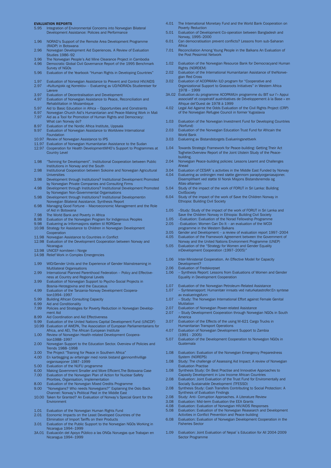#### EVALUATION REPORTS

- 5.95 Integration of Environmental Concerns into Norwegian Bilateral Development Assistance: Policies and Performance
- 1.96 NORAD's Support of the Remote Area Development Programme (RADP) in Botswana
- 2.96 Norwegian Development Aid Experiences. A Review of Evaluation Studies 1986–92
- 3.96 The Norwegian People's Aid Mine Clearance Project in Cambodia
- Democratic Global Civil Governance Report of the 1995 Benchmark Survey of NGOs
- 5.96 Evaluation of the Yearbook "Human Rights in Developing Countries"
- 1.97 Evaluation of Norwegian Assistance to Prevent and Control HIV/AIDS 2.97 «Kultursjokk og Korrektiv» Evaluering av UD/NORADs Studiereiser for Lærere
- 3.97 Evaluation of Decentralisation and Development<br>4.97 Evaluation of Norwegian Assistance to Peace, Re
- Evaluation of Norwegian Assistance to Peace, Reconciliation and Rehabilitation in Mozambique
- 
- 5.97 Aid to Basic Education in Africa Opportunities and Constraints 6.97 Norwegian Church Aid's Humanitarian and Peace-Making Work in Mali 7.97 Aid as a Tool for Promotion of Human Rights and Democracy:
- What can Norway do?
- 8.97 Evaluation of the Nordic Africa Institute, Uppsala 9.97 Evaluation of Norwegian Assistance to Worldview International
- Foundation
- 10.97 Review of Norwegian Assistance to IPS 11.97 Evaluation of Norwegian Humanitarian Assistance to the Sudan
- 12.97 Cooperation for Health DevelopmentWHO's Support to Programmes at Country Level
- 1.98 "Twinning for Development". Institutional Cooperation between Public
- Institutions in Norway and the South 2.98 Institutional Cooperation between Sokoine and Norwegian Agricultural Universities
- 3.98 Development through Institutions? Institutional Development Promoted by Norwegian Private Companies and Consulting Firms
- 4.98 Development through Institutions? Institutional Development Promoted by Norwegian Non-Governmental Organisations 5.98 Development through Institutions? Institutional Developmentin
- Norwegian Bilateral Assistance. Synthesis Report
- 6.98 Managing Good Fortune Macroeconomic Management and the Role of Aid in Botswana
- 7.98 The World Bank and Poverty in Africa
- 8.98 Evaluation of the Norwegian Program for Indigenous Peoples 9.98 Evaluering av Informasjons støtten til RORGene
- 10.98 Strategy for Assistance to Children in Norwegian Development **Cooperation**
- 11.98 Norwegian Assistance to Countries in Conflict
- 12.98 Evaluation of the Development Cooperation between Norway and
- Nicaragua 13.98 UNICEF-komiteen i Norge
- 14.98 Relief Work in Complex Emergencies
- 1.99 WlD/Gender Units and the Experience of Gender Mainstreaming in Multilateral Organisations
- 2.99 International Planned Parenthood Federation Policy and Effectiveness at Country and Regional Levels
- 3.99 Evaluation of Norwegian Support to Psycho-Social Projects in
- Bosnia-Herzegovina and the Caucasus 4.99 Evaluation of the Tanzania-Norway Development Cooperation1994–1997
- 5.99 Building African Consulting Capacity<br>6.99 Aid and Conditionality
- 6.99 Aid and Conditionality<br>7.99 Policies and Strategies
- Policies and Strategies for Poverty Reduction in Norwegian Development Aid
- 8.99 Aid Coordination and Aid Effectiveness<br>9.99 Evaluation of the United Nations Canita
- 9.99 Evaluation of the United Nations Capital Development Fund (UNCDF)<br>10.99 Evaluation of AWEPA. The Association of European Parliamentarians f
- Evaluation of AWEPA, The Association of European Parliamentarians for Africa, and AEI, The African European Institute
- 1.00 Review of Norwegian Health-related Development Cooperation1988–1997
- 2.00 Norwegian Support to the Education Sector. Overview of Policies and Trends 1988–1998
- 3.00 The Project "Training for Peace in Southern Africa"<br>4.00 Fn kartlegging av erfaringer med norsk bistand gje
- 4.00 En kartlegging av erfaringer med norsk bistand gjennomfrivillige organisasjoner 1987–1999
- 5.00 Evaluation of the NUFU programme<br>6.00 Making Government Smaller and Mo
- 6.00 Making Government Smaller and More Efficient.The Botswana Case Evaluation of the Norwegian Plan of Action for Nuclear Safety
- 
- Priorities, Organisation, Implementation 8.00 Evaluation of the Norwegian Mixed Credits Programme
- 9.00 "Norwegians? Who needs Norwegians?" Explaining the Oslo Back
- Channel: Norway's Political Past in the Middle East 10.00 Taken for Granted? An Evaluation of Norway's Special Grant for the Environment
- 
- 1.01 Evaluation of the Norwegian Human Rights Fund 2.01 Economic Impacts on the Least Developed Countries of the
- Elimination of Import Tariffs on their Products 3.01 Evaluation of the Public Support to the Norwegian NGOs Working in Nicaragua 1994–1999
- 3A.01 Evaluación del Apoyo Público a las ONGs Noruegas que Trabajan en Nicaragua 1994–1999
- 4.01 The International Monetary Fund and the World Bank Cooperation on Poverty Reduction
- 5.01 Evaluation of Development Co-operation between Bangladesh and Norway, 1995–2000
- 6.01 Can democratisation prevent conflicts? Lessons from sub-Saharan Africa
- 7.01 Reconciliation Among Young People in the Balkans An Evaluation of the Post Pessimist Network
- 1.02 Evaluation of the Norwegian Resource Bank for Democracyand Human Rights (NORDEM)
- 2.02 Evaluation of the International Humanitarian Assistance of theNorwe-
- gian Red Cross 3.02 Evaluation of ACOPAMAn ILO program for "Cooperative and Organizational Support to Grassroots Initiatives" in Western Africa 1978 – 1999
- 3A.02 Évaluation du programme ACOPAMUn programme du BIT sur l'« Appui associatif et coopératif auxInitiatives de Développement à la Base » en
- Afrique del'Ouest de 1978 à 1999 4.02 Legal Aid Against the Odds Evaluation of the Civil Rights Project (CRP) of the Norwegian Refugee Council in former Yugoslavia
- 1.03 Evaluation of the Norwegian Investment Fund for Developing Countries (Norfund)
- 2.03 Evaluation of the Norwegian Education Trust Fund for Africain the World Bank
- 3.03 Evaluering av Bistandstorgets Evalueringsnettverk
- 1.04 Towards Strategic Framework for Peace-building: Getting Their Act Togheter.Overview Report of the Joint Utstein Study of the Peacebuilding.
- 2.04 Norwegian Peace-building policies: Lessons Learnt and Challenges Ahead
- 3.04 Evaluation of CESAR<sup>'</sup>s activities in the Middle East Funded by Norway<br>4.04 Evaluering av ordningen med støtte gjennom paraplyorganiasajoner
- 4.04 Evaluering av ordningen med støtte gjennom paraplyorganiasajoner. Eksemplifisert ved støtte til Norsk Misjons Bistandsnemda og Atlas-alliansen
- 5.04 Study of the impact of the work of FORUT in Sri Lanka: Building **CivilSociety**
- 6.04 Study of the impact of the work of Save the Children Norway in Ethiopia: Building Civil Society
- 1.05 –Study: Study of the impact of the work of FORUT in Sri Lanka and Save the Children Norway in Ethiopia: Building Civil Society 1.05 –Evaluation: Evaluation of the Norad Fellowship Programme
- 2.05 –Evaluation: Women Can Do It an evaluation of the WCDI
- programme in the Western Balkans
- 3.05 Gender and Development a review of evaluation report 1997–2004 Evaluation of the Framework Agreement between the Government of Norway and the United Nations Environment Programme (UNEP)
- 5.05 Evaluation of the "Strategy for Women and Gender Equality inDevelopment Cooperation (1997–2005)"
- 1.06 Inter-Ministerial Cooperation. An Effective Model for Capacity Development?
- 2.06 Evaluation of Fredskorpset<br>1.06 Synthesis Report: Lesson
- Synthesis Report: Lessons from Evaluations of Women and Gender Equality in Development Cooperation
- 1.07 Evaluation of the Norwegian Petroleum-Related Assistance
- 1.07 Synteserapport: Humanitær innsats ved naturkatastrofer:En syntese av evalueringsfunn
- 1.07 Study: The Norwegian International Effort against Female Genital Mutilation
- 
- 2.07 Evaluation of Norwegian Power-related Assistance 2.07 Study Development Cooperation through Norwegian NGOs in South America
- 3.07 Evaluation of the Effects of the using M-621 Cargo Trucks in Humanitarian Transport Operations
- 4.07 Evaluation of Norwegian Development Support to Zambia (1991 - 2005)
- 5.07 Evaluation of the Development Cooperation to Norwegion NGOs in Guatemala
- 1.08 Evaluation: Evaluation of the Norwegian Emergency Preparedness System (NOREPS)
- 1.08 Study: The challenge of Assessing Aid Impact: A review of Norwegian Evaluation Practise
- 1.08 Synthesis Study: On Best Practise and Innovative Approaches to
- Capasity Development in Low Income African Countries 2.08 Evaluation: Joint Evaluation of the Trust Fund for Enviromentally and Socially Sustainable Development (TFESSD)
- 2.08 Synthesis Study: Cash Transfers Contributing to Social Protection: A Synthesis of Evaluation Findings
- 2.08 Study: Anti- Corruption Approaches. A Literature Review
- 
- 
- 3.08 Evaluation: Mid-term Evaluation the EEA Grants 4.08 Evaluation: Evaluation of Norwegian HIV/AIDS Responses 5.08 Evaluation: Evaluation of the Norwegian Reasearch and Development
- Activities in Conflict Prevention and Peace-building 6.08 Evaluation: Evaluation of Norwegian Development Cooperation in the
- Fisheries Sector
- 1.09 Evaluation: Joint Evaluation of Nepal´s Education for All 2004-2009 Sector Programme